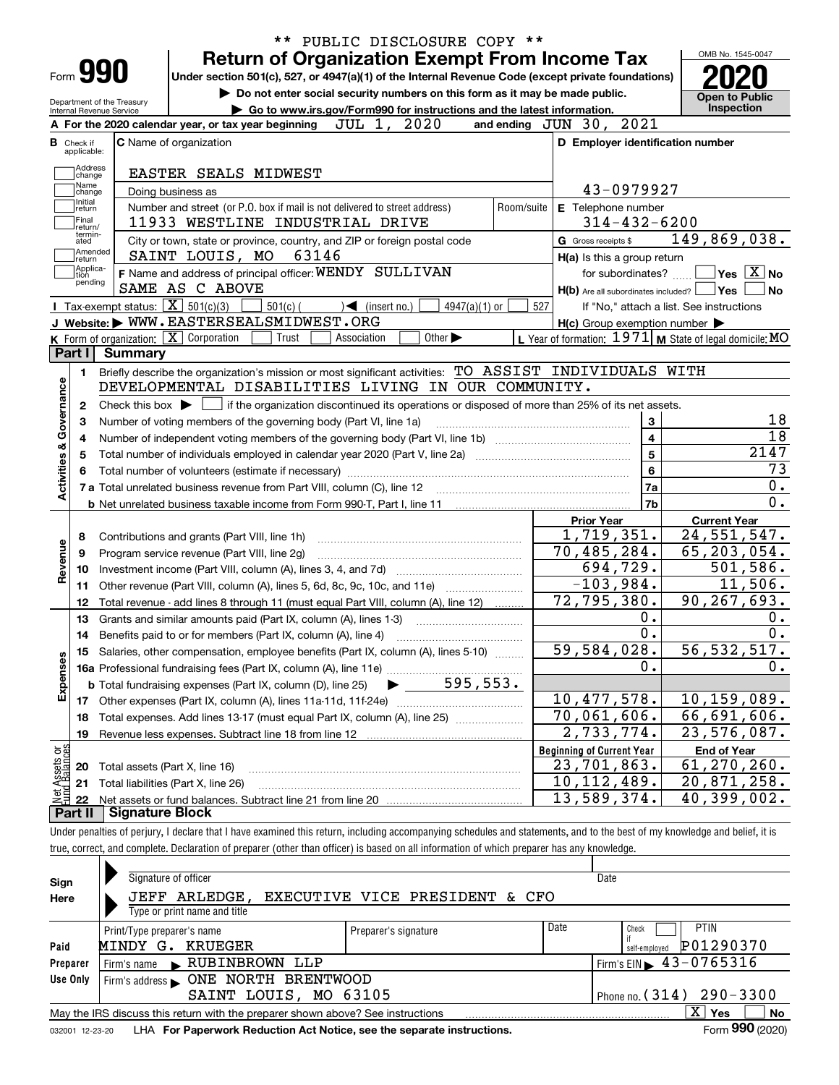| Form 990<br>Department of the Treasury<br>Internal Revenue Service<br><b>B</b> Check if<br>applicable:<br>Address<br>change<br>Name<br>change<br>Initial<br>return<br>Final<br>return/<br>termin-<br>ated | Under section 501(c), 527, or 4947(a)(1) of the Internal Revenue Code (except private foundations)<br>Do not enter social security numbers on this form as it may be made public.<br>Go to www.irs.gov/Form990 for instructions and the latest information.<br>JUL 1, 2020<br>A For the 2020 calendar year, or tax year beginning<br><b>C</b> Name of organization<br>EASTER SEALS MIDWEST<br>Doing business as<br>Number and street (or P.O. box if mail is not delivered to street address) |                                                                                                                                                                                                                                                                                                                                                                                                                                                                                                                                                                                                                                                                                                                            | and ending JUN 30, 2021<br>D Employer identification number                                                                                                                                                                                                                                                                                         | <b>Open to Public</b><br>Inspection                                                                                                                                                                                                                                                                                                                                                                                                                                                                                                                                                                                                                                                                                                                                                                                                                                                                                                                                                                                                                          |
|-----------------------------------------------------------------------------------------------------------------------------------------------------------------------------------------------------------|-----------------------------------------------------------------------------------------------------------------------------------------------------------------------------------------------------------------------------------------------------------------------------------------------------------------------------------------------------------------------------------------------------------------------------------------------------------------------------------------------|----------------------------------------------------------------------------------------------------------------------------------------------------------------------------------------------------------------------------------------------------------------------------------------------------------------------------------------------------------------------------------------------------------------------------------------------------------------------------------------------------------------------------------------------------------------------------------------------------------------------------------------------------------------------------------------------------------------------------|-----------------------------------------------------------------------------------------------------------------------------------------------------------------------------------------------------------------------------------------------------------------------------------------------------------------------------------------------------|--------------------------------------------------------------------------------------------------------------------------------------------------------------------------------------------------------------------------------------------------------------------------------------------------------------------------------------------------------------------------------------------------------------------------------------------------------------------------------------------------------------------------------------------------------------------------------------------------------------------------------------------------------------------------------------------------------------------------------------------------------------------------------------------------------------------------------------------------------------------------------------------------------------------------------------------------------------------------------------------------------------------------------------------------------------|
|                                                                                                                                                                                                           |                                                                                                                                                                                                                                                                                                                                                                                                                                                                                               |                                                                                                                                                                                                                                                                                                                                                                                                                                                                                                                                                                                                                                                                                                                            |                                                                                                                                                                                                                                                                                                                                                     |                                                                                                                                                                                                                                                                                                                                                                                                                                                                                                                                                                                                                                                                                                                                                                                                                                                                                                                                                                                                                                                              |
|                                                                                                                                                                                                           |                                                                                                                                                                                                                                                                                                                                                                                                                                                                                               |                                                                                                                                                                                                                                                                                                                                                                                                                                                                                                                                                                                                                                                                                                                            |                                                                                                                                                                                                                                                                                                                                                     |                                                                                                                                                                                                                                                                                                                                                                                                                                                                                                                                                                                                                                                                                                                                                                                                                                                                                                                                                                                                                                                              |
|                                                                                                                                                                                                           |                                                                                                                                                                                                                                                                                                                                                                                                                                                                                               |                                                                                                                                                                                                                                                                                                                                                                                                                                                                                                                                                                                                                                                                                                                            |                                                                                                                                                                                                                                                                                                                                                     |                                                                                                                                                                                                                                                                                                                                                                                                                                                                                                                                                                                                                                                                                                                                                                                                                                                                                                                                                                                                                                                              |
|                                                                                                                                                                                                           |                                                                                                                                                                                                                                                                                                                                                                                                                                                                                               |                                                                                                                                                                                                                                                                                                                                                                                                                                                                                                                                                                                                                                                                                                                            |                                                                                                                                                                                                                                                                                                                                                     |                                                                                                                                                                                                                                                                                                                                                                                                                                                                                                                                                                                                                                                                                                                                                                                                                                                                                                                                                                                                                                                              |
|                                                                                                                                                                                                           |                                                                                                                                                                                                                                                                                                                                                                                                                                                                                               |                                                                                                                                                                                                                                                                                                                                                                                                                                                                                                                                                                                                                                                                                                                            |                                                                                                                                                                                                                                                                                                                                                     |                                                                                                                                                                                                                                                                                                                                                                                                                                                                                                                                                                                                                                                                                                                                                                                                                                                                                                                                                                                                                                                              |
|                                                                                                                                                                                                           |                                                                                                                                                                                                                                                                                                                                                                                                                                                                                               |                                                                                                                                                                                                                                                                                                                                                                                                                                                                                                                                                                                                                                                                                                                            |                                                                                                                                                                                                                                                                                                                                                     |                                                                                                                                                                                                                                                                                                                                                                                                                                                                                                                                                                                                                                                                                                                                                                                                                                                                                                                                                                                                                                                              |
|                                                                                                                                                                                                           |                                                                                                                                                                                                                                                                                                                                                                                                                                                                                               |                                                                                                                                                                                                                                                                                                                                                                                                                                                                                                                                                                                                                                                                                                                            | 43-0979927                                                                                                                                                                                                                                                                                                                                          |                                                                                                                                                                                                                                                                                                                                                                                                                                                                                                                                                                                                                                                                                                                                                                                                                                                                                                                                                                                                                                                              |
|                                                                                                                                                                                                           |                                                                                                                                                                                                                                                                                                                                                                                                                                                                                               | Room/suite                                                                                                                                                                                                                                                                                                                                                                                                                                                                                                                                                                                                                                                                                                                 | <b>E</b> Telephone number                                                                                                                                                                                                                                                                                                                           |                                                                                                                                                                                                                                                                                                                                                                                                                                                                                                                                                                                                                                                                                                                                                                                                                                                                                                                                                                                                                                                              |
|                                                                                                                                                                                                           | 11933 WESTLINE INDUSTRIAL DRIVE                                                                                                                                                                                                                                                                                                                                                                                                                                                               |                                                                                                                                                                                                                                                                                                                                                                                                                                                                                                                                                                                                                                                                                                                            | $314 - 432 - 6200$                                                                                                                                                                                                                                                                                                                                  |                                                                                                                                                                                                                                                                                                                                                                                                                                                                                                                                                                                                                                                                                                                                                                                                                                                                                                                                                                                                                                                              |
|                                                                                                                                                                                                           | City or town, state or province, country, and ZIP or foreign postal code                                                                                                                                                                                                                                                                                                                                                                                                                      |                                                                                                                                                                                                                                                                                                                                                                                                                                                                                                                                                                                                                                                                                                                            | G Gross receipts \$                                                                                                                                                                                                                                                                                                                                 | 149,869,038.                                                                                                                                                                                                                                                                                                                                                                                                                                                                                                                                                                                                                                                                                                                                                                                                                                                                                                                                                                                                                                                 |
| Amended<br>return                                                                                                                                                                                         | 63146<br>SAINT LOUIS, MO                                                                                                                                                                                                                                                                                                                                                                                                                                                                      |                                                                                                                                                                                                                                                                                                                                                                                                                                                                                                                                                                                                                                                                                                                            | H(a) Is this a group return                                                                                                                                                                                                                                                                                                                         |                                                                                                                                                                                                                                                                                                                                                                                                                                                                                                                                                                                                                                                                                                                                                                                                                                                                                                                                                                                                                                                              |
| Applica-<br>tion                                                                                                                                                                                          | F Name and address of principal officer: WENDY SULLIVAN                                                                                                                                                                                                                                                                                                                                                                                                                                       |                                                                                                                                                                                                                                                                                                                                                                                                                                                                                                                                                                                                                                                                                                                            | for subordinates?                                                                                                                                                                                                                                                                                                                                   | $\overline{\ }$ Yes $\overline{\phantom{a}X}$ No                                                                                                                                                                                                                                                                                                                                                                                                                                                                                                                                                                                                                                                                                                                                                                                                                                                                                                                                                                                                             |
| pending                                                                                                                                                                                                   | SAME AS C ABOVE                                                                                                                                                                                                                                                                                                                                                                                                                                                                               |                                                                                                                                                                                                                                                                                                                                                                                                                                                                                                                                                                                                                                                                                                                            | H(b) Are all subordinates included?   Yes                                                                                                                                                                                                                                                                                                           | No                                                                                                                                                                                                                                                                                                                                                                                                                                                                                                                                                                                                                                                                                                                                                                                                                                                                                                                                                                                                                                                           |
|                                                                                                                                                                                                           | $501(c)$ (<br>$\sqrt{\phantom{a}}$ (insert no.)                                                                                                                                                                                                                                                                                                                                                                                                                                               | 527                                                                                                                                                                                                                                                                                                                                                                                                                                                                                                                                                                                                                                                                                                                        |                                                                                                                                                                                                                                                                                                                                                     | If "No," attach a list. See instructions                                                                                                                                                                                                                                                                                                                                                                                                                                                                                                                                                                                                                                                                                                                                                                                                                                                                                                                                                                                                                     |
|                                                                                                                                                                                                           |                                                                                                                                                                                                                                                                                                                                                                                                                                                                                               |                                                                                                                                                                                                                                                                                                                                                                                                                                                                                                                                                                                                                                                                                                                            |                                                                                                                                                                                                                                                                                                                                                     |                                                                                                                                                                                                                                                                                                                                                                                                                                                                                                                                                                                                                                                                                                                                                                                                                                                                                                                                                                                                                                                              |
|                                                                                                                                                                                                           | Other $\blacktriangleright$<br>Association                                                                                                                                                                                                                                                                                                                                                                                                                                                    |                                                                                                                                                                                                                                                                                                                                                                                                                                                                                                                                                                                                                                                                                                                            |                                                                                                                                                                                                                                                                                                                                                     |                                                                                                                                                                                                                                                                                                                                                                                                                                                                                                                                                                                                                                                                                                                                                                                                                                                                                                                                                                                                                                                              |
| Part I                                                                                                                                                                                                    |                                                                                                                                                                                                                                                                                                                                                                                                                                                                                               |                                                                                                                                                                                                                                                                                                                                                                                                                                                                                                                                                                                                                                                                                                                            |                                                                                                                                                                                                                                                                                                                                                     |                                                                                                                                                                                                                                                                                                                                                                                                                                                                                                                                                                                                                                                                                                                                                                                                                                                                                                                                                                                                                                                              |
| 1.                                                                                                                                                                                                        |                                                                                                                                                                                                                                                                                                                                                                                                                                                                                               |                                                                                                                                                                                                                                                                                                                                                                                                                                                                                                                                                                                                                                                                                                                            |                                                                                                                                                                                                                                                                                                                                                     |                                                                                                                                                                                                                                                                                                                                                                                                                                                                                                                                                                                                                                                                                                                                                                                                                                                                                                                                                                                                                                                              |
|                                                                                                                                                                                                           |                                                                                                                                                                                                                                                                                                                                                                                                                                                                                               |                                                                                                                                                                                                                                                                                                                                                                                                                                                                                                                                                                                                                                                                                                                            |                                                                                                                                                                                                                                                                                                                                                     |                                                                                                                                                                                                                                                                                                                                                                                                                                                                                                                                                                                                                                                                                                                                                                                                                                                                                                                                                                                                                                                              |
| $\mathbf{2}$                                                                                                                                                                                              |                                                                                                                                                                                                                                                                                                                                                                                                                                                                                               |                                                                                                                                                                                                                                                                                                                                                                                                                                                                                                                                                                                                                                                                                                                            |                                                                                                                                                                                                                                                                                                                                                     |                                                                                                                                                                                                                                                                                                                                                                                                                                                                                                                                                                                                                                                                                                                                                                                                                                                                                                                                                                                                                                                              |
| з                                                                                                                                                                                                         |                                                                                                                                                                                                                                                                                                                                                                                                                                                                                               |                                                                                                                                                                                                                                                                                                                                                                                                                                                                                                                                                                                                                                                                                                                            | 3                                                                                                                                                                                                                                                                                                                                                   |                                                                                                                                                                                                                                                                                                                                                                                                                                                                                                                                                                                                                                                                                                                                                                                                                                                                                                                                                                                                                                                              |
| 4                                                                                                                                                                                                         |                                                                                                                                                                                                                                                                                                                                                                                                                                                                                               |                                                                                                                                                                                                                                                                                                                                                                                                                                                                                                                                                                                                                                                                                                                            |                                                                                                                                                                                                                                                                                                                                                     |                                                                                                                                                                                                                                                                                                                                                                                                                                                                                                                                                                                                                                                                                                                                                                                                                                                                                                                                                                                                                                                              |
| 5                                                                                                                                                                                                         |                                                                                                                                                                                                                                                                                                                                                                                                                                                                                               |                                                                                                                                                                                                                                                                                                                                                                                                                                                                                                                                                                                                                                                                                                                            |                                                                                                                                                                                                                                                                                                                                                     | 2147                                                                                                                                                                                                                                                                                                                                                                                                                                                                                                                                                                                                                                                                                                                                                                                                                                                                                                                                                                                                                                                         |
| 6                                                                                                                                                                                                         |                                                                                                                                                                                                                                                                                                                                                                                                                                                                                               |                                                                                                                                                                                                                                                                                                                                                                                                                                                                                                                                                                                                                                                                                                                            |                                                                                                                                                                                                                                                                                                                                                     |                                                                                                                                                                                                                                                                                                                                                                                                                                                                                                                                                                                                                                                                                                                                                                                                                                                                                                                                                                                                                                                              |
|                                                                                                                                                                                                           |                                                                                                                                                                                                                                                                                                                                                                                                                                                                                               |                                                                                                                                                                                                                                                                                                                                                                                                                                                                                                                                                                                                                                                                                                                            | 7a                                                                                                                                                                                                                                                                                                                                                  |                                                                                                                                                                                                                                                                                                                                                                                                                                                                                                                                                                                                                                                                                                                                                                                                                                                                                                                                                                                                                                                              |
|                                                                                                                                                                                                           |                                                                                                                                                                                                                                                                                                                                                                                                                                                                                               |                                                                                                                                                                                                                                                                                                                                                                                                                                                                                                                                                                                                                                                                                                                            | 7b                                                                                                                                                                                                                                                                                                                                                  |                                                                                                                                                                                                                                                                                                                                                                                                                                                                                                                                                                                                                                                                                                                                                                                                                                                                                                                                                                                                                                                              |
|                                                                                                                                                                                                           |                                                                                                                                                                                                                                                                                                                                                                                                                                                                                               |                                                                                                                                                                                                                                                                                                                                                                                                                                                                                                                                                                                                                                                                                                                            | <b>Prior Year</b>                                                                                                                                                                                                                                                                                                                                   | <b>Current Year</b>                                                                                                                                                                                                                                                                                                                                                                                                                                                                                                                                                                                                                                                                                                                                                                                                                                                                                                                                                                                                                                          |
| 8                                                                                                                                                                                                         |                                                                                                                                                                                                                                                                                                                                                                                                                                                                                               |                                                                                                                                                                                                                                                                                                                                                                                                                                                                                                                                                                                                                                                                                                                            |                                                                                                                                                                                                                                                                                                                                                     | 24,551,547.                                                                                                                                                                                                                                                                                                                                                                                                                                                                                                                                                                                                                                                                                                                                                                                                                                                                                                                                                                                                                                                  |
|                                                                                                                                                                                                           |                                                                                                                                                                                                                                                                                                                                                                                                                                                                                               |                                                                                                                                                                                                                                                                                                                                                                                                                                                                                                                                                                                                                                                                                                                            |                                                                                                                                                                                                                                                                                                                                                     | 65, 203, 054.                                                                                                                                                                                                                                                                                                                                                                                                                                                                                                                                                                                                                                                                                                                                                                                                                                                                                                                                                                                                                                                |
| 10                                                                                                                                                                                                        |                                                                                                                                                                                                                                                                                                                                                                                                                                                                                               |                                                                                                                                                                                                                                                                                                                                                                                                                                                                                                                                                                                                                                                                                                                            |                                                                                                                                                                                                                                                                                                                                                     | 501,586.                                                                                                                                                                                                                                                                                                                                                                                                                                                                                                                                                                                                                                                                                                                                                                                                                                                                                                                                                                                                                                                     |
| 11                                                                                                                                                                                                        |                                                                                                                                                                                                                                                                                                                                                                                                                                                                                               |                                                                                                                                                                                                                                                                                                                                                                                                                                                                                                                                                                                                                                                                                                                            |                                                                                                                                                                                                                                                                                                                                                     | 11,506.                                                                                                                                                                                                                                                                                                                                                                                                                                                                                                                                                                                                                                                                                                                                                                                                                                                                                                                                                                                                                                                      |
| 12                                                                                                                                                                                                        |                                                                                                                                                                                                                                                                                                                                                                                                                                                                                               |                                                                                                                                                                                                                                                                                                                                                                                                                                                                                                                                                                                                                                                                                                                            |                                                                                                                                                                                                                                                                                                                                                     | 90,267,693.                                                                                                                                                                                                                                                                                                                                                                                                                                                                                                                                                                                                                                                                                                                                                                                                                                                                                                                                                                                                                                                  |
| 13                                                                                                                                                                                                        |                                                                                                                                                                                                                                                                                                                                                                                                                                                                                               |                                                                                                                                                                                                                                                                                                                                                                                                                                                                                                                                                                                                                                                                                                                            |                                                                                                                                                                                                                                                                                                                                                     |                                                                                                                                                                                                                                                                                                                                                                                                                                                                                                                                                                                                                                                                                                                                                                                                                                                                                                                                                                                                                                                              |
| 14                                                                                                                                                                                                        |                                                                                                                                                                                                                                                                                                                                                                                                                                                                                               |                                                                                                                                                                                                                                                                                                                                                                                                                                                                                                                                                                                                                                                                                                                            |                                                                                                                                                                                                                                                                                                                                                     |                                                                                                                                                                                                                                                                                                                                                                                                                                                                                                                                                                                                                                                                                                                                                                                                                                                                                                                                                                                                                                                              |
| 15                                                                                                                                                                                                        |                                                                                                                                                                                                                                                                                                                                                                                                                                                                                               |                                                                                                                                                                                                                                                                                                                                                                                                                                                                                                                                                                                                                                                                                                                            |                                                                                                                                                                                                                                                                                                                                                     | 56, 532, 517.                                                                                                                                                                                                                                                                                                                                                                                                                                                                                                                                                                                                                                                                                                                                                                                                                                                                                                                                                                                                                                                |
|                                                                                                                                                                                                           |                                                                                                                                                                                                                                                                                                                                                                                                                                                                                               |                                                                                                                                                                                                                                                                                                                                                                                                                                                                                                                                                                                                                                                                                                                            |                                                                                                                                                                                                                                                                                                                                                     |                                                                                                                                                                                                                                                                                                                                                                                                                                                                                                                                                                                                                                                                                                                                                                                                                                                                                                                                                                                                                                                              |
|                                                                                                                                                                                                           |                                                                                                                                                                                                                                                                                                                                                                                                                                                                                               |                                                                                                                                                                                                                                                                                                                                                                                                                                                                                                                                                                                                                                                                                                                            |                                                                                                                                                                                                                                                                                                                                                     |                                                                                                                                                                                                                                                                                                                                                                                                                                                                                                                                                                                                                                                                                                                                                                                                                                                                                                                                                                                                                                                              |
| 17                                                                                                                                                                                                        |                                                                                                                                                                                                                                                                                                                                                                                                                                                                                               |                                                                                                                                                                                                                                                                                                                                                                                                                                                                                                                                                                                                                                                                                                                            |                                                                                                                                                                                                                                                                                                                                                     | 10, 159, 089.                                                                                                                                                                                                                                                                                                                                                                                                                                                                                                                                                                                                                                                                                                                                                                                                                                                                                                                                                                                                                                                |
| 18                                                                                                                                                                                                        |                                                                                                                                                                                                                                                                                                                                                                                                                                                                                               |                                                                                                                                                                                                                                                                                                                                                                                                                                                                                                                                                                                                                                                                                                                            |                                                                                                                                                                                                                                                                                                                                                     | 66,691,606.                                                                                                                                                                                                                                                                                                                                                                                                                                                                                                                                                                                                                                                                                                                                                                                                                                                                                                                                                                                                                                                  |
| 19                                                                                                                                                                                                        |                                                                                                                                                                                                                                                                                                                                                                                                                                                                                               |                                                                                                                                                                                                                                                                                                                                                                                                                                                                                                                                                                                                                                                                                                                            |                                                                                                                                                                                                                                                                                                                                                     | 23,576,087.                                                                                                                                                                                                                                                                                                                                                                                                                                                                                                                                                                                                                                                                                                                                                                                                                                                                                                                                                                                                                                                  |
|                                                                                                                                                                                                           |                                                                                                                                                                                                                                                                                                                                                                                                                                                                                               |                                                                                                                                                                                                                                                                                                                                                                                                                                                                                                                                                                                                                                                                                                                            |                                                                                                                                                                                                                                                                                                                                                     | <b>End of Year</b>                                                                                                                                                                                                                                                                                                                                                                                                                                                                                                                                                                                                                                                                                                                                                                                                                                                                                                                                                                                                                                           |
| 20                                                                                                                                                                                                        |                                                                                                                                                                                                                                                                                                                                                                                                                                                                                               |                                                                                                                                                                                                                                                                                                                                                                                                                                                                                                                                                                                                                                                                                                                            |                                                                                                                                                                                                                                                                                                                                                     | 61, 270, 260.                                                                                                                                                                                                                                                                                                                                                                                                                                                                                                                                                                                                                                                                                                                                                                                                                                                                                                                                                                                                                                                |
| 21                                                                                                                                                                                                        |                                                                                                                                                                                                                                                                                                                                                                                                                                                                                               |                                                                                                                                                                                                                                                                                                                                                                                                                                                                                                                                                                                                                                                                                                                            |                                                                                                                                                                                                                                                                                                                                                     | 20,871,258.                                                                                                                                                                                                                                                                                                                                                                                                                                                                                                                                                                                                                                                                                                                                                                                                                                                                                                                                                                                                                                                  |
| 22                                                                                                                                                                                                        |                                                                                                                                                                                                                                                                                                                                                                                                                                                                                               |                                                                                                                                                                                                                                                                                                                                                                                                                                                                                                                                                                                                                                                                                                                            |                                                                                                                                                                                                                                                                                                                                                     | 40,399,002.                                                                                                                                                                                                                                                                                                                                                                                                                                                                                                                                                                                                                                                                                                                                                                                                                                                                                                                                                                                                                                                  |
|                                                                                                                                                                                                           | Part II                                                                                                                                                                                                                                                                                                                                                                                                                                                                                       | <b>Tax-exempt status:</b> $\boxed{\mathbf{X}}$ 501(c)(3)<br>J Website: WWW.EASTERSEALSMIDWEST.ORG<br>K Form of organization: X Corporation<br>Trust<br>Summary<br>Number of voting members of the governing body (Part VI, line 1a)<br>Contributions and grants (Part VIII, line 1h)<br>Program service revenue (Part VIII, line 2g)<br>Grants and similar amounts paid (Part IX, column (A), lines 1-3)<br>Benefits paid to or for members (Part IX, column (A), line 4)<br>Total assets (Part X, line 16)<br>Total liabilities (Part X, line 26)<br><b>Signature Block</b><br>true, correct, and complete. Declaration of preparer (other than officer) is based on all information of which preparer has any knowledge. | $4947(a)(1)$ or<br>Other revenue (Part VIII, column (A), lines 5, 6d, 8c, 9c, 10c, and 11e)<br>Total revenue - add lines 8 through 11 (must equal Part VIII, column (A), line 12)<br>Salaries, other compensation, employee benefits (Part IX, column (A), lines 5-10)<br>Total expenses. Add lines 13-17 (must equal Part IX, column (A), line 25) | $H(c)$ Group exemption number $\blacktriangleright$<br>L Year of formation: $1971$ M State of legal domicile: MO<br>Briefly describe the organization's mission or most significant activities: TO ASSIST INDIVIDUALS WITH<br>DEVELOPMENTAL DISABILITIES LIVING IN OUR COMMUNITY.<br>Check this box $\blacktriangleright$ $\Box$ if the organization discontinued its operations or disposed of more than 25% of its net assets.<br>$\overline{\mathbf{4}}$<br>$\overline{\mathbf{5}}$<br>$\bf{6}$<br>7 a Total unrelated business revenue from Part VIII, column (C), line 12 [11] [12] [11] [12] [11] [11] [12] [1<br>1,719,351.<br>70,485,284.<br>694,729.<br>$-103,984.$<br>$\overline{72}$ , 795, 380.<br>$0$ .<br>0.<br>59,584,028.<br>0.<br>10,477,578.<br>70,061,606.<br>2,733,774.<br><b>Beginning of Current Year</b><br>23,701,863.<br>10, 112, 489.<br>13,589,374.<br>Under penalties of perjury, I declare that I have examined this return, including accompanying schedules and statements, and to the best of my knowledge and belief, it is |

| Sign     | Signature of officer                                                                                            |                                |      | Date                                        |  |  |  |  |  |  |
|----------|-----------------------------------------------------------------------------------------------------------------|--------------------------------|------|---------------------------------------------|--|--|--|--|--|--|
| Here     | <b>JEFF ARLEDGE.</b>                                                                                            | EXECUTIVE VICE PRESIDENT & CFO |      |                                             |  |  |  |  |  |  |
|          | Type or print name and title                                                                                    |                                |      |                                             |  |  |  |  |  |  |
|          | Print/Type preparer's name                                                                                      | Preparer's signature           | Date | <b>PTIN</b><br>Check                        |  |  |  |  |  |  |
| Paid     | KRUEGER<br>MINDY G.                                                                                             |                                |      | P01290370<br>self-emploved                  |  |  |  |  |  |  |
| Preparer | RUBINBROWN LLP<br>Firm's name                                                                                   |                                |      | Firm's EIN $\blacktriangleright$ 43-0765316 |  |  |  |  |  |  |
| Use Only | Firm's address <b>ONE NORTH BRENTWOOD</b>                                                                       |                                |      |                                             |  |  |  |  |  |  |
|          | Phone no. $(314)$ 290 - 3300<br>SAINT LOUIS, MO 63105                                                           |                                |      |                                             |  |  |  |  |  |  |
|          | x<br><b>No</b><br><b>Yes</b><br>May the IRS discuss this return with the preparer shown above? See instructions |                                |      |                                             |  |  |  |  |  |  |
|          | Form 990 (2020)<br>LHA For Paperwork Reduction Act Notice, see the separate instructions.<br>032001 12-23-20    |                                |      |                                             |  |  |  |  |  |  |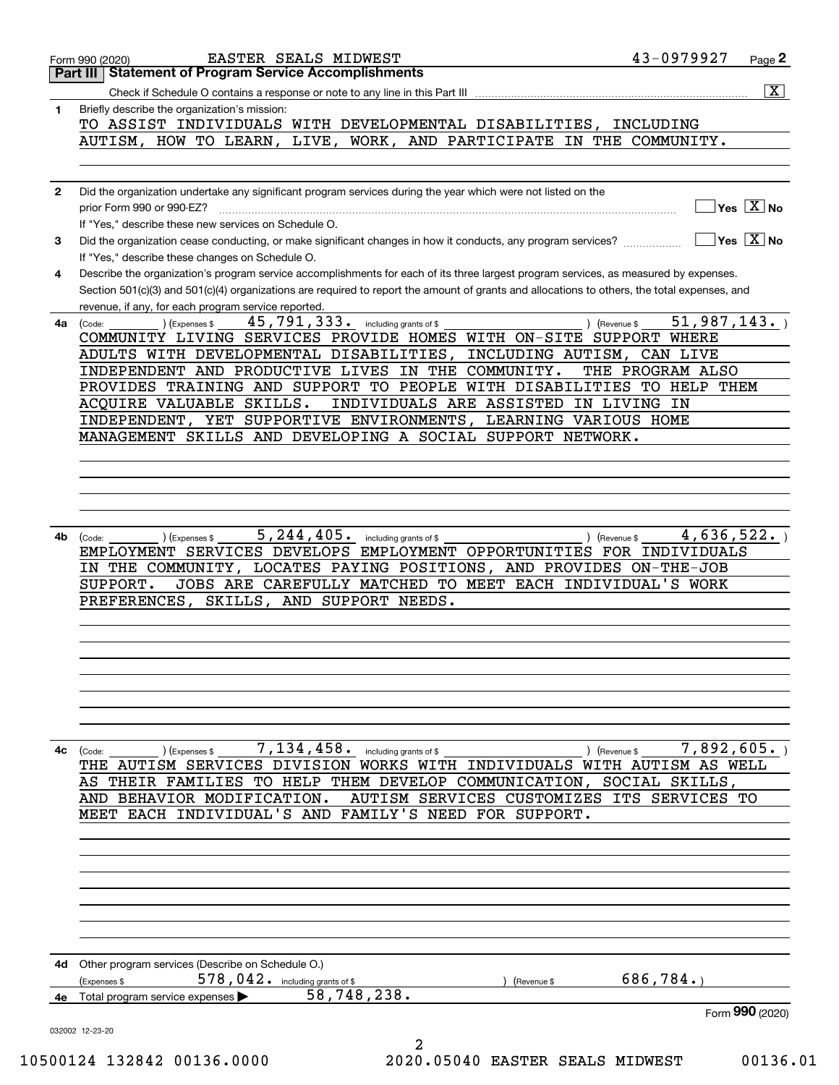|              | EASTER SEALS MIDWEST<br>Form 990 (2020)                                                                                                                                                 | 43-0979927<br>Page 2                          |
|--------------|-----------------------------------------------------------------------------------------------------------------------------------------------------------------------------------------|-----------------------------------------------|
|              | <b>Statement of Program Service Accomplishments</b><br>Part III I                                                                                                                       |                                               |
|              |                                                                                                                                                                                         | $\overline{\mathbf{X}}$                       |
| 1            | Briefly describe the organization's mission:                                                                                                                                            |                                               |
|              | TO ASSIST INDIVIDUALS WITH DEVELOPMENTAL DISABILITIES, INCLUDING                                                                                                                        |                                               |
|              | AUTISM, HOW TO LEARN, LIVE, WORK, AND PARTICIPATE IN THE COMMUNITY.                                                                                                                     |                                               |
|              |                                                                                                                                                                                         |                                               |
|              |                                                                                                                                                                                         |                                               |
| $\mathbf{2}$ | Did the organization undertake any significant program services during the year which were not listed on the                                                                            |                                               |
|              | prior Form 990 or 990-EZ?                                                                                                                                                               | $\sqrt{}$ Yes $\sqrt{X}$ No                   |
|              | If "Yes," describe these new services on Schedule O.                                                                                                                                    |                                               |
| 3            |                                                                                                                                                                                         | $\sqrt{}$ Yes $\sqrt{}$ X $\sqrt{}$ No        |
|              | Did the organization cease conducting, or make significant changes in how it conducts, any program services?                                                                            |                                               |
|              | If "Yes," describe these changes on Schedule O.                                                                                                                                         |                                               |
| 4            | Describe the organization's program service accomplishments for each of its three largest program services, as measured by expenses.                                                    |                                               |
|              | Section 501(c)(3) and 501(c)(4) organizations are required to report the amount of grants and allocations to others, the total expenses, and                                            |                                               |
|              | revenue, if any, for each program service reported.                                                                                                                                     |                                               |
| 4a           | 45,791,333. including grants of \$<br>) (Expenses \$<br>(Code:                                                                                                                          | 51,987,143.<br>) (Revenue \$                  |
|              | COMMUNITY LIVING SERVICES PROVIDE HOMES WITH ON-SITE SUPPORT WHERE                                                                                                                      |                                               |
|              | ADULTS WITH DEVELOPMENTAL DISABILITIES,                                                                                                                                                 | INCLUDING AUTISM, CAN LIVE                    |
|              | INDEPENDENT AND PRODUCTIVE LIVES IN THE COMMUNITY.                                                                                                                                      | THE PROGRAM ALSO                              |
|              |                                                                                                                                                                                         |                                               |
|              | PROVIDES TRAINING AND SUPPORT TO PEOPLE WITH DISABILITIES TO HELP THEM                                                                                                                  |                                               |
|              | ACQUIRE VALUABLE SKILLS.                                                                                                                                                                | INDIVIDUALS ARE ASSISTED IN LIVING IN         |
|              | INDEPENDENT, YET SUPPORTIVE ENVIRONMENTS, LEARNING VARIOUS HOME                                                                                                                         |                                               |
|              | MANAGEMENT SKILLS AND DEVELOPING A SOCIAL SUPPORT NETWORK.                                                                                                                              |                                               |
|              |                                                                                                                                                                                         |                                               |
|              |                                                                                                                                                                                         |                                               |
|              |                                                                                                                                                                                         |                                               |
|              |                                                                                                                                                                                         |                                               |
|              |                                                                                                                                                                                         |                                               |
|              | 5, 244, 405. including grants of \$                                                                                                                                                     |                                               |
|              | IN THE COMMUNITY, LOCATES PAYING POSITIONS, AND PROVIDES ON-THE-JOB<br>JOBS ARE CAREFULLY MATCHED TO MEET EACH INDIVIDUAL'S WORK<br>SUPPORT.<br>PREFERENCES, SKILLS, AND SUPPORT NEEDS. |                                               |
|              |                                                                                                                                                                                         |                                               |
|              |                                                                                                                                                                                         |                                               |
| 4с           | 7,134,458.<br>including grants of \$<br>(Code:<br>(Expenses \$                                                                                                                          | 7,892,605.<br>) (Revenue \$                   |
|              | THE AUTISM SERVICES DIVISION WORKS WITH INDIVIDUALS WITH AUTISM AS WELL                                                                                                                 |                                               |
|              | THEIR FAMILIES<br>TO HELP<br>THEM DEVELOP COMMUNICATION,<br>AS                                                                                                                          | SOCIAL<br>SKILLS,                             |
|              | AND BEHAVIOR MODIFICATION.                                                                                                                                                              | AUTISM SERVICES CUSTOMIZES ITS SERVICES<br>TО |
|              | INDIVIDUAL'S AND<br>FAMILY'S<br>MEET EACH<br>NEED                                                                                                                                       | FOR SUPPORT.                                  |
|              |                                                                                                                                                                                         |                                               |
|              |                                                                                                                                                                                         |                                               |
|              |                                                                                                                                                                                         |                                               |
|              |                                                                                                                                                                                         |                                               |
|              |                                                                                                                                                                                         |                                               |
|              |                                                                                                                                                                                         |                                               |
|              |                                                                                                                                                                                         |                                               |
|              |                                                                                                                                                                                         |                                               |
|              |                                                                                                                                                                                         |                                               |
| 4d           | Other program services (Describe on Schedule O.)                                                                                                                                        |                                               |
|              | 578, 042. including grants of \$<br>(Expenses \$                                                                                                                                        | 686,784.<br>(Revenue \$                       |
| 4е           | 58,748,238.<br>Total program service expenses                                                                                                                                           |                                               |
|              |                                                                                                                                                                                         | Form 990 (2020)                               |
|              |                                                                                                                                                                                         |                                               |
|              | 032002 12-23-20<br>2                                                                                                                                                                    |                                               |
|              | 10500124 132842 00136.0000                                                                                                                                                              | 00136.01<br>2020.05040 EASTER SEALS MIDWEST   |
|              |                                                                                                                                                                                         |                                               |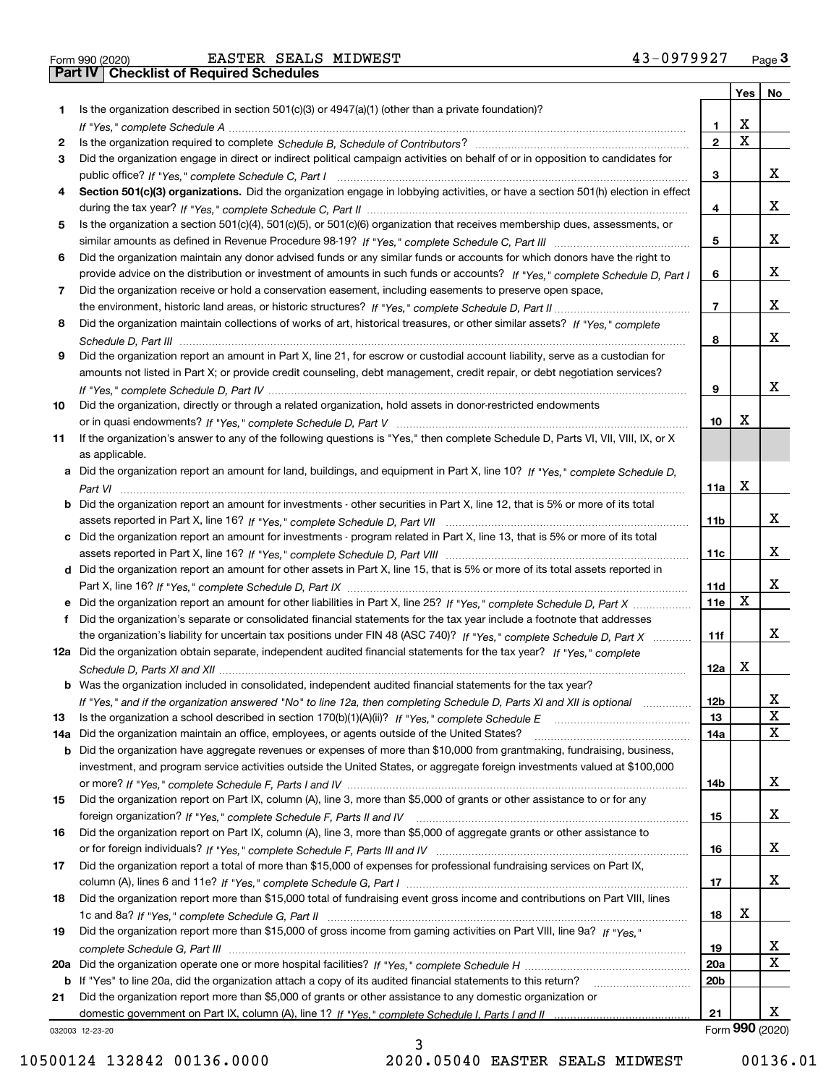|     |                                                                                                                                       |                 | Yes   No |                 |
|-----|---------------------------------------------------------------------------------------------------------------------------------------|-----------------|----------|-----------------|
| 1.  | Is the organization described in section $501(c)(3)$ or $4947(a)(1)$ (other than a private foundation)?                               |                 |          |                 |
|     |                                                                                                                                       | 1.              | X        |                 |
| 2   |                                                                                                                                       | $\overline{2}$  | X        |                 |
| 3   | Did the organization engage in direct or indirect political campaign activities on behalf of or in opposition to candidates for       |                 |          |                 |
|     |                                                                                                                                       | 3               |          | x               |
| 4   | Section 501(c)(3) organizations. Did the organization engage in lobbying activities, or have a section 501(h) election in effect      |                 |          |                 |
|     |                                                                                                                                       | 4               |          | x               |
| 5   | Is the organization a section 501(c)(4), 501(c)(5), or 501(c)(6) organization that receives membership dues, assessments, or          |                 |          |                 |
|     |                                                                                                                                       | 5               |          | x               |
| 6   | Did the organization maintain any donor advised funds or any similar funds or accounts for which donors have the right to             |                 |          |                 |
|     | provide advice on the distribution or investment of amounts in such funds or accounts? If "Yes," complete Schedule D, Part I          | 6               |          | x               |
| 7   | Did the organization receive or hold a conservation easement, including easements to preserve open space,                             |                 |          |                 |
|     |                                                                                                                                       | $\overline{7}$  |          | x               |
| 8   | Did the organization maintain collections of works of art, historical treasures, or other similar assets? If "Yes," complete          |                 |          |                 |
|     |                                                                                                                                       | 8               |          | x               |
| 9   | Did the organization report an amount in Part X, line 21, for escrow or custodial account liability, serve as a custodian for         |                 |          |                 |
|     | amounts not listed in Part X; or provide credit counseling, debt management, credit repair, or debt negotiation services?             |                 |          |                 |
|     |                                                                                                                                       | 9               |          | x               |
| 10  | Did the organization, directly or through a related organization, hold assets in donor-restricted endowments                          |                 |          |                 |
|     |                                                                                                                                       | 10              | х        |                 |
| 11  | If the organization's answer to any of the following questions is "Yes," then complete Schedule D, Parts VI, VII, VIII, IX, or X      |                 |          |                 |
|     | as applicable.                                                                                                                        |                 |          |                 |
|     | a Did the organization report an amount for land, buildings, and equipment in Part X, line 10? If "Yes," complete Schedule D.         |                 | x        |                 |
|     |                                                                                                                                       | 11a             |          |                 |
|     | <b>b</b> Did the organization report an amount for investments - other securities in Part X, line 12, that is 5% or more of its total |                 |          | x               |
|     |                                                                                                                                       | 11 <sub>b</sub> |          |                 |
|     | c Did the organization report an amount for investments - program related in Part X, line 13, that is 5% or more of its total         |                 |          | x               |
|     |                                                                                                                                       | 11c             |          |                 |
|     | d Did the organization report an amount for other assets in Part X, line 15, that is 5% or more of its total assets reported in       | 11d             |          | x               |
|     |                                                                                                                                       | 11e             | X        |                 |
| f   | Did the organization's separate or consolidated financial statements for the tax year include a footnote that addresses               |                 |          |                 |
|     | the organization's liability for uncertain tax positions under FIN 48 (ASC 740)? If "Yes," complete Schedule D, Part X                | 11f             |          | x               |
|     | 12a Did the organization obtain separate, independent audited financial statements for the tax year? If "Yes," complete               |                 |          |                 |
|     |                                                                                                                                       | 12a             | х        |                 |
|     | <b>b</b> Was the organization included in consolidated, independent audited financial statements for the tax year?                    |                 |          |                 |
|     | If "Yes," and if the organization answered "No" to line 12a, then completing Schedule D, Parts XI and XII is optional                 | 12 <sub>b</sub> |          | Х               |
| 13  |                                                                                                                                       | 13              |          | X               |
| 14a | Did the organization maintain an office, employees, or agents outside of the United States?                                           | 14a             |          | X               |
|     | <b>b</b> Did the organization have aggregate revenues or expenses of more than \$10,000 from grantmaking, fundraising, business,      |                 |          |                 |
|     | investment, and program service activities outside the United States, or aggregate foreign investments valued at \$100,000            |                 |          |                 |
|     |                                                                                                                                       | 14b             |          | x               |
| 15  | Did the organization report on Part IX, column (A), line 3, more than \$5,000 of grants or other assistance to or for any             |                 |          |                 |
|     |                                                                                                                                       | 15              |          | x               |
| 16  | Did the organization report on Part IX, column (A), line 3, more than \$5,000 of aggregate grants or other assistance to              |                 |          |                 |
|     |                                                                                                                                       | 16              |          | x               |
| 17  | Did the organization report a total of more than \$15,000 of expenses for professional fundraising services on Part IX,               |                 |          |                 |
|     |                                                                                                                                       | 17              |          | x               |
| 18  | Did the organization report more than \$15,000 total of fundraising event gross income and contributions on Part VIII, lines          |                 |          |                 |
|     |                                                                                                                                       | 18              | x        |                 |
| 19  | Did the organization report more than \$15,000 of gross income from gaming activities on Part VIII, line 9a? If "Yes."                |                 |          |                 |
|     |                                                                                                                                       | 19              |          | X               |
|     |                                                                                                                                       | 20a             |          | X               |
|     | b If "Yes" to line 20a, did the organization attach a copy of its audited financial statements to this return?                        | 20 <sub>b</sub> |          |                 |
| 21  | Did the organization report more than \$5,000 of grants or other assistance to any domestic organization or                           |                 |          |                 |
|     |                                                                                                                                       | 21              |          | х               |
|     | 032003 12-23-20                                                                                                                       |                 |          | Form 990 (2020) |

032003 12-23-20

3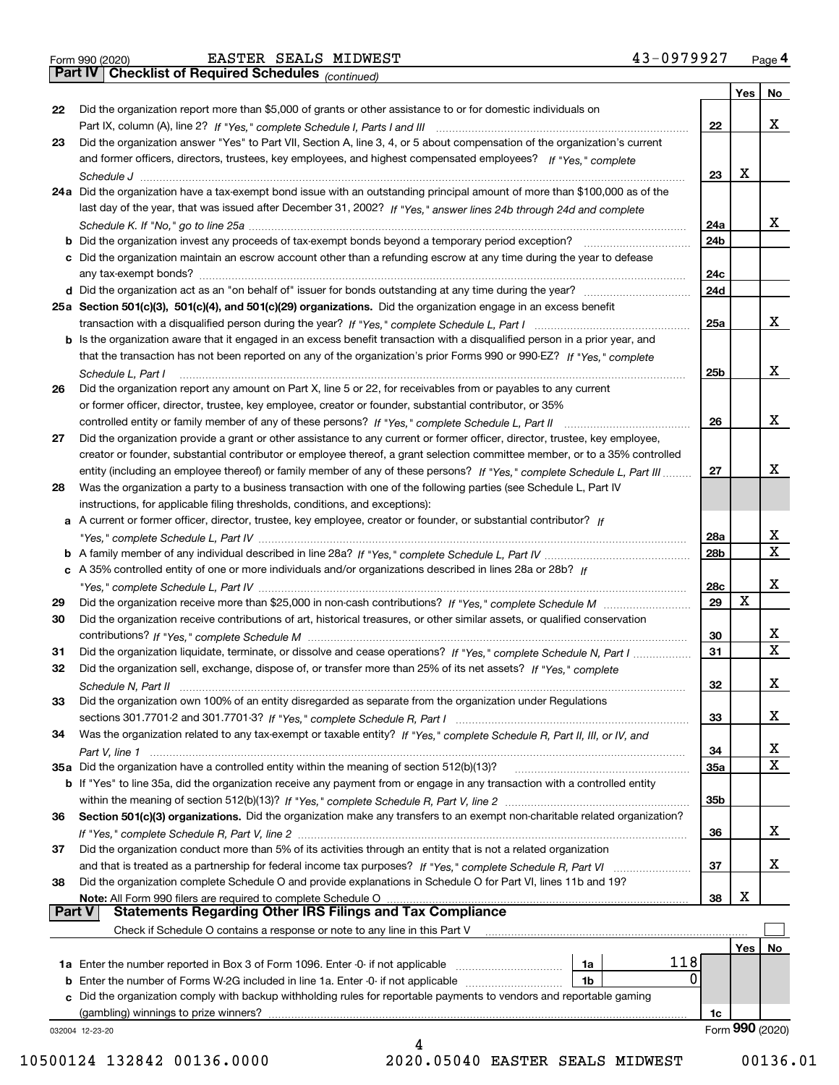|  | Form 990 (2020) |
|--|-----------------|
|  |                 |

Form 990 (2020) EASTER SEALS MIDWEST 4 3-0 9 7 9 9 2 7 <sub>Page</sub> 4<br>**Part IV | Checklist of Required Schedules** <sub>(continued)</sub> 4 3-0 9 7 9 9 2 7 <sub>Page</sub> 4

*(continued)*

┱

|               |                                                                                                                                                                                                                        |                 | Yes | No.             |
|---------------|------------------------------------------------------------------------------------------------------------------------------------------------------------------------------------------------------------------------|-----------------|-----|-----------------|
| 22            | Did the organization report more than \$5,000 of grants or other assistance to or for domestic individuals on                                                                                                          |                 |     |                 |
|               | Part IX, column (A), line 2? If "Yes," complete Schedule I, Parts I and III [11] [11] [12] [12] Part IX, column (A), line 2? If "Yes," complete Schedule I, Parts I and III                                            | 22              |     | х               |
| 23            | Did the organization answer "Yes" to Part VII, Section A, line 3, 4, or 5 about compensation of the organization's current                                                                                             |                 |     |                 |
|               | and former officers, directors, trustees, key employees, and highest compensated employees? If "Yes," complete                                                                                                         |                 |     |                 |
|               |                                                                                                                                                                                                                        | 23              | х   |                 |
|               | 24a Did the organization have a tax-exempt bond issue with an outstanding principal amount of more than \$100,000 as of the                                                                                            |                 |     |                 |
|               | last day of the year, that was issued after December 31, 2002? If "Yes," answer lines 24b through 24d and complete                                                                                                     |                 |     |                 |
|               |                                                                                                                                                                                                                        | 24a             |     | x               |
|               | <b>b</b> Did the organization invest any proceeds of tax-exempt bonds beyond a temporary period exception?                                                                                                             | 24 <sub>b</sub> |     |                 |
|               | c Did the organization maintain an escrow account other than a refunding escrow at any time during the year to defease                                                                                                 |                 |     |                 |
|               | any tax-exempt bonds?                                                                                                                                                                                                  | 24c             |     |                 |
|               |                                                                                                                                                                                                                        | 24d             |     |                 |
|               | 25a Section 501(c)(3), 501(c)(4), and 501(c)(29) organizations. Did the organization engage in an excess benefit                                                                                                       |                 |     |                 |
|               |                                                                                                                                                                                                                        | 25a             |     | х               |
|               | b Is the organization aware that it engaged in an excess benefit transaction with a disqualified person in a prior year, and                                                                                           |                 |     |                 |
|               | that the transaction has not been reported on any of the organization's prior Forms 990 or 990-EZ? If "Yes," complete                                                                                                  |                 |     |                 |
|               | Schedule L, Part I                                                                                                                                                                                                     | 25 <sub>b</sub> |     | х               |
| 26            | Did the organization report any amount on Part X, line 5 or 22, for receivables from or payables to any current                                                                                                        |                 |     |                 |
|               | or former officer, director, trustee, key employee, creator or founder, substantial contributor, or 35%                                                                                                                |                 |     |                 |
|               |                                                                                                                                                                                                                        | 26              |     | х               |
| 27            | Did the organization provide a grant or other assistance to any current or former officer, director, trustee, key employee,                                                                                            |                 |     |                 |
|               | creator or founder, substantial contributor or employee thereof, a grant selection committee member, or to a 35% controlled                                                                                            |                 |     |                 |
|               | entity (including an employee thereof) or family member of any of these persons? If "Yes," complete Schedule L, Part III                                                                                               | 27              |     | х               |
| 28            | Was the organization a party to a business transaction with one of the following parties (see Schedule L, Part IV                                                                                                      |                 |     |                 |
|               | instructions, for applicable filing thresholds, conditions, and exceptions):                                                                                                                                           |                 |     |                 |
|               | a A current or former officer, director, trustee, key employee, creator or founder, or substantial contributor? If                                                                                                     |                 |     |                 |
|               |                                                                                                                                                                                                                        | 28a             |     | x               |
|               |                                                                                                                                                                                                                        | 28 <sub>b</sub> |     | $\mathbf X$     |
|               | c A 35% controlled entity of one or more individuals and/or organizations described in lines 28a or 28b? If                                                                                                            |                 |     |                 |
|               |                                                                                                                                                                                                                        | 28c             |     | x               |
| 29            |                                                                                                                                                                                                                        | 29              | x   |                 |
| 30            | Did the organization receive contributions of art, historical treasures, or other similar assets, or qualified conservation                                                                                            |                 |     |                 |
|               |                                                                                                                                                                                                                        | 30              |     | X               |
| 31            | Did the organization liquidate, terminate, or dissolve and cease operations? If "Yes," complete Schedule N, Part I                                                                                                     | 31              |     | $\mathbf x$     |
| 32            | Did the organization sell, exchange, dispose of, or transfer more than 25% of its net assets? If "Yes." complete                                                                                                       |                 |     |                 |
|               |                                                                                                                                                                                                                        | 32              |     | x               |
|               | Schedule N, Part II<br>Did the organization own 100% of an entity disregarded as separate from the organization under Regulations                                                                                      |                 |     |                 |
| 33            |                                                                                                                                                                                                                        | 33              |     | х               |
| 34            |                                                                                                                                                                                                                        |                 |     |                 |
|               | Was the organization related to any tax-exempt or taxable entity? If "Yes," complete Schedule R, Part II, III, or IV, and                                                                                              |                 |     | х               |
|               | 35a Did the organization have a controlled entity within the meaning of section 512(b)(13)?                                                                                                                            | 34<br>35a       |     | X               |
|               |                                                                                                                                                                                                                        |                 |     |                 |
|               | b If "Yes" to line 35a, did the organization receive any payment from or engage in any transaction with a controlled entity                                                                                            |                 |     |                 |
|               |                                                                                                                                                                                                                        | 35b             |     |                 |
| 36            | Section 501(c)(3) organizations. Did the organization make any transfers to an exempt non-charitable related organization?                                                                                             |                 |     |                 |
|               |                                                                                                                                                                                                                        | 36              |     | x               |
| 37            | Did the organization conduct more than 5% of its activities through an entity that is not a related organization                                                                                                       |                 |     |                 |
|               | and that is treated as a partnership for federal income tax purposes? If "Yes," complete Schedule R, Part VI                                                                                                           | 37              |     | x               |
| 38            | Did the organization complete Schedule O and provide explanations in Schedule O for Part VI, lines 11b and 19?                                                                                                         |                 | х   |                 |
| <b>Part V</b> | Note: All Form 990 filers are required to complete Schedule O<br><b>Statements Regarding Other IRS Filings and Tax Compliance</b>                                                                                      | 38              |     |                 |
|               | Check if Schedule O contains a response or note to any line in this Part V                                                                                                                                             |                 |     |                 |
|               |                                                                                                                                                                                                                        |                 |     |                 |
|               | 118                                                                                                                                                                                                                    |                 | Yes | No              |
|               | <b>1a</b> Enter the number reported in Box 3 of Form 1096. Enter -0- if not applicable <i>manumumumum</i><br>1a<br>0                                                                                                   |                 |     |                 |
|               | <b>b</b> Enter the number of Forms W-2G included in line 1a. Enter -0- if not applicable<br>1b<br>c Did the organization comply with backup withholding rules for reportable payments to vendors and reportable gaming |                 |     |                 |
|               |                                                                                                                                                                                                                        |                 |     |                 |
|               | (gambling) winnings to prize winners?                                                                                                                                                                                  | 1c              |     | Form 990 (2020) |
|               | 032004 12-23-20<br>4                                                                                                                                                                                                   |                 |     |                 |
|               |                                                                                                                                                                                                                        |                 |     |                 |

 <sup>10500124 132842 00136.0000 2020.05040</sup> EASTER SEALS MIDWEST 00136.01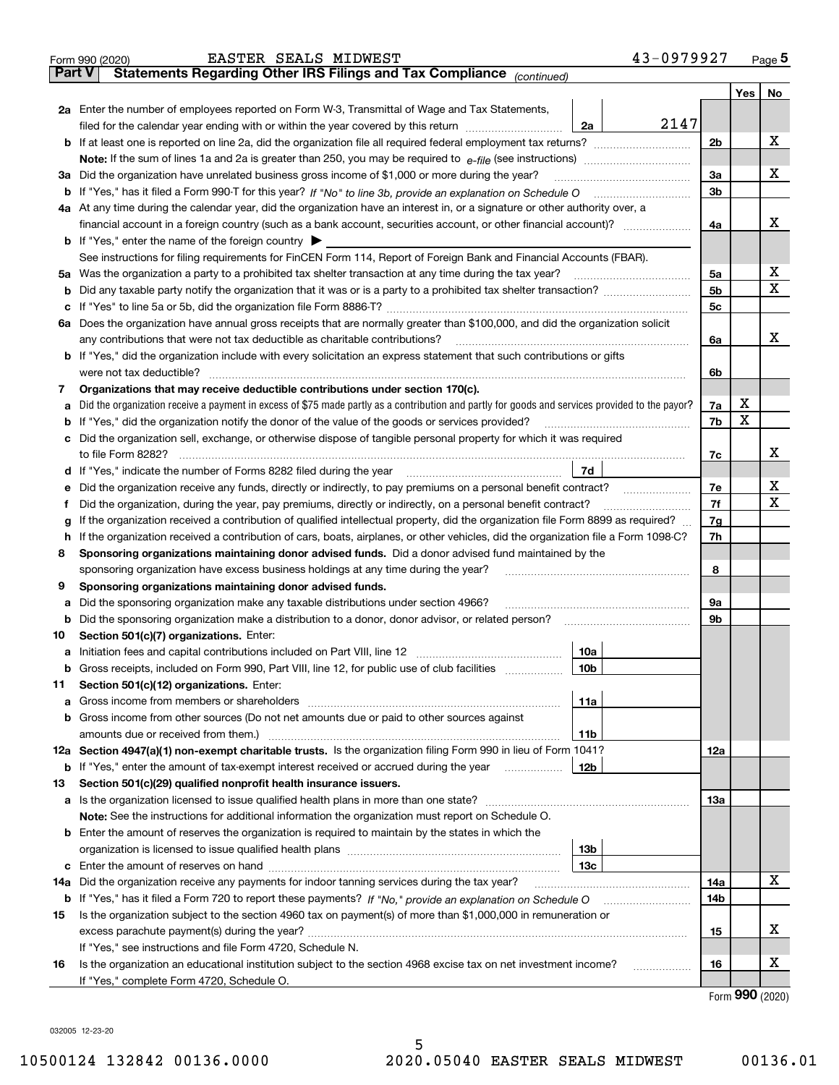|               | 43-0979927<br>EASTER SEALS MIDWEST<br>Form 990 (2020)                                                                                                                                        |                |                 | Page $5$ |  |  |  |
|---------------|----------------------------------------------------------------------------------------------------------------------------------------------------------------------------------------------|----------------|-----------------|----------|--|--|--|
| <b>Part V</b> | Statements Regarding Other IRS Filings and Tax Compliance (continued)                                                                                                                        |                |                 |          |  |  |  |
|               |                                                                                                                                                                                              |                | Yes $ $         | No       |  |  |  |
|               | 2a Enter the number of employees reported on Form W-3, Transmittal of Wage and Tax Statements,                                                                                               |                |                 |          |  |  |  |
|               | 2147<br>filed for the calendar year ending with or within the year covered by this return [111] [11] filed for the calendar year ending with or within the year covered by this return<br>2a |                |                 |          |  |  |  |
|               |                                                                                                                                                                                              | 2 <sub>b</sub> |                 | х        |  |  |  |
|               |                                                                                                                                                                                              |                |                 |          |  |  |  |
|               | 3a Did the organization have unrelated business gross income of \$1,000 or more during the year?                                                                                             | 3a             |                 | х        |  |  |  |
|               |                                                                                                                                                                                              | 3 <sub>b</sub> |                 |          |  |  |  |
|               | 4a At any time during the calendar year, did the organization have an interest in, or a signature or other authority over, a                                                                 |                |                 |          |  |  |  |
|               | financial account in a foreign country (such as a bank account, securities account, or other financial account)?                                                                             | 4a             |                 | х        |  |  |  |
|               | <b>b</b> If "Yes," enter the name of the foreign country $\blacktriangleright$                                                                                                               |                |                 |          |  |  |  |
|               | See instructions for filing requirements for FinCEN Form 114, Report of Foreign Bank and Financial Accounts (FBAR).                                                                          |                |                 |          |  |  |  |
|               | 5a Was the organization a party to a prohibited tax shelter transaction at any time during the tax year?                                                                                     | 5a             |                 | X        |  |  |  |
|               |                                                                                                                                                                                              | 5 <sub>b</sub> |                 | Х        |  |  |  |
|               |                                                                                                                                                                                              | 5c             |                 |          |  |  |  |
|               | 6a Does the organization have annual gross receipts that are normally greater than \$100,000, and did the organization solicit                                                               |                |                 |          |  |  |  |
|               | any contributions that were not tax deductible as charitable contributions?                                                                                                                  | 6a             |                 | x        |  |  |  |
|               | b If "Yes," did the organization include with every solicitation an express statement that such contributions or gifts                                                                       |                |                 |          |  |  |  |
|               | were not tax deductible?                                                                                                                                                                     | 6b             |                 |          |  |  |  |
| 7             | Organizations that may receive deductible contributions under section 170(c).                                                                                                                |                |                 |          |  |  |  |
| а             | Did the organization receive a payment in excess of \$75 made partly as a contribution and partly for goods and services provided to the payor?                                              | 7a             | х               |          |  |  |  |
|               | <b>b</b> If "Yes," did the organization notify the donor of the value of the goods or services provided?                                                                                     | 7b             | х               |          |  |  |  |
|               | c Did the organization sell, exchange, or otherwise dispose of tangible personal property for which it was required                                                                          |                |                 |          |  |  |  |
|               |                                                                                                                                                                                              | 7c             |                 | x        |  |  |  |
|               | 7d<br>d If "Yes," indicate the number of Forms 8282 filed during the year manufactured in the second of the New York                                                                         |                |                 |          |  |  |  |
| е             | Did the organization receive any funds, directly or indirectly, to pay premiums on a personal benefit contract?                                                                              | 7e             |                 | х        |  |  |  |
| f             | Did the organization, during the year, pay premiums, directly or indirectly, on a personal benefit contract?                                                                                 | 7f             |                 | х        |  |  |  |
| g             | If the organization received a contribution of qualified intellectual property, did the organization file Form 8899 as required?                                                             |                |                 |          |  |  |  |
|               | h If the organization received a contribution of cars, boats, airplanes, or other vehicles, did the organization file a Form 1098-C?                                                         | 7h             |                 |          |  |  |  |
| 8             | Sponsoring organizations maintaining donor advised funds. Did a donor advised fund maintained by the                                                                                         |                |                 |          |  |  |  |
|               | sponsoring organization have excess business holdings at any time during the year?                                                                                                           | 8              |                 |          |  |  |  |
| 9             | Sponsoring organizations maintaining donor advised funds.                                                                                                                                    |                |                 |          |  |  |  |
| а             | Did the sponsoring organization make any taxable distributions under section 4966?                                                                                                           | 9а             |                 |          |  |  |  |
| b             |                                                                                                                                                                                              | 9b             |                 |          |  |  |  |
| 10            | Section 501(c)(7) organizations. Enter:                                                                                                                                                      |                |                 |          |  |  |  |
|               | 10a                                                                                                                                                                                          |                |                 |          |  |  |  |
|               | <b>b</b> Gross receipts, included on Form 990, Part VIII, line 12, for public use of club facilities <i>manument</i><br>10b                                                                  |                |                 |          |  |  |  |
| 11            | Section 501(c)(12) organizations. Enter:                                                                                                                                                     |                |                 |          |  |  |  |
| a             | 11a                                                                                                                                                                                          |                |                 |          |  |  |  |
|               | <b>b</b> Gross income from other sources (Do not net amounts due or paid to other sources against                                                                                            |                |                 |          |  |  |  |
|               | amounts due or received from them.)<br>11b                                                                                                                                                   |                |                 |          |  |  |  |
|               | 12a Section 4947(a)(1) non-exempt charitable trusts. Is the organization filing Form 990 in lieu of Form 1041?                                                                               | 12a            |                 |          |  |  |  |
|               | <b>b</b> If "Yes," enter the amount of tax-exempt interest received or accrued during the year<br>12b                                                                                        |                |                 |          |  |  |  |
| 13            | Section 501(c)(29) qualified nonprofit health insurance issuers.                                                                                                                             |                |                 |          |  |  |  |
|               | a Is the organization licensed to issue qualified health plans in more than one state?                                                                                                       | 13а            |                 |          |  |  |  |
|               | Note: See the instructions for additional information the organization must report on Schedule O.                                                                                            |                |                 |          |  |  |  |
|               | <b>b</b> Enter the amount of reserves the organization is required to maintain by the states in which the                                                                                    |                |                 |          |  |  |  |
|               | 13 <sub>b</sub>                                                                                                                                                                              |                |                 |          |  |  |  |
|               | 13с                                                                                                                                                                                          |                |                 |          |  |  |  |
| 14a           | Did the organization receive any payments for indoor tanning services during the tax year?                                                                                                   | 14a            |                 | х        |  |  |  |
|               |                                                                                                                                                                                              | 14b            |                 |          |  |  |  |
| 15            | Is the organization subject to the section 4960 tax on payment(s) of more than \$1,000,000 in remuneration or                                                                                |                |                 |          |  |  |  |
|               |                                                                                                                                                                                              | 15             |                 | х        |  |  |  |
|               | If "Yes," see instructions and file Form 4720, Schedule N.                                                                                                                                   |                |                 |          |  |  |  |
| 16            | Is the organization an educational institution subject to the section 4968 excise tax on net investment income?<br>.                                                                         | 16             |                 | х        |  |  |  |
|               | If "Yes," complete Form 4720, Schedule O.                                                                                                                                                    |                | Form 990 (2020) |          |  |  |  |
|               |                                                                                                                                                                                              |                |                 |          |  |  |  |

032005 12-23-20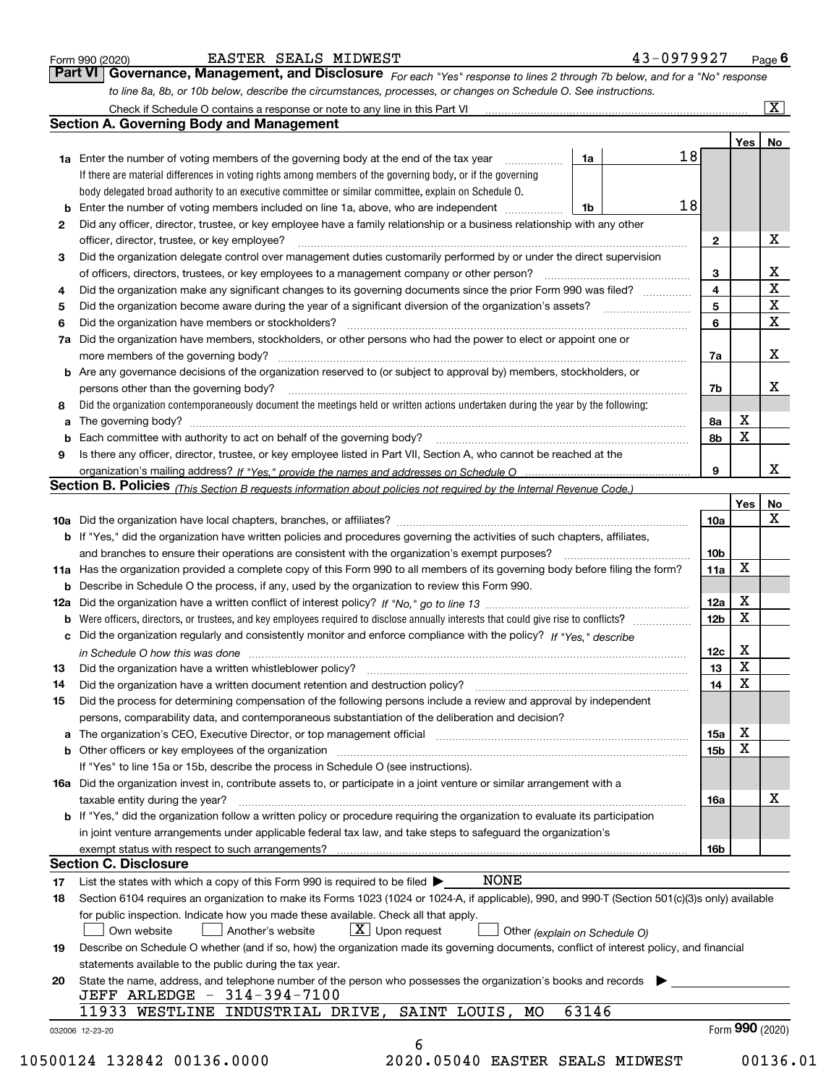|  | Form 990 (2020) |
|--|-----------------|
|  |                 |

| Form 990 (2020) | EASTER SEALS MIDWEST                                                                                                          | 43-0979927 | $P$ age $6$             |
|-----------------|-------------------------------------------------------------------------------------------------------------------------------|------------|-------------------------|
|                 | Part VI   Governance, Management, and Disclosure For each "Yes" response to lines 2 through 7b below, and for a "No" response |            |                         |
|                 | to line 8a, 8b, or 10b below, describe the circumstances, processes, or changes on Schedule O. See instructions.              |            |                         |
|                 | Check if Schedule O contains a response or note to any line in this Part VI                                                   |            | $\overline{\mathbf{X}}$ |

|    |                                                                                                                                                                                                                                |                |  |    |                 | Yes | No                      |  |  |  |  |  |
|----|--------------------------------------------------------------------------------------------------------------------------------------------------------------------------------------------------------------------------------|----------------|--|----|-----------------|-----|-------------------------|--|--|--|--|--|
|    | <b>1a</b> Enter the number of voting members of the governing body at the end of the tax year                                                                                                                                  | 1a             |  | 18 |                 |     |                         |  |  |  |  |  |
|    | If there are material differences in voting rights among members of the governing body, or if the governing                                                                                                                    |                |  |    |                 |     |                         |  |  |  |  |  |
|    | body delegated broad authority to an executive committee or similar committee, explain on Schedule O.                                                                                                                          |                |  |    |                 |     |                         |  |  |  |  |  |
| b  | Enter the number of voting members included on line 1a, above, who are independent                                                                                                                                             | 1 <sup>b</sup> |  | 18 |                 |     |                         |  |  |  |  |  |
| 2  | Did any officer, director, trustee, or key employee have a family relationship or a business relationship with any other                                                                                                       |                |  |    |                 |     |                         |  |  |  |  |  |
|    | officer, director, trustee, or key employee?                                                                                                                                                                                   |                |  |    | $\mathbf{2}$    | X   |                         |  |  |  |  |  |
| 3  | Did the organization delegate control over management duties customarily performed by or under the direct supervision                                                                                                          |                |  |    |                 |     |                         |  |  |  |  |  |
|    |                                                                                                                                                                                                                                |                |  |    | 3               |     | X                       |  |  |  |  |  |
| 4  | Did the organization make any significant changes to its governing documents since the prior Form 990 was filed?                                                                                                               |                |  |    | $\overline{4}$  |     | $\overline{\mathbf{x}}$ |  |  |  |  |  |
| 5  |                                                                                                                                                                                                                                |                |  |    | 5               |     | $\mathbf{X}$            |  |  |  |  |  |
| 6  | Did the organization have members or stockholders?                                                                                                                                                                             |                |  |    |                 |     |                         |  |  |  |  |  |
| 7a | Did the organization have members, stockholders, or other persons who had the power to elect or appoint one or                                                                                                                 |                |  |    |                 |     |                         |  |  |  |  |  |
|    |                                                                                                                                                                                                                                |                |  |    | 7a              |     | х                       |  |  |  |  |  |
|    | <b>b</b> Are any governance decisions of the organization reserved to (or subject to approval by) members, stockholders, or                                                                                                    |                |  |    |                 |     |                         |  |  |  |  |  |
|    | persons other than the governing body?                                                                                                                                                                                         |                |  |    | 7b              |     | х                       |  |  |  |  |  |
| 8  | Did the organization contemporaneously document the meetings held or written actions undertaken during the year by the following:                                                                                              |                |  |    |                 |     |                         |  |  |  |  |  |
| a  |                                                                                                                                                                                                                                |                |  |    | 8a              | X   |                         |  |  |  |  |  |
| b  |                                                                                                                                                                                                                                |                |  |    | 8b              | X   |                         |  |  |  |  |  |
| 9  | Is there any officer, director, trustee, or key employee listed in Part VII, Section A, who cannot be reached at the                                                                                                           |                |  |    |                 |     |                         |  |  |  |  |  |
|    |                                                                                                                                                                                                                                |                |  |    | 9               |     | x                       |  |  |  |  |  |
|    | Section B. Policies (This Section B requests information about policies not required by the Internal Revenue Code.)                                                                                                            |                |  |    |                 |     |                         |  |  |  |  |  |
|    |                                                                                                                                                                                                                                |                |  |    |                 | Yes | No                      |  |  |  |  |  |
|    |                                                                                                                                                                                                                                |                |  |    | 10a             |     | X                       |  |  |  |  |  |
|    |                                                                                                                                                                                                                                |                |  |    |                 |     |                         |  |  |  |  |  |
|    | <b>b</b> If "Yes," did the organization have written policies and procedures governing the activities of such chapters, affiliates,                                                                                            |                |  |    |                 |     |                         |  |  |  |  |  |
|    |                                                                                                                                                                                                                                |                |  |    | 10 <sub>b</sub> | X   |                         |  |  |  |  |  |
|    | 11a Has the organization provided a complete copy of this Form 990 to all members of its governing body before filing the form?                                                                                                |                |  |    | 11a             |     |                         |  |  |  |  |  |
|    | <b>b</b> Describe in Schedule O the process, if any, used by the organization to review this Form 990.                                                                                                                         |                |  |    |                 |     |                         |  |  |  |  |  |
|    |                                                                                                                                                                                                                                |                |  |    | 12a             | X   |                         |  |  |  |  |  |
| b  |                                                                                                                                                                                                                                |                |  |    | 12 <sub>b</sub> | X   |                         |  |  |  |  |  |
|    | c Did the organization regularly and consistently monitor and enforce compliance with the policy? If "Yes," describe                                                                                                           |                |  |    |                 |     |                         |  |  |  |  |  |
|    | in Schedule O how this was done manufactured and continuum control of the state of the state of the state of t                                                                                                                 |                |  |    | 12c             | Х   |                         |  |  |  |  |  |
| 13 | Did the organization have a written whistleblower policy? [11] matter content to the organization have a written whistleblower policy? [11] matter content content content of the organization have a written whistleblower po |                |  |    | 13              | X   |                         |  |  |  |  |  |
| 14 | Did the organization have a written document retention and destruction policy? manufactured and the organization have a written document retention and destruction policy?                                                     |                |  |    | 14              | X   |                         |  |  |  |  |  |
| 15 | Did the process for determining compensation of the following persons include a review and approval by independent                                                                                                             |                |  |    |                 |     |                         |  |  |  |  |  |
|    | persons, comparability data, and contemporaneous substantiation of the deliberation and decision?                                                                                                                              |                |  |    |                 |     |                         |  |  |  |  |  |
|    | a The organization's CEO, Executive Director, or top management official manufactured content content of the organization's CEO, Executive Director, or top management official manufactured content of the state of the state |                |  |    | 15a             | х   |                         |  |  |  |  |  |
|    |                                                                                                                                                                                                                                |                |  |    | 15b             | X   |                         |  |  |  |  |  |
|    | If "Yes" to line 15a or 15b, describe the process in Schedule O (see instructions).                                                                                                                                            |                |  |    |                 |     |                         |  |  |  |  |  |
|    | 16a Did the organization invest in, contribute assets to, or participate in a joint venture or similar arrangement with a                                                                                                      |                |  |    |                 |     |                         |  |  |  |  |  |
|    | taxable entity during the year?                                                                                                                                                                                                |                |  |    | 16a             |     | х                       |  |  |  |  |  |
|    | b If "Yes," did the organization follow a written policy or procedure requiring the organization to evaluate its participation                                                                                                 |                |  |    |                 |     |                         |  |  |  |  |  |
|    | in joint venture arrangements under applicable federal tax law, and take steps to safeguard the organization's                                                                                                                 |                |  |    |                 |     |                         |  |  |  |  |  |
|    | exempt status with respect to such arrangements?                                                                                                                                                                               |                |  |    | 16b             |     |                         |  |  |  |  |  |
|    | <b>Section C. Disclosure</b>                                                                                                                                                                                                   |                |  |    |                 |     |                         |  |  |  |  |  |
| 17 | <b>NONE</b><br>List the states with which a copy of this Form 990 is required to be filed $\blacktriangleright$                                                                                                                |                |  |    |                 |     |                         |  |  |  |  |  |
| 18 | Section 6104 requires an organization to make its Forms 1023 (1024 or 1024-A, if applicable), 990, and 990-T (Section 501(c)(3)s only) available                                                                               |                |  |    |                 |     |                         |  |  |  |  |  |
|    | for public inspection. Indicate how you made these available. Check all that apply.                                                                                                                                            |                |  |    |                 |     |                         |  |  |  |  |  |
|    | $\lfloor x \rfloor$ Upon request<br>Own website<br>Another's website<br>Other (explain on Schedule O)                                                                                                                          |                |  |    |                 |     |                         |  |  |  |  |  |
| 19 | Describe on Schedule O whether (and if so, how) the organization made its governing documents, conflict of interest policy, and financial                                                                                      |                |  |    |                 |     |                         |  |  |  |  |  |
|    | statements available to the public during the tax year.                                                                                                                                                                        |                |  |    |                 |     |                         |  |  |  |  |  |
| 20 | State the name, address, and telephone number of the person who possesses the organization's books and records                                                                                                                 |                |  |    |                 |     |                         |  |  |  |  |  |
|    | JEFF ARLEDGE - 314-394-7100                                                                                                                                                                                                    |                |  |    |                 |     |                         |  |  |  |  |  |
|    |                                                                                                                                                                                                                                |                |  |    |                 |     |                         |  |  |  |  |  |
|    | 11933 WESTLINE INDUSTRIAL DRIVE,<br>SAINT LOUIS,<br>МO                                                                                                                                                                         | 63146          |  |    |                 |     |                         |  |  |  |  |  |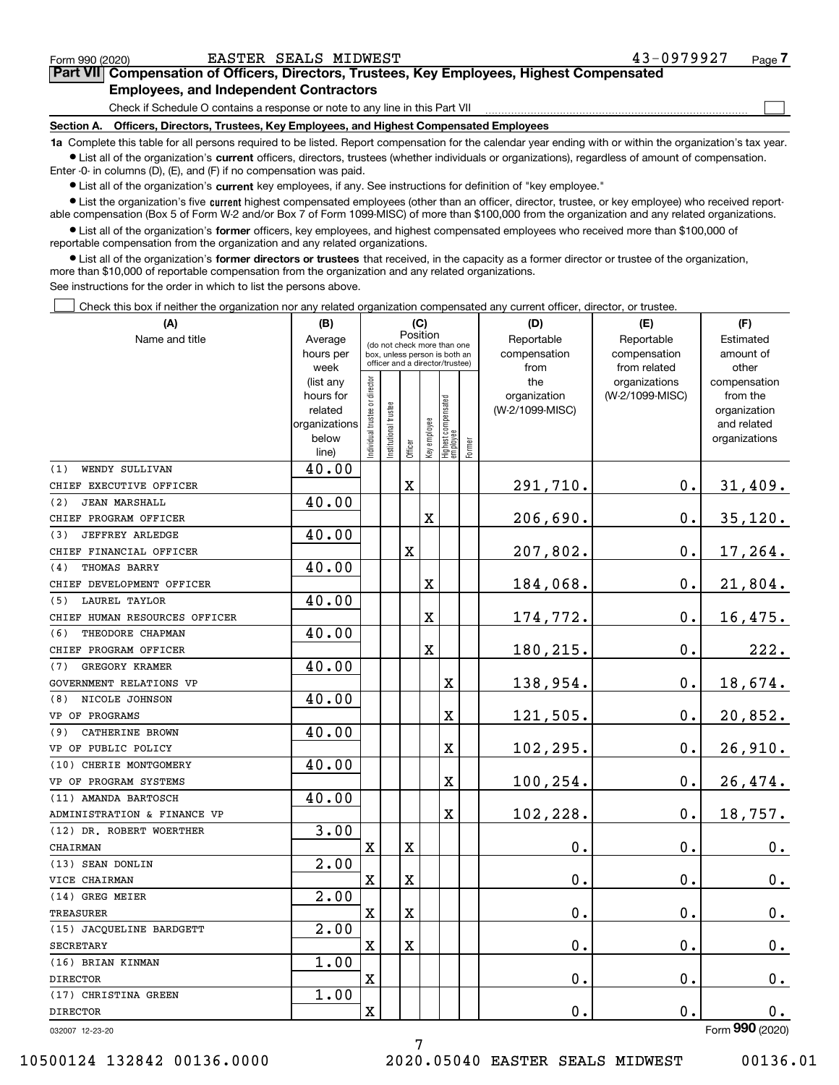$\mathcal{L}^{\text{max}}$ 

| Form 990 (2020) |                                               | EASTER SEALS MIDWEST | 43-0979927                                                                                 | Page 7 |
|-----------------|-----------------------------------------------|----------------------|--------------------------------------------------------------------------------------------|--------|
|                 |                                               |                      | Part VII Compensation of Officers, Directors, Trustees, Key Employees, Highest Compensated |        |
|                 | <b>Employees, and Independent Contractors</b> |                      |                                                                                            |        |

Check if Schedule O contains a response or note to any line in this Part VII

**Section A. Officers, Directors, Trustees, Key Employees, and Highest Compensated Employees**

**1a**  Complete this table for all persons required to be listed. Report compensation for the calendar year ending with or within the organization's tax year. **•** List all of the organization's current officers, directors, trustees (whether individuals or organizations), regardless of amount of compensation.

Enter -0- in columns (D), (E), and (F) if no compensation was paid.

 $\bullet$  List all of the organization's  $\,$ current key employees, if any. See instructions for definition of "key employee."

**•** List the organization's five current highest compensated employees (other than an officer, director, trustee, or key employee) who received reportable compensation (Box 5 of Form W-2 and/or Box 7 of Form 1099-MISC) of more than \$100,000 from the organization and any related organizations.

**•** List all of the organization's former officers, key employees, and highest compensated employees who received more than \$100,000 of reportable compensation from the organization and any related organizations.

**former directors or trustees**  ¥ List all of the organization's that received, in the capacity as a former director or trustee of the organization, more than \$10,000 of reportable compensation from the organization and any related organizations.

See instructions for the order in which to list the persons above.

Check this box if neither the organization nor any related organization compensated any current officer, director, or trustee.  $\mathcal{L}^{\text{max}}$ 

| (A)                           | (B)                    | (C)                                     |                                                                  |                         |              |                                  |        | (D)                 | (E)                              | (F)                      |
|-------------------------------|------------------------|-----------------------------------------|------------------------------------------------------------------|-------------------------|--------------|----------------------------------|--------|---------------------|----------------------------------|--------------------------|
| Name and title                | Average                | Position<br>(do not check more than one |                                                                  |                         |              |                                  |        | Reportable          | Reportable                       | Estimated                |
|                               | hours per              |                                         | box, unless person is both an<br>officer and a director/trustee) |                         |              |                                  |        | compensation        | compensation                     | amount of                |
|                               | week                   |                                         |                                                                  |                         |              |                                  |        | from                | from related                     | other                    |
|                               | (list any<br>hours for |                                         |                                                                  |                         |              |                                  |        | the<br>organization | organizations<br>(W-2/1099-MISC) | compensation<br>from the |
|                               | related                |                                         |                                                                  |                         |              |                                  |        | (W-2/1099-MISC)     |                                  | organization             |
|                               | organizations          |                                         |                                                                  |                         |              |                                  |        |                     |                                  | and related              |
|                               | below                  | Individual trustee or director          | Institutional trustee                                            |                         | Key employee |                                  |        |                     |                                  | organizations            |
|                               | line)                  |                                         |                                                                  | Officer                 |              | Highest compensated<br> employee | Former |                     |                                  |                          |
| WENDY SULLIVAN<br>(1)         | 40.00                  |                                         |                                                                  |                         |              |                                  |        |                     |                                  |                          |
| CHIEF EXECUTIVE OFFICER       |                        |                                         |                                                                  | X                       |              |                                  |        | 291,710.            | 0.                               | 31,409.                  |
| (2)<br><b>JEAN MARSHALL</b>   | 40.00                  |                                         |                                                                  |                         |              |                                  |        |                     |                                  |                          |
| CHIEF PROGRAM OFFICER         |                        |                                         |                                                                  |                         | X            |                                  |        | 206,690.            | 0.                               | 35,120.                  |
| <b>JEFFREY ARLEDGE</b><br>(3) | 40.00                  |                                         |                                                                  |                         |              |                                  |        |                     |                                  |                          |
| CHIEF FINANCIAL OFFICER       |                        |                                         |                                                                  | $\overline{\textbf{X}}$ |              |                                  |        | 207,802.            | 0.                               | 17,264.                  |
| THOMAS BARRY<br>(4)           | 40.00                  |                                         |                                                                  |                         |              |                                  |        |                     |                                  |                          |
| CHIEF DEVELOPMENT OFFICER     |                        |                                         |                                                                  |                         | х            |                                  |        | 184,068.            | 0.                               | 21,804.                  |
| <b>LAUREL TAYLOR</b><br>(5)   | 40.00                  |                                         |                                                                  |                         |              |                                  |        |                     |                                  |                          |
| CHIEF HUMAN RESOURCES OFFICER |                        |                                         |                                                                  |                         | X            |                                  |        | 174,772.            | 0.                               | 16,475.                  |
| THEODORE CHAPMAN<br>(6)       | 40.00                  |                                         |                                                                  |                         |              |                                  |        |                     |                                  |                          |
| CHIEF PROGRAM OFFICER         |                        |                                         |                                                                  |                         | X            |                                  |        | 180,215.            | 0.                               | 222.                     |
| GREGORY KRAMER<br>(7)         | 40.00                  |                                         |                                                                  |                         |              |                                  |        |                     |                                  |                          |
| GOVERNMENT RELATIONS VP       |                        |                                         |                                                                  |                         |              | $\mathbf X$                      |        | 138,954.            | 0.                               | 18,674.                  |
| NICOLE JOHNSON<br>(8)         | 40.00                  |                                         |                                                                  |                         |              |                                  |        |                     |                                  |                          |
| VP OF PROGRAMS                |                        |                                         |                                                                  |                         |              | X                                |        | 121,505.            | 0.                               | 20,852.                  |
| CATHERINE BROWN<br>(9)        | 40.00                  |                                         |                                                                  |                         |              |                                  |        |                     |                                  |                          |
| VP OF PUBLIC POLICY           |                        |                                         |                                                                  |                         |              | X                                |        | 102, 295.           | 0.                               | 26,910.                  |
| (10) CHERIE MONTGOMERY        | 40.00                  |                                         |                                                                  |                         |              |                                  |        |                     |                                  |                          |
| VP OF PROGRAM SYSTEMS         |                        |                                         |                                                                  |                         |              | X                                |        | 100,254.            | 0.                               | 26,474.                  |
| (11) AMANDA BARTOSCH          | 40.00                  |                                         |                                                                  |                         |              |                                  |        |                     |                                  |                          |
| ADMINISTRATION & FINANCE VP   |                        |                                         |                                                                  |                         |              | $\mathbf X$                      |        | 102,228.            | 0.                               | 18,757.                  |
| (12) DR. ROBERT WOERTHER      | 3.00                   |                                         |                                                                  |                         |              |                                  |        |                     |                                  |                          |
| CHAIRMAN                      |                        | X                                       |                                                                  | х                       |              |                                  |        | 0.                  | 0.                               | 0.                       |
| (13) SEAN DONLIN              | 2.00                   |                                         |                                                                  |                         |              |                                  |        |                     |                                  |                          |
| VICE CHAIRMAN                 |                        | $\mathbf X$                             |                                                                  | X                       |              |                                  |        | $\mathbf 0$ .       | 0.                               | 0.                       |
| (14) GREG MEIER               | $\overline{2}$ .00     |                                         |                                                                  |                         |              |                                  |        |                     |                                  |                          |
| TREASURER                     |                        | X                                       |                                                                  | X                       |              |                                  |        | 0.                  | 0.                               | 0.                       |
| (15) JACQUELINE BARDGETT      | 2.00                   |                                         |                                                                  |                         |              |                                  |        |                     |                                  |                          |
| <b>SECRETARY</b>              |                        | $\mathbf x$                             |                                                                  | X                       |              |                                  |        | $\mathbf 0$ .       | 0.                               | 0.                       |
| (16) BRIAN KINMAN             | 1.00                   |                                         |                                                                  |                         |              |                                  |        |                     |                                  |                          |
| <b>DIRECTOR</b>               |                        | $\mathbf X$                             |                                                                  |                         |              |                                  |        | 0.                  | 0.                               | $0_{.}$                  |
| (17) CHRISTINA GREEN          | 1.00                   |                                         |                                                                  |                         |              |                                  |        |                     |                                  |                          |
| <b>DIRECTOR</b>               |                        | X                                       |                                                                  |                         |              |                                  |        | 0.                  | 0.                               | 0.                       |
| 032007 12-23-20               |                        |                                         |                                                                  |                         |              |                                  |        |                     |                                  | Form 990 (2020)          |

7

032007 12-23-20

10500124 132842 00136.0000 2020.05040 EASTER SEALS MIDWEST 00136.01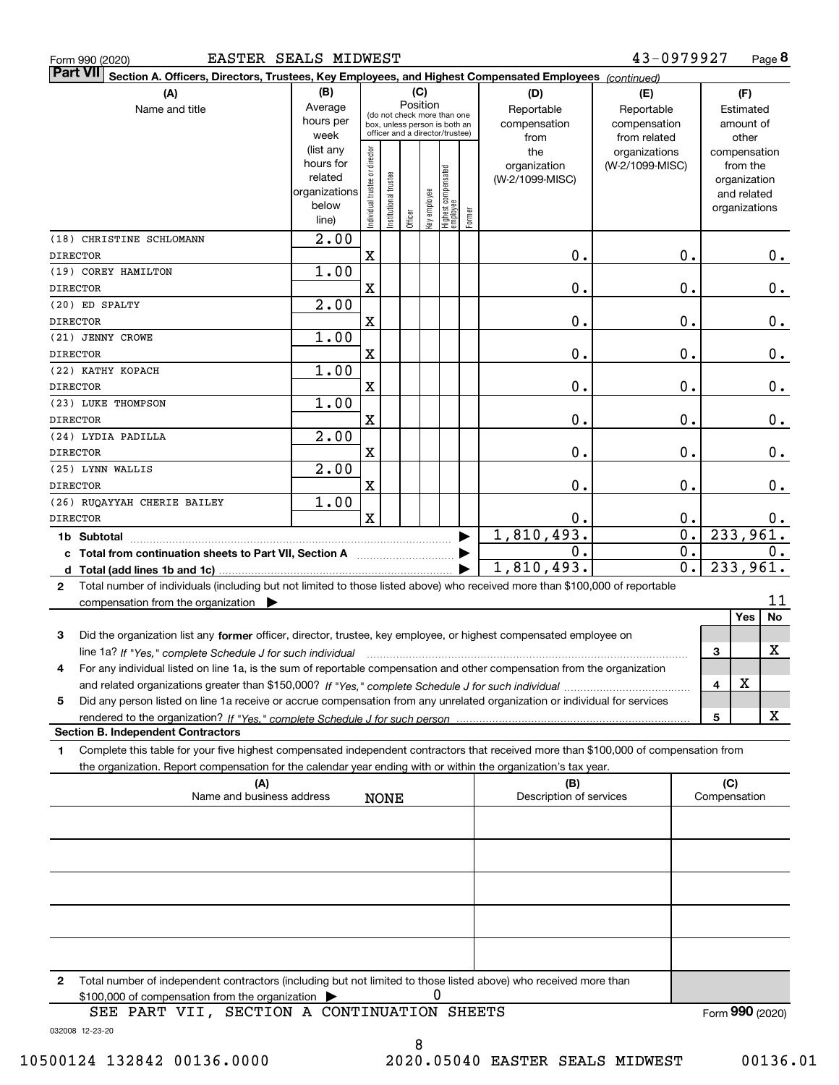| Form 990 (2020 |  |
|----------------|--|
|                |  |

| Part VII Section A. Officers, Directors, Trustees, Key Employees, and Highest Compensated Employees (continued)                           |                        |                                |                       |          |              |                                   |        |                                 |                 |                  |                 |                             |                  |
|-------------------------------------------------------------------------------------------------------------------------------------------|------------------------|--------------------------------|-----------------------|----------|--------------|-----------------------------------|--------|---------------------------------|-----------------|------------------|-----------------|-----------------------------|------------------|
| (B)<br>(C)<br>(A)<br>(D)<br>(E)                                                                                                           |                        |                                |                       |          |              |                                   |        |                                 |                 |                  | (F)             |                             |                  |
| Name and title                                                                                                                            | Average                |                                |                       | Position |              | (do not check more than one       |        | Reportable                      | Reportable      |                  |                 | Estimated                   |                  |
|                                                                                                                                           | hours per              |                                |                       |          |              | box, unless person is both an     |        | compensation                    | compensation    |                  |                 | amount of                   |                  |
|                                                                                                                                           | week                   |                                |                       |          |              | officer and a director/trustee)   |        | from                            | from related    |                  |                 | other                       |                  |
|                                                                                                                                           | (list any<br>hours for |                                |                       |          |              |                                   |        | the                             | organizations   |                  | compensation    |                             |                  |
|                                                                                                                                           | related                |                                |                       |          |              |                                   |        | organization<br>(W-2/1099-MISC) | (W-2/1099-MISC) |                  |                 | from the                    |                  |
|                                                                                                                                           | organizations          |                                |                       |          |              |                                   |        |                                 |                 |                  |                 | organization<br>and related |                  |
|                                                                                                                                           | below                  |                                |                       |          |              |                                   |        |                                 |                 |                  |                 | organizations               |                  |
|                                                                                                                                           | line)                  | Individual trustee or director | Institutional trustee | Officer  | key employee | Highest compensated<br>  employee | Former |                                 |                 |                  |                 |                             |                  |
| (18) CHRISTINE SCHLOMANN                                                                                                                  | 2.00                   |                                |                       |          |              |                                   |        |                                 |                 |                  |                 |                             |                  |
| <b>DIRECTOR</b>                                                                                                                           |                        | X                              |                       |          |              |                                   |        | $\mathbf 0$ .                   |                 | $\mathbf 0$ .    |                 |                             | 0.               |
| (19) COREY HAMILTON                                                                                                                       | 1.00                   |                                |                       |          |              |                                   |        |                                 |                 |                  |                 |                             |                  |
| <b>DIRECTOR</b>                                                                                                                           |                        | X                              |                       |          |              |                                   |        | 0.                              |                 | $\mathbf 0$ .    |                 |                             | $0$ .            |
| (20) ED SPALTY                                                                                                                            | 2.00                   |                                |                       |          |              |                                   |        |                                 |                 |                  |                 |                             |                  |
| <b>DIRECTOR</b>                                                                                                                           |                        | X                              |                       |          |              |                                   |        | 0.                              |                 | $\mathbf 0$ .    |                 |                             | $0$ .            |
| (21) JENNY CROWE                                                                                                                          | 1.00                   |                                |                       |          |              |                                   |        |                                 |                 |                  |                 |                             |                  |
| <b>DIRECTOR</b>                                                                                                                           |                        | X                              |                       |          |              |                                   |        | 0.                              |                 | $\mathbf 0$ .    |                 |                             | $0$ .            |
| (22) KATHY KOPACH                                                                                                                         | 1.00                   |                                |                       |          |              |                                   |        |                                 |                 |                  |                 |                             |                  |
| <b>DIRECTOR</b>                                                                                                                           |                        | X                              |                       |          |              |                                   |        | 0.                              |                 | $\mathbf 0$ .    |                 |                             | $0$ .            |
| (23) LUKE THOMPSON                                                                                                                        | 1.00                   |                                |                       |          |              |                                   |        |                                 |                 |                  |                 |                             |                  |
| <b>DIRECTOR</b>                                                                                                                           |                        | X                              |                       |          |              |                                   |        | 0.                              |                 | $\mathbf 0$ .    |                 |                             | 0.               |
| (24) LYDIA PADILLA                                                                                                                        | 2.00                   |                                |                       |          |              |                                   |        |                                 |                 |                  |                 |                             |                  |
| <b>DIRECTOR</b>                                                                                                                           |                        | $\mathbf X$                    |                       |          |              |                                   |        | 0.                              |                 | $\mathbf 0$ .    |                 |                             | 0.               |
| (25) LYNN WALLIS                                                                                                                          | 2.00                   |                                |                       |          |              |                                   |        |                                 |                 |                  |                 |                             |                  |
| <b>DIRECTOR</b>                                                                                                                           |                        | X                              |                       |          |              |                                   |        | 0.                              |                 | $\mathbf 0$ .    |                 |                             | 0.               |
| (26) RUQAYYAH CHERIE BAILEY                                                                                                               | 1.00                   |                                |                       |          |              |                                   |        |                                 |                 |                  |                 |                             |                  |
| <b>DIRECTOR</b>                                                                                                                           |                        | $\mathbf x$                    |                       |          |              |                                   |        | 0.                              |                 | 0.               |                 |                             |                  |
|                                                                                                                                           |                        |                                |                       |          |              |                                   |        | 1,810,493.                      |                 | $\overline{0}$ . | 233,961.        |                             | $0$ .            |
|                                                                                                                                           |                        |                                |                       |          |              |                                   |        | $\mathbf 0$ .                   |                 | $\overline{0}$ . |                 |                             |                  |
| c Total from continuation sheets to Part VII, Section A [11] [2000]                                                                       |                        |                                |                       |          |              |                                   |        | 1,810,493.                      |                 | $\overline{0}$ . | 233,961.        |                             | $\overline{0}$ . |
|                                                                                                                                           |                        |                                |                       |          |              |                                   |        |                                 |                 |                  |                 |                             |                  |
| Total number of individuals (including but not limited to those listed above) who received more than \$100,000 of reportable<br>2         |                        |                                |                       |          |              |                                   |        |                                 |                 |                  |                 |                             |                  |
| compensation from the organization                                                                                                        |                        |                                |                       |          |              |                                   |        |                                 |                 |                  |                 | Yes                         | 11               |
|                                                                                                                                           |                        |                                |                       |          |              |                                   |        |                                 |                 |                  |                 |                             | No               |
| Did the organization list any former officer, director, trustee, key employee, or highest compensated employee on<br>3                    |                        |                                |                       |          |              |                                   |        |                                 |                 |                  |                 |                             |                  |
|                                                                                                                                           |                        |                                |                       |          |              |                                   |        |                                 |                 |                  | 3               |                             | X                |
| For any individual listed on line 1a, is the sum of reportable compensation and other compensation from the organization<br>4             |                        |                                |                       |          |              |                                   |        |                                 |                 |                  |                 |                             |                  |
|                                                                                                                                           |                        |                                |                       |          |              |                                   |        |                                 |                 |                  | 4               | X                           |                  |
| Did any person listed on line 1a receive or accrue compensation from any unrelated organization or individual for services<br>5           |                        |                                |                       |          |              |                                   |        |                                 |                 |                  |                 |                             |                  |
|                                                                                                                                           |                        |                                |                       |          |              |                                   |        |                                 |                 |                  | 5               |                             | X                |
| <b>Section B. Independent Contractors</b>                                                                                                 |                        |                                |                       |          |              |                                   |        |                                 |                 |                  |                 |                             |                  |
| Complete this table for your five highest compensated independent contractors that received more than \$100,000 of compensation from<br>1 |                        |                                |                       |          |              |                                   |        |                                 |                 |                  |                 |                             |                  |
| the organization. Report compensation for the calendar year ending with or within the organization's tax year.                            |                        |                                |                       |          |              |                                   |        |                                 |                 |                  |                 |                             |                  |
| (A)                                                                                                                                       |                        |                                |                       |          |              |                                   |        | (B)                             |                 |                  | (C)             |                             |                  |
| Name and business address                                                                                                                 |                        |                                | <b>NONE</b>           |          |              |                                   |        | Description of services         |                 |                  | Compensation    |                             |                  |
|                                                                                                                                           |                        |                                |                       |          |              |                                   |        |                                 |                 |                  |                 |                             |                  |
|                                                                                                                                           |                        |                                |                       |          |              |                                   |        |                                 |                 |                  |                 |                             |                  |
|                                                                                                                                           |                        |                                |                       |          |              |                                   |        |                                 |                 |                  |                 |                             |                  |
|                                                                                                                                           |                        |                                |                       |          |              |                                   |        |                                 |                 |                  |                 |                             |                  |
|                                                                                                                                           |                        |                                |                       |          |              |                                   |        |                                 |                 |                  |                 |                             |                  |
|                                                                                                                                           |                        |                                |                       |          |              |                                   |        |                                 |                 |                  |                 |                             |                  |
|                                                                                                                                           |                        |                                |                       |          |              |                                   |        |                                 |                 |                  |                 |                             |                  |
|                                                                                                                                           |                        |                                |                       |          |              |                                   |        |                                 |                 |                  |                 |                             |                  |
|                                                                                                                                           |                        |                                |                       |          |              |                                   |        |                                 |                 |                  |                 |                             |                  |
|                                                                                                                                           |                        |                                |                       |          |              |                                   |        |                                 |                 |                  |                 |                             |                  |
| Total number of independent contractors (including but not limited to those listed above) who received more than<br>2                     |                        |                                |                       |          |              |                                   |        |                                 |                 |                  |                 |                             |                  |
| \$100,000 of compensation from the organization                                                                                           |                        |                                |                       |          |              | 0                                 |        |                                 |                 |                  |                 |                             |                  |
| SEE PART VII, SECTION A CONTINUATION SHEETS                                                                                               |                        |                                |                       |          |              |                                   |        |                                 |                 |                  | Form 990 (2020) |                             |                  |

032008 12-23-20

8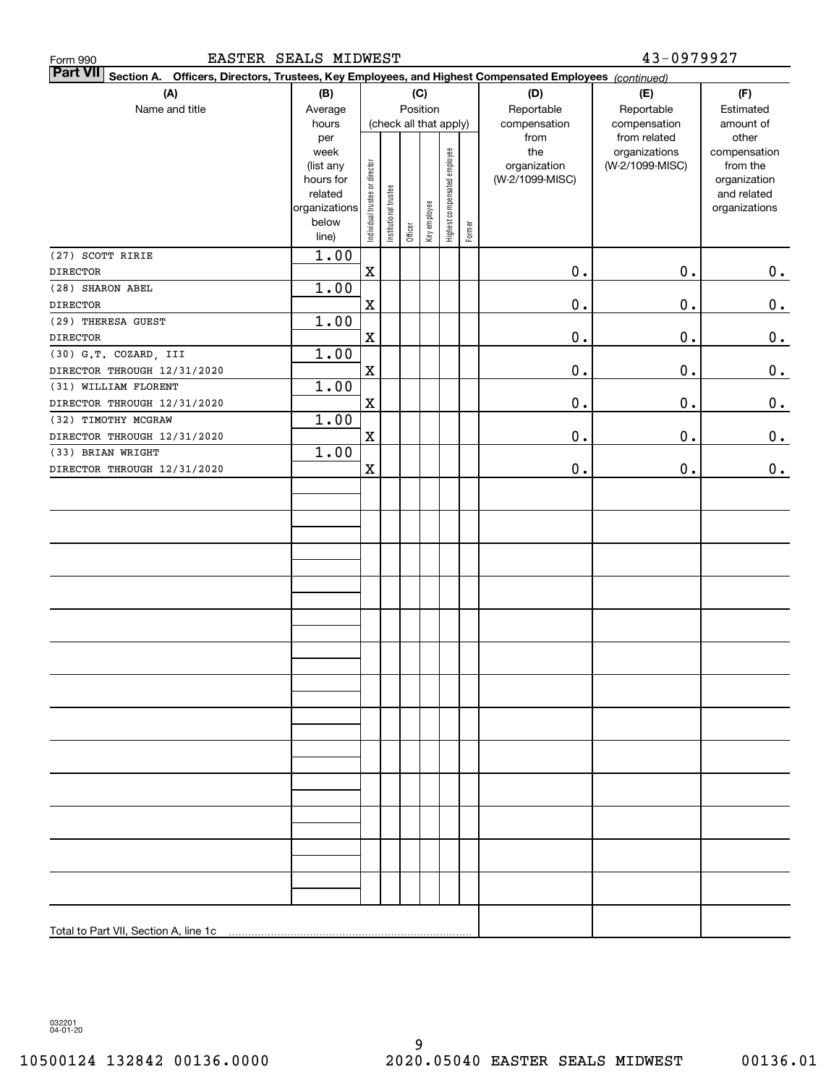| EASTER SEALS MIDWEST<br>Form 990                                                                                          | 43-0979927             |                                |                        |         |              |                              |        |                 |                               |                       |  |  |  |  |  |
|---------------------------------------------------------------------------------------------------------------------------|------------------------|--------------------------------|------------------------|---------|--------------|------------------------------|--------|-----------------|-------------------------------|-----------------------|--|--|--|--|--|
| <b>Part VII</b><br>Section A. Officers, Directors, Trustees, Key Employees, and Highest Compensated Employees (continued) |                        |                                |                        |         |              |                              |        |                 |                               |                       |  |  |  |  |  |
| (A)                                                                                                                       | (B)                    | (C)                            |                        |         |              |                              |        | (D)             | (E)                           | (F)                   |  |  |  |  |  |
| Name and title                                                                                                            | Average                |                                |                        |         | Position     |                              |        | Reportable      | Reportable                    | Estimated             |  |  |  |  |  |
|                                                                                                                           | hours                  |                                | (check all that apply) |         |              |                              |        | compensation    | compensation                  | amount of             |  |  |  |  |  |
|                                                                                                                           | per<br>week            |                                |                        |         |              |                              |        | from<br>the     | from related<br>organizations | other<br>compensation |  |  |  |  |  |
|                                                                                                                           | (list any              |                                |                        |         |              |                              |        | organization    | (W-2/1099-MISC)               | from the              |  |  |  |  |  |
|                                                                                                                           | hours for              |                                |                        |         |              |                              |        | (W-2/1099-MISC) |                               | organization          |  |  |  |  |  |
|                                                                                                                           | related                |                                |                        |         |              |                              |        |                 |                               | and related           |  |  |  |  |  |
|                                                                                                                           | organizations<br>below |                                |                        |         |              |                              |        |                 |                               | organizations         |  |  |  |  |  |
|                                                                                                                           | line)                  | Individual trustee or director | Institutional trustee  | Officer | Key employee | Highest compensated employee | Former |                 |                               |                       |  |  |  |  |  |
| (27) SCOTT RIRIE                                                                                                          | 1.00                   |                                |                        |         |              |                              |        |                 |                               |                       |  |  |  |  |  |
| <b>DIRECTOR</b>                                                                                                           |                        | $\mathbf X$                    |                        |         |              |                              |        | $0$ .           | 0.                            | $0_{.}$               |  |  |  |  |  |
| (28) SHARON ABEL                                                                                                          | 1.00                   |                                |                        |         |              |                              |        |                 |                               |                       |  |  |  |  |  |
| <b>DIRECTOR</b>                                                                                                           |                        | $\mathbf X$                    |                        |         |              |                              |        | $\mathbf 0$ .   | 0.                            | $0_{.}$               |  |  |  |  |  |
| (29) THERESA GUEST                                                                                                        | 1.00                   |                                |                        |         |              |                              |        |                 |                               |                       |  |  |  |  |  |
| <b>DIRECTOR</b>                                                                                                           |                        | $\mathbf X$                    |                        |         |              |                              |        | $\mathbf 0$ .   | 0.                            | 0.                    |  |  |  |  |  |
| (30) G.T. COZARD, III                                                                                                     | 1.00                   |                                |                        |         |              |                              |        |                 |                               |                       |  |  |  |  |  |
| DIRECTOR THROUGH 12/31/2020                                                                                               |                        | $\mathbf X$                    |                        |         |              |                              |        | $\mathbf 0$ .   | 0.                            | 0.                    |  |  |  |  |  |
| (31) WILLIAM FLORENT                                                                                                      | 1.00                   |                                |                        |         |              |                              |        |                 |                               |                       |  |  |  |  |  |
| DIRECTOR THROUGH 12/31/2020                                                                                               |                        | $\mathbf X$                    |                        |         |              |                              |        | $\mathbf 0$ .   | 0.                            | 0.                    |  |  |  |  |  |
| (32) TIMOTHY MCGRAW                                                                                                       | 1.00                   |                                |                        |         |              |                              |        |                 |                               |                       |  |  |  |  |  |
| DIRECTOR THROUGH 12/31/2020                                                                                               |                        | $\mathbf X$                    |                        |         |              |                              |        | $\mathbf 0$ .   | 0.                            | 0.                    |  |  |  |  |  |
| (33) BRIAN WRIGHT                                                                                                         | 1.00                   |                                |                        |         |              |                              |        |                 |                               |                       |  |  |  |  |  |
| DIRECTOR THROUGH 12/31/2020                                                                                               |                        | $\mathbf X$                    |                        |         |              |                              |        | 0.              | 0.                            | 0.                    |  |  |  |  |  |
|                                                                                                                           |                        |                                |                        |         |              |                              |        |                 |                               |                       |  |  |  |  |  |
|                                                                                                                           |                        |                                |                        |         |              |                              |        |                 |                               |                       |  |  |  |  |  |
|                                                                                                                           |                        |                                |                        |         |              |                              |        |                 |                               |                       |  |  |  |  |  |
|                                                                                                                           |                        |                                |                        |         |              |                              |        |                 |                               |                       |  |  |  |  |  |
|                                                                                                                           |                        |                                |                        |         |              |                              |        |                 |                               |                       |  |  |  |  |  |
|                                                                                                                           |                        |                                |                        |         |              |                              |        |                 |                               |                       |  |  |  |  |  |
|                                                                                                                           |                        |                                |                        |         |              |                              |        |                 |                               |                       |  |  |  |  |  |
|                                                                                                                           |                        |                                |                        |         |              |                              |        |                 |                               |                       |  |  |  |  |  |
|                                                                                                                           |                        |                                |                        |         |              |                              |        |                 |                               |                       |  |  |  |  |  |
|                                                                                                                           |                        |                                |                        |         |              |                              |        |                 |                               |                       |  |  |  |  |  |
|                                                                                                                           |                        |                                |                        |         |              |                              |        |                 |                               |                       |  |  |  |  |  |
|                                                                                                                           |                        |                                |                        |         |              |                              |        |                 |                               |                       |  |  |  |  |  |
|                                                                                                                           |                        |                                |                        |         |              |                              |        |                 |                               |                       |  |  |  |  |  |
|                                                                                                                           |                        |                                |                        |         |              |                              |        |                 |                               |                       |  |  |  |  |  |
|                                                                                                                           |                        |                                |                        |         |              |                              |        |                 |                               |                       |  |  |  |  |  |
|                                                                                                                           |                        |                                |                        |         |              |                              |        |                 |                               |                       |  |  |  |  |  |
|                                                                                                                           |                        |                                |                        |         |              |                              |        |                 |                               |                       |  |  |  |  |  |
|                                                                                                                           |                        |                                |                        |         |              |                              |        |                 |                               |                       |  |  |  |  |  |
|                                                                                                                           |                        |                                |                        |         |              |                              |        |                 |                               |                       |  |  |  |  |  |
|                                                                                                                           |                        |                                |                        |         |              |                              |        |                 |                               |                       |  |  |  |  |  |
|                                                                                                                           |                        |                                |                        |         |              |                              |        |                 |                               |                       |  |  |  |  |  |
|                                                                                                                           |                        |                                |                        |         |              |                              |        |                 |                               |                       |  |  |  |  |  |
|                                                                                                                           |                        |                                |                        |         |              |                              |        |                 |                               |                       |  |  |  |  |  |
|                                                                                                                           |                        |                                |                        |         |              |                              |        |                 |                               |                       |  |  |  |  |  |
|                                                                                                                           |                        |                                |                        |         |              |                              |        |                 |                               |                       |  |  |  |  |  |

032201 04-01-20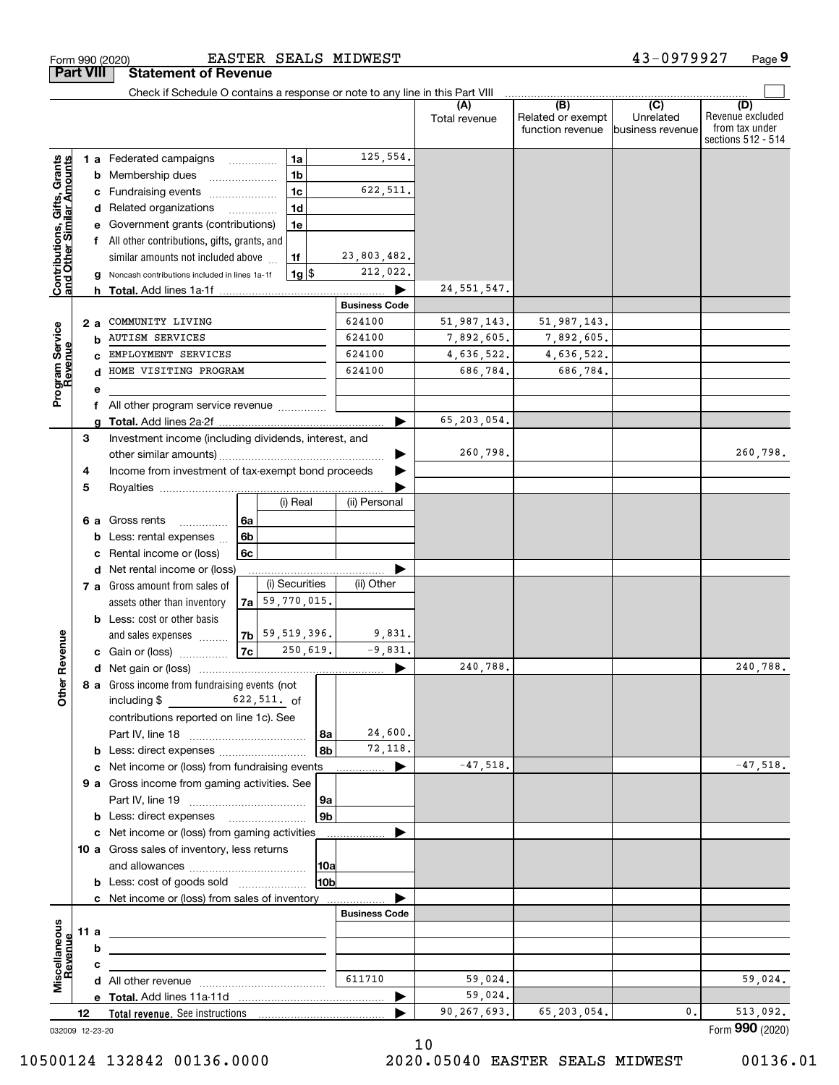|                                                           |      | Check if Schedule O contains a response or note to any line in this Part VIII |    |                                            |                |                      |                      | (B)                                   | $\overline{C}$                |                                                                 |
|-----------------------------------------------------------|------|-------------------------------------------------------------------------------|----|--------------------------------------------|----------------|----------------------|----------------------|---------------------------------------|-------------------------------|-----------------------------------------------------------------|
|                                                           |      |                                                                               |    |                                            |                |                      | (A)<br>Total revenue | Related or exempt<br>function revenue | Unrelated<br>business revenue | (D)<br>Revenue excluded<br>from tax under<br>sections 512 - 514 |
|                                                           |      | <b>1 a</b> Federated campaigns                                                |    | 1a                                         |                | 125,554.             |                      |                                       |                               |                                                                 |
| Contributions, Gifts, Grants<br>and Other Similar Amounts |      | <b>b</b> Membership dues                                                      |    | 1 <sub>b</sub>                             |                |                      |                      |                                       |                               |                                                                 |
|                                                           |      | c Fundraising events                                                          |    | 1 <sub>c</sub>                             |                | 622,511.             |                      |                                       |                               |                                                                 |
|                                                           |      | d Related organizations                                                       |    | 1 <sub>d</sub><br>$\overline{\phantom{a}}$ |                |                      |                      |                                       |                               |                                                                 |
|                                                           |      | e Government grants (contributions)                                           |    | 1e                                         |                |                      |                      |                                       |                               |                                                                 |
|                                                           |      | f All other contributions, gifts, grants, and                                 |    |                                            |                |                      |                      |                                       |                               |                                                                 |
|                                                           |      | similar amounts not included above                                            |    | 1f                                         |                | 23,803,482.          |                      |                                       |                               |                                                                 |
|                                                           |      | g Noncash contributions included in lines 1a-1f                               |    | $1g$ $\frac{1}{3}$                         |                | 212,022.             |                      |                                       |                               |                                                                 |
|                                                           |      |                                                                               |    |                                            |                |                      | 24, 551, 547.        |                                       |                               |                                                                 |
|                                                           |      |                                                                               |    |                                            |                | <b>Business Code</b> |                      |                                       |                               |                                                                 |
|                                                           | 2 a  | COMMUNITY LIVING                                                              |    |                                            |                | 624100               | 51,987,143.          | 51,987,143.                           |                               |                                                                 |
|                                                           | b    | <b>AUTISM SERVICES</b>                                                        |    |                                            |                | 624100               | 7,892,605.           | 7,892,605.                            |                               |                                                                 |
|                                                           |      | EMPLOYMENT SERVICES                                                           |    |                                            |                | 624100               | 4,636,522.           | 4,636,522.                            |                               |                                                                 |
| Program Service<br>Revenue                                | d    | HOME VISITING PROGRAM                                                         |    |                                            |                | 624100               | 686,784.             | 686,784.                              |                               |                                                                 |
|                                                           | е    |                                                                               |    |                                            |                |                      |                      |                                       |                               |                                                                 |
|                                                           |      | f All other program service revenue                                           |    |                                            |                | ▶                    | 65,203,054.          |                                       |                               |                                                                 |
|                                                           | З    | Investment income (including dividends, interest, and                         |    |                                            |                |                      |                      |                                       |                               |                                                                 |
|                                                           |      |                                                                               |    |                                            |                |                      | 260,798.             |                                       |                               | 260,798.                                                        |
|                                                           | 4    | Income from investment of tax-exempt bond proceeds                            |    |                                            |                |                      |                      |                                       |                               |                                                                 |
|                                                           | 5    |                                                                               |    |                                            |                |                      |                      |                                       |                               |                                                                 |
|                                                           |      |                                                                               |    | (i) Real                                   |                | (ii) Personal        |                      |                                       |                               |                                                                 |
|                                                           | 6а   | Gross rents<br>.                                                              | 6a |                                            |                |                      |                      |                                       |                               |                                                                 |
|                                                           | b    | Less: rental expenses                                                         | 6b |                                            |                |                      |                      |                                       |                               |                                                                 |
|                                                           | c    | Rental income or (loss)                                                       | 6c |                                            |                |                      |                      |                                       |                               |                                                                 |
|                                                           |      | d Net rental income or (loss)                                                 |    |                                            |                |                      |                      |                                       |                               |                                                                 |
|                                                           |      | 7 a Gross amount from sales of                                                |    | (i) Securities                             |                | (ii) Other           |                      |                                       |                               |                                                                 |
|                                                           |      | assets other than inventory                                                   |    | $7a$ 59, 770, 015.                         |                |                      |                      |                                       |                               |                                                                 |
|                                                           |      | <b>b</b> Less: cost or other basis                                            |    |                                            |                |                      |                      |                                       |                               |                                                                 |
|                                                           |      | and sales expenses                                                            |    | $ 7b $ 59,519,396.                         |                | 9,831.               |                      |                                       |                               |                                                                 |
|                                                           |      | <b>c</b> Gain or (loss)                                                       | 7c |                                            | 250,619.       | $-9.831.$            |                      |                                       |                               |                                                                 |
|                                                           |      |                                                                               |    |                                            |                | ▶                    | 240,788.             |                                       |                               | 240,788.                                                        |
|                                                           |      | 8 a Gross income from fundraising events (not                                 |    |                                            |                |                      |                      |                                       |                               |                                                                 |
|                                                           |      | $622,511.$ of<br>including $$$                                                |    |                                            |                |                      |                      |                                       |                               |                                                                 |
|                                                           |      | contributions reported on line 1c). See                                       |    |                                            |                |                      |                      |                                       |                               |                                                                 |
|                                                           |      |                                                                               |    |                                            | 8a             | 24,600.              |                      |                                       |                               |                                                                 |
|                                                           |      |                                                                               |    |                                            | 8b             | 72,118.              |                      |                                       |                               |                                                                 |
|                                                           |      | c Net income or (loss) from fundraising events                                |    |                                            |                | ▶                    | $-47,518.$           |                                       |                               | $-47,518.$                                                      |
|                                                           |      | 9 a Gross income from gaming activities. See                                  |    |                                            |                |                      |                      |                                       |                               |                                                                 |
|                                                           |      |                                                                               |    |                                            | 9a             |                      |                      |                                       |                               |                                                                 |
|                                                           |      | <b>b</b> Less: direct expenses <b>manually</b>                                |    |                                            | 9 <sub>b</sub> |                      |                      |                                       |                               |                                                                 |
|                                                           |      | c Net income or (loss) from gaming activities                                 |    |                                            |                | .                    |                      |                                       |                               |                                                                 |
|                                                           |      | 10 a Gross sales of inventory, less returns                                   |    |                                            |                |                      |                      |                                       |                               |                                                                 |
|                                                           |      | 10a                                                                           |    |                                            |                |                      |                      |                                       |                               |                                                                 |
|                                                           |      | <b>b</b> Less: cost of goods sold                                             |    |                                            | 10b            |                      |                      |                                       |                               |                                                                 |
|                                                           |      | c Net income or (loss) from sales of inventory                                |    |                                            |                |                      |                      |                                       |                               |                                                                 |
|                                                           |      |                                                                               |    |                                            |                | <b>Business Code</b> |                      |                                       |                               |                                                                 |
|                                                           | 11 a |                                                                               |    |                                            |                |                      |                      |                                       |                               |                                                                 |
|                                                           | b    |                                                                               |    |                                            |                |                      |                      |                                       |                               |                                                                 |
| Revenue                                                   | с    |                                                                               |    |                                            |                | 611710               | 59,024.              |                                       |                               | 59,024.                                                         |
|                                                           |      |                                                                               |    |                                            |                | ▶                    | 59,024.              |                                       |                               |                                                                 |
|                                                           | 12   |                                                                               |    |                                            |                |                      | 90,267,693.          | 65,203,054.                           | 0.                            | 513,092.                                                        |
|                                                           |      | 032009 12-23-20                                                               |    |                                            |                |                      |                      |                                       |                               | Form 990 (2020)                                                 |

EASTER SEALS MIDWEST

10500124 132842 00136.0000 2020.05040 EASTER SEALS MIDWEST 00136.01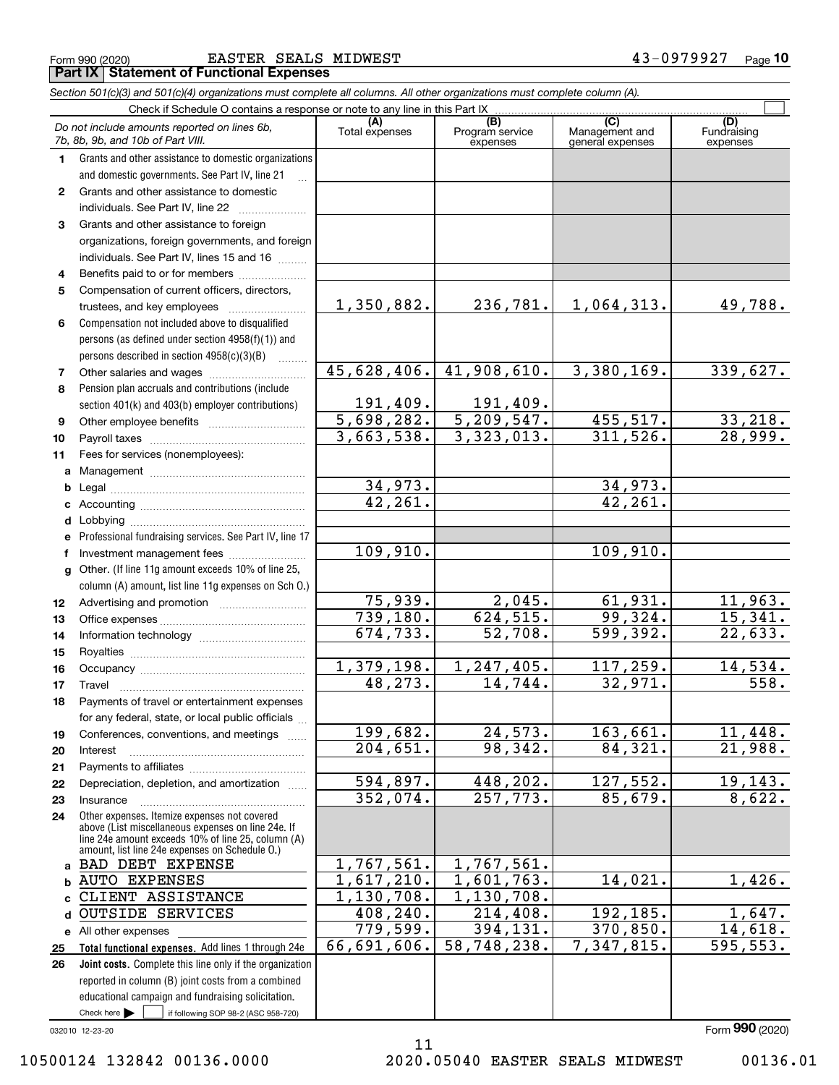|              | and domestic governments. See Part IV, line 21                            |                         |                          |            |                      |
|--------------|---------------------------------------------------------------------------|-------------------------|--------------------------|------------|----------------------|
| $\mathbf{2}$ | Grants and other assistance to domestic                                   |                         |                          |            |                      |
|              | individuals. See Part IV, line 22                                         |                         |                          |            |                      |
| 3            | Grants and other assistance to foreign                                    |                         |                          |            |                      |
|              | organizations, foreign governments, and foreign                           |                         |                          |            |                      |
|              | individuals. See Part IV, lines 15 and 16                                 |                         |                          |            |                      |
| 4            | Benefits paid to or for members                                           |                         |                          |            |                      |
| 5            | Compensation of current officers, directors,                              |                         |                          |            |                      |
|              | trustees, and key employees                                               | 1,350,882.              | 236,781.                 | 1,064,313. | 49,788.              |
| 6            | Compensation not included above to disqualified                           |                         |                          |            |                      |
|              | persons (as defined under section 4958(f)(1)) and                         |                         |                          |            |                      |
|              | persons described in section 4958(c)(3)(B)                                |                         |                          |            |                      |
| 7            |                                                                           | 45,628,406.             | 41,908,610.              | 3,380,169. | 339,627.             |
| 8            | Pension plan accruals and contributions (include                          |                         |                          |            |                      |
|              | section 401(k) and 403(b) employer contributions)                         | 191,409.                | 191,409.                 |            |                      |
| 9            |                                                                           | 5,698,282.              | $\overline{5,209,547}$ . | 455,517.   | 33,218.              |
| 10           |                                                                           | 3,663,538.              | 3,323,013.               | 311,526.   | 28,999.              |
| 11           | Fees for services (nonemployees):                                         |                         |                          |            |                      |
| a            |                                                                           |                         |                          |            |                      |
| b            |                                                                           | 34,973.                 |                          | 34,973.    |                      |
|              |                                                                           | 42, 261.                |                          | 42, 261.   |                      |
| d            | Lobbying                                                                  |                         |                          |            |                      |
|              | Professional fundraising services. See Part IV, line 17                   |                         |                          |            |                      |
|              | Investment management fees                                                | 109,910.                |                          | 109,910.   |                      |
|              | g Other. (If line 11g amount exceeds 10% of line 25,                      |                         |                          |            |                      |
|              | column (A) amount, list line 11g expenses on Sch O.)                      |                         |                          |            |                      |
| 12           |                                                                           | 75,939.                 | 2,045.                   | 61,931.    | 11,963.              |
| 13           |                                                                           | 739,180.                | 624, 515.                | 99,324.    | 15,341.              |
| 14           |                                                                           | $\overline{674, 733}$ . | 52,708.                  | 599,392.   | 22,633.              |
| 15           |                                                                           |                         |                          |            |                      |
| 16           |                                                                           | 1,379,198.              | 1,247,405.               | 117,259.   | 14,534.              |
| 17           | Travel                                                                    | 48, 273.                | 14,744.                  | 32,971.    | 558.                 |
| 18           | Payments of travel or entertainment expenses                              |                         |                          |            |                      |
|              | for any federal, state, or local public officials                         |                         |                          |            |                      |
|              | Conferences, conventions, and meetings                                    | 199,682.                | 24,573.                  | 163,661.   | 11,448.              |
| 19<br>20     | Interest                                                                  | 204,651.                | 98, 342.                 | 84,321.    | 21,988.              |
|              |                                                                           |                         |                          |            |                      |
| 21           | Depreciation, depletion, and amortization                                 | 594,897.                | 448,202.                 | 127,552.   | 19, 143.             |
| 22<br>23     | .<br>Insurance                                                            | 352,074.                | 257,773.                 | 85,679.    | 8,622.               |
|              | Other expenses. Itemize expenses not covered                              |                         |                          |            |                      |
| 24           | above (List miscellaneous expenses on line 24e. If                        |                         |                          |            |                      |
|              | line 24e amount exceeds 10% of line 25, column (A)                        |                         |                          |            |                      |
|              | amount, list line 24e expenses on Schedule 0.)<br><b>BAD DEBT EXPENSE</b> | 1,767,561.              | 1,767,561.               |            |                      |
| a            | <b>AUTO EXPENSES</b>                                                      | 1,617,210.              | 1,601,763.               | 14,021.    | 1,426.               |
| b            | CLIENT ASSISTANCE                                                         | 1,130,708.              | 1,130,708.               |            |                      |
|              | <b>OUTSIDE SERVICES</b>                                                   | 408,240.                | 214,408.                 | 192,185.   | 1,647.               |
| d            |                                                                           | 779,599.                | 394,131.                 | 370,850.   |                      |
|              | e All other expenses                                                      | 66,691,606.             | 58,748,238.              | 7,347,815. | 14,618.<br>595, 553. |
| 25           | Total functional expenses. Add lines 1 through 24e                        |                         |                          |            |                      |
| 26           | Joint costs. Complete this line only if the organization                  |                         |                          |            |                      |
|              | reported in column (B) joint costs from a combined                        |                         |                          |            |                      |
|              | educational campaign and fundraising solicitation.                        |                         |                          |            |                      |
|              | Check here<br>if following SOP 98-2 (ASC 958-720)                         |                         |                          |            |                      |
|              | 032010 12-23-20                                                           |                         |                          |            | Form 990 (2020)      |

*7b, 8b, 9b, and 10b of Part VIII.*

**1**

**Part IX Statement of Functional Expenses**

Grants and other assistance to domestic organizations

*Do not include amounts reported on lines 6b,*

*Section 501(c)(3) and 501(c)(4) organizations must complete all columns. All other organizations must complete column (A).*

Check if Schedule O contains a response or note to any line in this Part IX ...<br>amounts reported on lines  $\mathcal{E}_h$  (A) (8)

**(A)**

Total expenses Program service expenses

Form 990 (2020) EASTER SEALS MIDWEST 4 3-0 9 7 9 9 2 7 <sub>Page</sub> **10**

Fundraising expenses

 $\mathcal{L}^{\text{max}}$ 

**(C)** (C) (C)<br>
penses Program service Management and Fundrai<br>
expenses general expenses expen

10500124 132842 00136.0000 2020.05040 EASTER SEALS MIDWEST 00136.01

11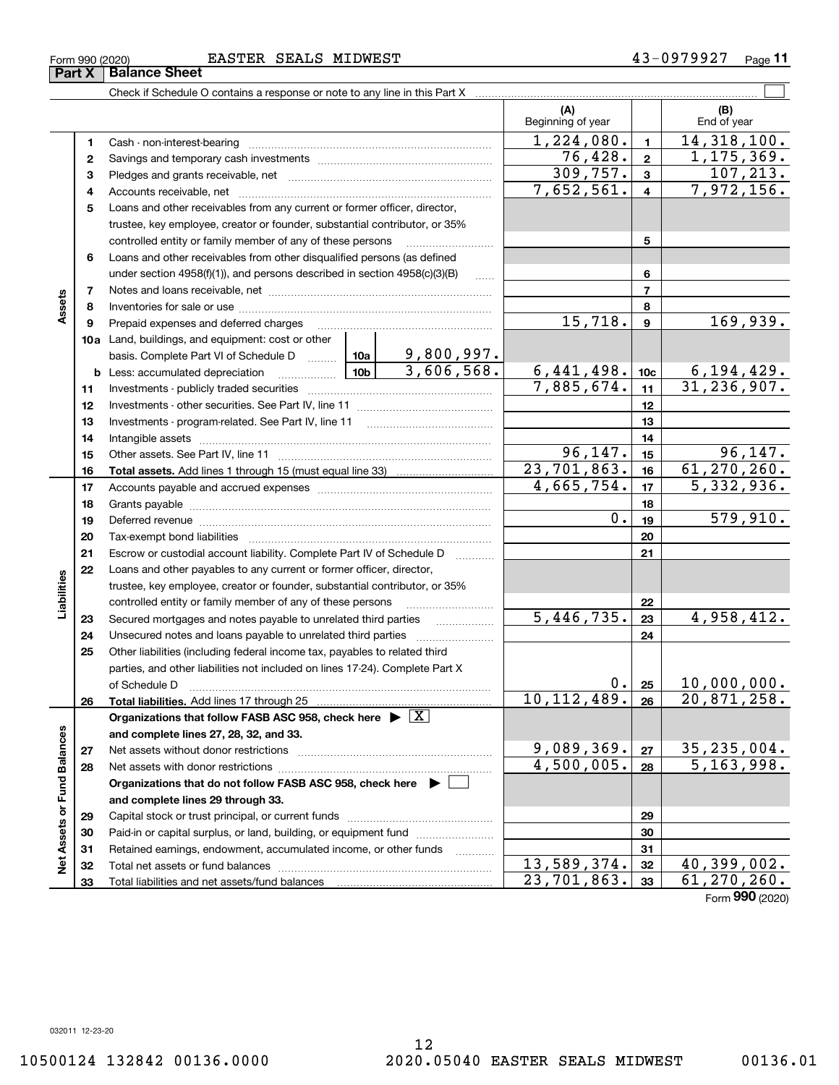**Part X Balance Sheet**

Form 990 (2020) EASTER SEALS MIDWEST 4 3-0 9 7 9 9 2 7 <sub>Page</sub>

**11**

|                             |          |                                                                                                                              |                  |            | (A)<br>Beginning of year |                         | (B)<br>End of year              |
|-----------------------------|----------|------------------------------------------------------------------------------------------------------------------------------|------------------|------------|--------------------------|-------------------------|---------------------------------|
|                             | 1        |                                                                                                                              |                  |            | $\overline{1,224,080}$ . | $\blacksquare$          | 14,318,100.                     |
|                             | 2        |                                                                                                                              |                  |            | $\overline{76, 428}$ .   | $\mathbf{2}$            | 1, 175, 369.                    |
|                             | 3        |                                                                                                                              |                  |            | 309,757.                 | $\mathbf{3}$            | 107, 213.                       |
|                             | 4        |                                                                                                                              |                  |            | 7,652,561.               | $\overline{\mathbf{4}}$ | 7,972,156.                      |
|                             | 5        | Loans and other receivables from any current or former officer, director,                                                    |                  |            |                          |                         |                                 |
|                             |          | trustee, key employee, creator or founder, substantial contributor, or 35%                                                   |                  |            |                          |                         |                                 |
|                             |          | controlled entity or family member of any of these persons                                                                   |                  |            |                          | 5                       |                                 |
|                             | 6        | Loans and other receivables from other disqualified persons (as defined                                                      |                  |            |                          |                         |                                 |
|                             |          | under section $4958(f)(1)$ , and persons described in section $4958(c)(3)(B)$                                                |                  | 1.1.1.1    |                          | 6                       |                                 |
|                             | 7        |                                                                                                                              |                  |            |                          | $\overline{7}$          |                                 |
| Assets                      | 8        |                                                                                                                              |                  |            |                          | 8                       |                                 |
|                             | 9        | Prepaid expenses and deferred charges                                                                                        |                  |            | 15,718.                  | $\overline{9}$          | 169,939.                        |
|                             |          | 10a Land, buildings, and equipment: cost or other                                                                            |                  |            |                          |                         |                                 |
|                             |          | basis. Complete Part VI of Schedule D  10a                                                                                   |                  | 9,800,997. |                          |                         |                                 |
|                             |          | │ 10b │<br><b>b</b> Less: accumulated depreciation                                                                           |                  | 3,606,568. | 6,441,498.               | 10 <sub>c</sub>         | $6, 194, 429.$<br>31, 236, 907. |
|                             | 11       |                                                                                                                              |                  | 7,885,674. | 11                       |                         |                                 |
|                             | 12       |                                                                                                                              |                  | 12         |                          |                         |                                 |
|                             | 13       |                                                                                                                              |                  | 13         |                          |                         |                                 |
|                             | 14       |                                                                                                                              |                  |            |                          | 14                      |                                 |
|                             | 15       |                                                                                                                              |                  |            | 96, 147.                 | 15                      | 96, 147.                        |
|                             | 16       |                                                                                                                              |                  |            | 23,701,863.              | 16                      | 61, 270, 260.                   |
|                             | 17       |                                                                                                                              | 4,665,754.       | 17         | 5, 332, 936.             |                         |                                 |
|                             | 18       |                                                                                                                              | $\overline{0}$ . | 18         | 579,910.                 |                         |                                 |
|                             | 19       | Deferred revenue manual contracts and contracts and contracts are contracted and contracts are contracted and c              |                  |            | 19                       |                         |                                 |
|                             | 20       |                                                                                                                              |                  |            |                          | 20                      |                                 |
|                             | 21       | Escrow or custodial account liability. Complete Part IV of Schedule D                                                        |                  |            |                          | 21                      |                                 |
|                             | 22       | Loans and other payables to any current or former officer, director,                                                         |                  |            |                          |                         |                                 |
| Liabilities                 |          | trustee, key employee, creator or founder, substantial contributor, or 35%                                                   |                  |            |                          | 22                      |                                 |
|                             |          | controlled entity or family member of any of these persons<br>Secured mortgages and notes payable to unrelated third parties |                  |            | 5,446,735.               | 23                      | 4,958,412.                      |
|                             | 23<br>24 | Unsecured notes and loans payable to unrelated third parties                                                                 |                  |            |                          | 24                      |                                 |
|                             | 25       | Other liabilities (including federal income tax, payables to related third                                                   |                  |            |                          |                         |                                 |
|                             |          | parties, and other liabilities not included on lines 17-24). Complete Part X                                                 |                  |            |                          |                         |                                 |
|                             |          |                                                                                                                              |                  |            | 0.1                      | 25                      | 10,000,000.                     |
|                             | 26       |                                                                                                                              |                  |            | 10, 112, 489.            | 26                      | 20,871,258.                     |
|                             |          | Organizations that follow FASB ASC 958, check here $\blacktriangleright \lfloor X \rfloor$                                   |                  |            |                          |                         |                                 |
|                             |          | and complete lines 27, 28, 32, and 33.                                                                                       |                  |            |                          |                         |                                 |
|                             | 27       |                                                                                                                              |                  |            | 9,089,369.               | 27                      | 35, 235, 004.                   |
|                             | 28       |                                                                                                                              |                  |            | 4,500,005.               | 28                      | 5, 163, 998.                    |
|                             |          | Organizations that do not follow FASB ASC 958, check here $\blacktriangleright$                                              |                  |            |                          |                         |                                 |
|                             |          | and complete lines 29 through 33.                                                                                            |                  |            |                          |                         |                                 |
| Net Assets or Fund Balances | 29       |                                                                                                                              |                  | 29         |                          |                         |                                 |
|                             | 30       | Paid-in or capital surplus, or land, building, or equipment fund                                                             |                  |            |                          | 30                      |                                 |
|                             | 31       | Retained earnings, endowment, accumulated income, or other funds                                                             |                  |            |                          | 31                      |                                 |
|                             | 32       | Total net assets or fund balances                                                                                            |                  |            | 13,589,374.              | 32                      | 40,399,002.                     |
|                             | 33       |                                                                                                                              |                  |            | 23,701,863.              | 33                      | 61, 270, 260.                   |

Form (2020) **990**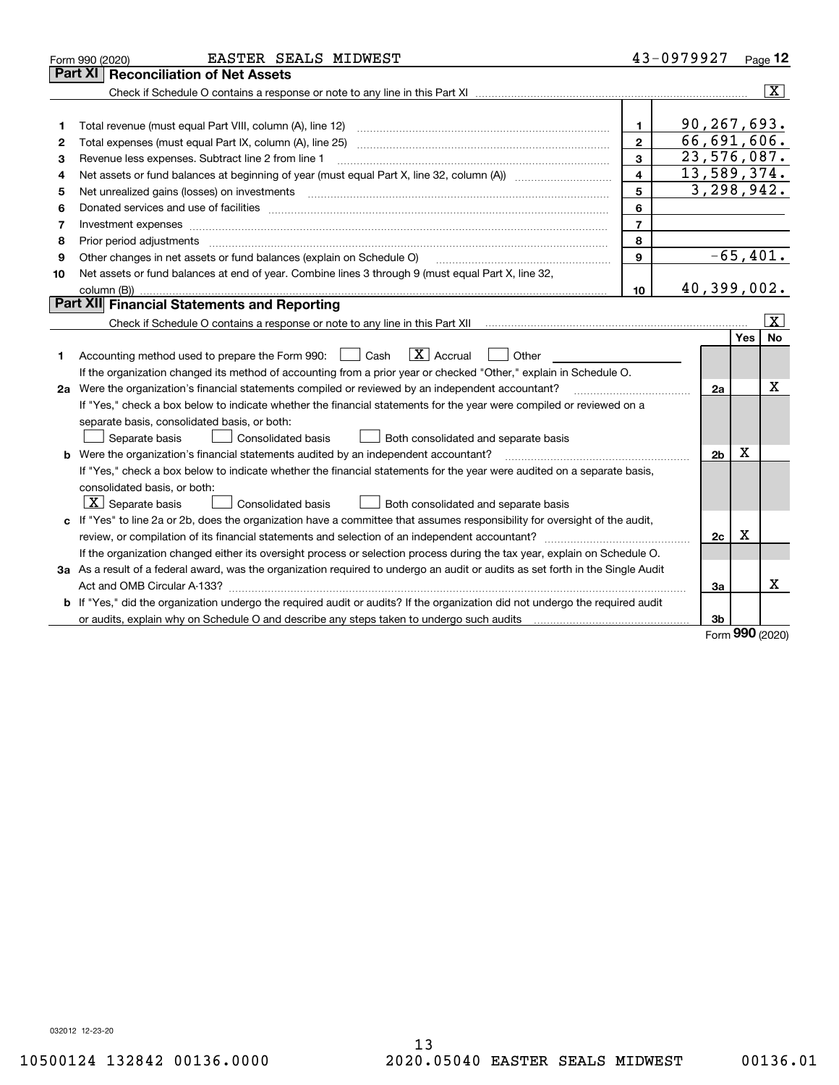| <b>Part XI Reconciliation of Net Assets</b><br>$\overline{\mathtt{x}}$<br>90,267,693.<br>$\mathbf{1}$<br>1<br>66,691,606.<br>$\mathbf{2}$<br>2<br>23,576,087.<br>3<br>Revenue less expenses. Subtract line 2 from line 1<br>З<br>13,589,374.<br>4<br>4<br>3, 298, 942.<br>5<br>Net unrealized gains (losses) on investments<br>5<br>6<br>6<br>$\overline{7}$<br>7<br>Investment expenses<br>8<br>8<br>$-65, 401.$<br>9<br>Other changes in net assets or fund balances (explain on Schedule O)<br>9<br>Net assets or fund balances at end of year. Combine lines 3 through 9 (must equal Part X, line 32,<br>10<br>40,399,002.<br>10<br>Part XII Financial Statements and Reporting<br>$\vert$ X $\vert$<br>No<br>Yes<br>$\boxed{\text{X}}$ Accrual<br>Accounting method used to prepare the Form 990: <u>[</u> Cash<br>Other<br>1<br>If the organization changed its method of accounting from a prior year or checked "Other," explain in Schedule O.<br>X<br>2a Were the organization's financial statements compiled or reviewed by an independent accountant?<br>2a<br>If "Yes," check a box below to indicate whether the financial statements for the year were compiled or reviewed on a<br>separate basis, consolidated basis, or both:<br>Both consolidated and separate basis<br>Separate basis<br>Consolidated basis<br>X<br><b>b</b> Were the organization's financial statements audited by an independent accountant?<br>2 <sub>b</sub><br>If "Yes," check a box below to indicate whether the financial statements for the year were audited on a separate basis,<br>consolidated basis, or both:<br>$X$ Separate basis<br>Both consolidated and separate basis<br><b>Consolidated basis</b><br>c If "Yes" to line 2a or 2b, does the organization have a committee that assumes responsibility for oversight of the audit,<br>Χ<br>review, or compilation of its financial statements and selection of an independent accountant?<br>2c<br>If the organization changed either its oversight process or selection process during the tax year, explain on Schedule O.<br>3a As a result of a federal award, was the organization required to undergo an audit or audits as set forth in the Single Audit<br>X<br>За<br><b>b</b> If "Yes," did the organization undergo the required audit or audits? If the organization did not undergo the required audit<br>or audits, explain why on Schedule O and describe any steps taken to undergo such audits [11] content to under<br>3b | EASTER SEALS MIDWEST<br>Form 990 (2020) | 43-0979927 | $Page$ 12 |
|-----------------------------------------------------------------------------------------------------------------------------------------------------------------------------------------------------------------------------------------------------------------------------------------------------------------------------------------------------------------------------------------------------------------------------------------------------------------------------------------------------------------------------------------------------------------------------------------------------------------------------------------------------------------------------------------------------------------------------------------------------------------------------------------------------------------------------------------------------------------------------------------------------------------------------------------------------------------------------------------------------------------------------------------------------------------------------------------------------------------------------------------------------------------------------------------------------------------------------------------------------------------------------------------------------------------------------------------------------------------------------------------------------------------------------------------------------------------------------------------------------------------------------------------------------------------------------------------------------------------------------------------------------------------------------------------------------------------------------------------------------------------------------------------------------------------------------------------------------------------------------------------------------------------------------------------------------------------------------------------------------------------------------------------------------------------------------------------------------------------------------------------------------------------------------------------------------------------------------------------------------------------------------------------------------------------------------------------------------------------------------------------------------------------------------------------------------------------------------------------------------|-----------------------------------------|------------|-----------|
|                                                                                                                                                                                                                                                                                                                                                                                                                                                                                                                                                                                                                                                                                                                                                                                                                                                                                                                                                                                                                                                                                                                                                                                                                                                                                                                                                                                                                                                                                                                                                                                                                                                                                                                                                                                                                                                                                                                                                                                                                                                                                                                                                                                                                                                                                                                                                                                                                                                                                                     |                                         |            |           |
|                                                                                                                                                                                                                                                                                                                                                                                                                                                                                                                                                                                                                                                                                                                                                                                                                                                                                                                                                                                                                                                                                                                                                                                                                                                                                                                                                                                                                                                                                                                                                                                                                                                                                                                                                                                                                                                                                                                                                                                                                                                                                                                                                                                                                                                                                                                                                                                                                                                                                                     |                                         |            |           |
|                                                                                                                                                                                                                                                                                                                                                                                                                                                                                                                                                                                                                                                                                                                                                                                                                                                                                                                                                                                                                                                                                                                                                                                                                                                                                                                                                                                                                                                                                                                                                                                                                                                                                                                                                                                                                                                                                                                                                                                                                                                                                                                                                                                                                                                                                                                                                                                                                                                                                                     |                                         |            |           |
|                                                                                                                                                                                                                                                                                                                                                                                                                                                                                                                                                                                                                                                                                                                                                                                                                                                                                                                                                                                                                                                                                                                                                                                                                                                                                                                                                                                                                                                                                                                                                                                                                                                                                                                                                                                                                                                                                                                                                                                                                                                                                                                                                                                                                                                                                                                                                                                                                                                                                                     |                                         |            |           |
|                                                                                                                                                                                                                                                                                                                                                                                                                                                                                                                                                                                                                                                                                                                                                                                                                                                                                                                                                                                                                                                                                                                                                                                                                                                                                                                                                                                                                                                                                                                                                                                                                                                                                                                                                                                                                                                                                                                                                                                                                                                                                                                                                                                                                                                                                                                                                                                                                                                                                                     |                                         |            |           |
|                                                                                                                                                                                                                                                                                                                                                                                                                                                                                                                                                                                                                                                                                                                                                                                                                                                                                                                                                                                                                                                                                                                                                                                                                                                                                                                                                                                                                                                                                                                                                                                                                                                                                                                                                                                                                                                                                                                                                                                                                                                                                                                                                                                                                                                                                                                                                                                                                                                                                                     |                                         |            |           |
|                                                                                                                                                                                                                                                                                                                                                                                                                                                                                                                                                                                                                                                                                                                                                                                                                                                                                                                                                                                                                                                                                                                                                                                                                                                                                                                                                                                                                                                                                                                                                                                                                                                                                                                                                                                                                                                                                                                                                                                                                                                                                                                                                                                                                                                                                                                                                                                                                                                                                                     |                                         |            |           |
|                                                                                                                                                                                                                                                                                                                                                                                                                                                                                                                                                                                                                                                                                                                                                                                                                                                                                                                                                                                                                                                                                                                                                                                                                                                                                                                                                                                                                                                                                                                                                                                                                                                                                                                                                                                                                                                                                                                                                                                                                                                                                                                                                                                                                                                                                                                                                                                                                                                                                                     |                                         |            |           |
|                                                                                                                                                                                                                                                                                                                                                                                                                                                                                                                                                                                                                                                                                                                                                                                                                                                                                                                                                                                                                                                                                                                                                                                                                                                                                                                                                                                                                                                                                                                                                                                                                                                                                                                                                                                                                                                                                                                                                                                                                                                                                                                                                                                                                                                                                                                                                                                                                                                                                                     |                                         |            |           |
|                                                                                                                                                                                                                                                                                                                                                                                                                                                                                                                                                                                                                                                                                                                                                                                                                                                                                                                                                                                                                                                                                                                                                                                                                                                                                                                                                                                                                                                                                                                                                                                                                                                                                                                                                                                                                                                                                                                                                                                                                                                                                                                                                                                                                                                                                                                                                                                                                                                                                                     |                                         |            |           |
|                                                                                                                                                                                                                                                                                                                                                                                                                                                                                                                                                                                                                                                                                                                                                                                                                                                                                                                                                                                                                                                                                                                                                                                                                                                                                                                                                                                                                                                                                                                                                                                                                                                                                                                                                                                                                                                                                                                                                                                                                                                                                                                                                                                                                                                                                                                                                                                                                                                                                                     |                                         |            |           |
|                                                                                                                                                                                                                                                                                                                                                                                                                                                                                                                                                                                                                                                                                                                                                                                                                                                                                                                                                                                                                                                                                                                                                                                                                                                                                                                                                                                                                                                                                                                                                                                                                                                                                                                                                                                                                                                                                                                                                                                                                                                                                                                                                                                                                                                                                                                                                                                                                                                                                                     |                                         |            |           |
|                                                                                                                                                                                                                                                                                                                                                                                                                                                                                                                                                                                                                                                                                                                                                                                                                                                                                                                                                                                                                                                                                                                                                                                                                                                                                                                                                                                                                                                                                                                                                                                                                                                                                                                                                                                                                                                                                                                                                                                                                                                                                                                                                                                                                                                                                                                                                                                                                                                                                                     |                                         |            |           |
|                                                                                                                                                                                                                                                                                                                                                                                                                                                                                                                                                                                                                                                                                                                                                                                                                                                                                                                                                                                                                                                                                                                                                                                                                                                                                                                                                                                                                                                                                                                                                                                                                                                                                                                                                                                                                                                                                                                                                                                                                                                                                                                                                                                                                                                                                                                                                                                                                                                                                                     |                                         |            |           |
|                                                                                                                                                                                                                                                                                                                                                                                                                                                                                                                                                                                                                                                                                                                                                                                                                                                                                                                                                                                                                                                                                                                                                                                                                                                                                                                                                                                                                                                                                                                                                                                                                                                                                                                                                                                                                                                                                                                                                                                                                                                                                                                                                                                                                                                                                                                                                                                                                                                                                                     |                                         |            |           |
|                                                                                                                                                                                                                                                                                                                                                                                                                                                                                                                                                                                                                                                                                                                                                                                                                                                                                                                                                                                                                                                                                                                                                                                                                                                                                                                                                                                                                                                                                                                                                                                                                                                                                                                                                                                                                                                                                                                                                                                                                                                                                                                                                                                                                                                                                                                                                                                                                                                                                                     |                                         |            |           |
|                                                                                                                                                                                                                                                                                                                                                                                                                                                                                                                                                                                                                                                                                                                                                                                                                                                                                                                                                                                                                                                                                                                                                                                                                                                                                                                                                                                                                                                                                                                                                                                                                                                                                                                                                                                                                                                                                                                                                                                                                                                                                                                                                                                                                                                                                                                                                                                                                                                                                                     |                                         |            |           |
|                                                                                                                                                                                                                                                                                                                                                                                                                                                                                                                                                                                                                                                                                                                                                                                                                                                                                                                                                                                                                                                                                                                                                                                                                                                                                                                                                                                                                                                                                                                                                                                                                                                                                                                                                                                                                                                                                                                                                                                                                                                                                                                                                                                                                                                                                                                                                                                                                                                                                                     |                                         |            |           |
|                                                                                                                                                                                                                                                                                                                                                                                                                                                                                                                                                                                                                                                                                                                                                                                                                                                                                                                                                                                                                                                                                                                                                                                                                                                                                                                                                                                                                                                                                                                                                                                                                                                                                                                                                                                                                                                                                                                                                                                                                                                                                                                                                                                                                                                                                                                                                                                                                                                                                                     |                                         |            |           |
|                                                                                                                                                                                                                                                                                                                                                                                                                                                                                                                                                                                                                                                                                                                                                                                                                                                                                                                                                                                                                                                                                                                                                                                                                                                                                                                                                                                                                                                                                                                                                                                                                                                                                                                                                                                                                                                                                                                                                                                                                                                                                                                                                                                                                                                                                                                                                                                                                                                                                                     |                                         |            |           |
|                                                                                                                                                                                                                                                                                                                                                                                                                                                                                                                                                                                                                                                                                                                                                                                                                                                                                                                                                                                                                                                                                                                                                                                                                                                                                                                                                                                                                                                                                                                                                                                                                                                                                                                                                                                                                                                                                                                                                                                                                                                                                                                                                                                                                                                                                                                                                                                                                                                                                                     |                                         |            |           |
|                                                                                                                                                                                                                                                                                                                                                                                                                                                                                                                                                                                                                                                                                                                                                                                                                                                                                                                                                                                                                                                                                                                                                                                                                                                                                                                                                                                                                                                                                                                                                                                                                                                                                                                                                                                                                                                                                                                                                                                                                                                                                                                                                                                                                                                                                                                                                                                                                                                                                                     |                                         |            |           |
|                                                                                                                                                                                                                                                                                                                                                                                                                                                                                                                                                                                                                                                                                                                                                                                                                                                                                                                                                                                                                                                                                                                                                                                                                                                                                                                                                                                                                                                                                                                                                                                                                                                                                                                                                                                                                                                                                                                                                                                                                                                                                                                                                                                                                                                                                                                                                                                                                                                                                                     |                                         |            |           |
|                                                                                                                                                                                                                                                                                                                                                                                                                                                                                                                                                                                                                                                                                                                                                                                                                                                                                                                                                                                                                                                                                                                                                                                                                                                                                                                                                                                                                                                                                                                                                                                                                                                                                                                                                                                                                                                                                                                                                                                                                                                                                                                                                                                                                                                                                                                                                                                                                                                                                                     |                                         |            |           |
|                                                                                                                                                                                                                                                                                                                                                                                                                                                                                                                                                                                                                                                                                                                                                                                                                                                                                                                                                                                                                                                                                                                                                                                                                                                                                                                                                                                                                                                                                                                                                                                                                                                                                                                                                                                                                                                                                                                                                                                                                                                                                                                                                                                                                                                                                                                                                                                                                                                                                                     |                                         |            |           |
|                                                                                                                                                                                                                                                                                                                                                                                                                                                                                                                                                                                                                                                                                                                                                                                                                                                                                                                                                                                                                                                                                                                                                                                                                                                                                                                                                                                                                                                                                                                                                                                                                                                                                                                                                                                                                                                                                                                                                                                                                                                                                                                                                                                                                                                                                                                                                                                                                                                                                                     |                                         |            |           |
|                                                                                                                                                                                                                                                                                                                                                                                                                                                                                                                                                                                                                                                                                                                                                                                                                                                                                                                                                                                                                                                                                                                                                                                                                                                                                                                                                                                                                                                                                                                                                                                                                                                                                                                                                                                                                                                                                                                                                                                                                                                                                                                                                                                                                                                                                                                                                                                                                                                                                                     |                                         |            |           |
|                                                                                                                                                                                                                                                                                                                                                                                                                                                                                                                                                                                                                                                                                                                                                                                                                                                                                                                                                                                                                                                                                                                                                                                                                                                                                                                                                                                                                                                                                                                                                                                                                                                                                                                                                                                                                                                                                                                                                                                                                                                                                                                                                                                                                                                                                                                                                                                                                                                                                                     |                                         |            |           |
|                                                                                                                                                                                                                                                                                                                                                                                                                                                                                                                                                                                                                                                                                                                                                                                                                                                                                                                                                                                                                                                                                                                                                                                                                                                                                                                                                                                                                                                                                                                                                                                                                                                                                                                                                                                                                                                                                                                                                                                                                                                                                                                                                                                                                                                                                                                                                                                                                                                                                                     |                                         |            |           |
|                                                                                                                                                                                                                                                                                                                                                                                                                                                                                                                                                                                                                                                                                                                                                                                                                                                                                                                                                                                                                                                                                                                                                                                                                                                                                                                                                                                                                                                                                                                                                                                                                                                                                                                                                                                                                                                                                                                                                                                                                                                                                                                                                                                                                                                                                                                                                                                                                                                                                                     |                                         |            |           |
|                                                                                                                                                                                                                                                                                                                                                                                                                                                                                                                                                                                                                                                                                                                                                                                                                                                                                                                                                                                                                                                                                                                                                                                                                                                                                                                                                                                                                                                                                                                                                                                                                                                                                                                                                                                                                                                                                                                                                                                                                                                                                                                                                                                                                                                                                                                                                                                                                                                                                                     |                                         |            |           |
|                                                                                                                                                                                                                                                                                                                                                                                                                                                                                                                                                                                                                                                                                                                                                                                                                                                                                                                                                                                                                                                                                                                                                                                                                                                                                                                                                                                                                                                                                                                                                                                                                                                                                                                                                                                                                                                                                                                                                                                                                                                                                                                                                                                                                                                                                                                                                                                                                                                                                                     |                                         |            |           |
|                                                                                                                                                                                                                                                                                                                                                                                                                                                                                                                                                                                                                                                                                                                                                                                                                                                                                                                                                                                                                                                                                                                                                                                                                                                                                                                                                                                                                                                                                                                                                                                                                                                                                                                                                                                                                                                                                                                                                                                                                                                                                                                                                                                                                                                                                                                                                                                                                                                                                                     |                                         |            |           |
|                                                                                                                                                                                                                                                                                                                                                                                                                                                                                                                                                                                                                                                                                                                                                                                                                                                                                                                                                                                                                                                                                                                                                                                                                                                                                                                                                                                                                                                                                                                                                                                                                                                                                                                                                                                                                                                                                                                                                                                                                                                                                                                                                                                                                                                                                                                                                                                                                                                                                                     |                                         |            |           |

Form (2020) **990**

032012 12-23-20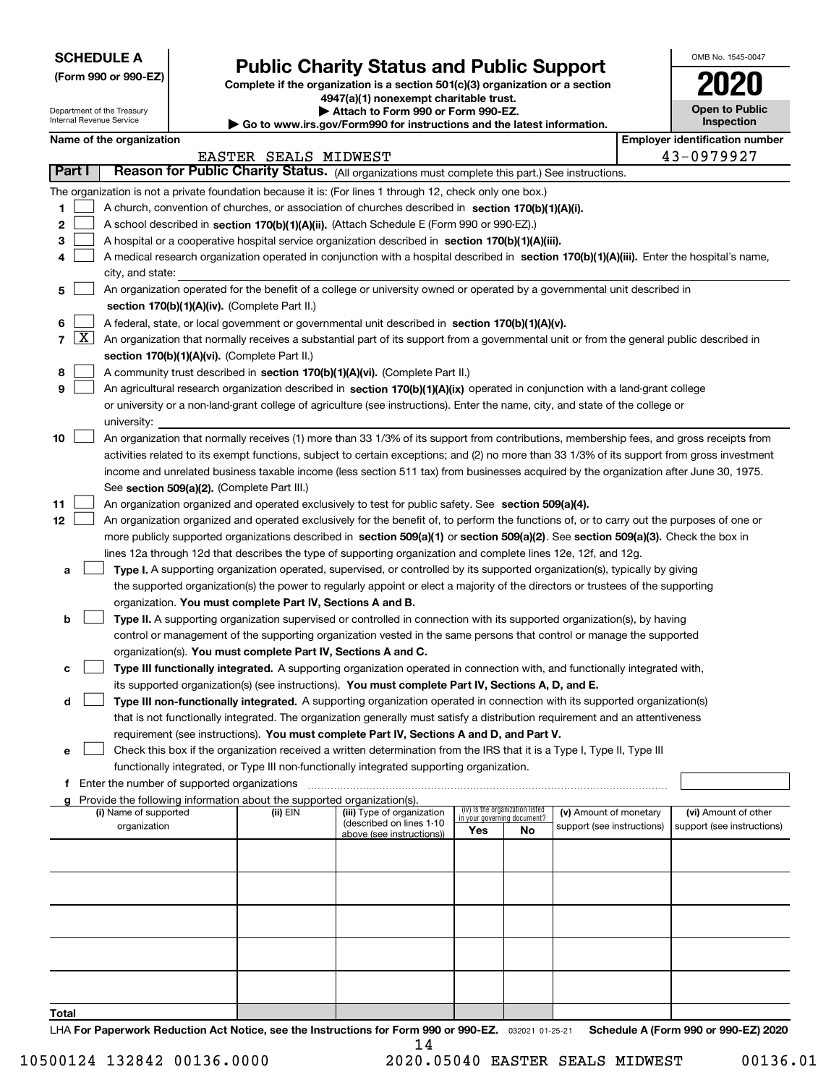| <b>SCHEDULE A</b> |
|-------------------|
|-------------------|

Department of the Treasury Internal Revenue Service

**(Form 990 or 990-EZ)**

### **Public Charity Status and Public Support**

**Complete if the organization is a section 501(c)(3) organization or a section 4947(a)(1) nonexempt charitable trust.**

**| Attach to Form 990 or Form 990-EZ.** 

**| Go to www.irs.gov/Form990 for instructions and the latest information.**

| OMB No. 1545-0047                   |
|-------------------------------------|
| 2020                                |
| <b>Open to Public</b><br>Inspection |

|  | Name of the organization |
|--|--------------------------|
|--|--------------------------|

|              |                     | Name of the organization                                                                                                                      |                      |                                                       |                             |                                 |                            |  | <b>Employer identification number</b> |  |  |  |
|--------------|---------------------|-----------------------------------------------------------------------------------------------------------------------------------------------|----------------------|-------------------------------------------------------|-----------------------------|---------------------------------|----------------------------|--|---------------------------------------|--|--|--|
|              |                     |                                                                                                                                               | EASTER SEALS MIDWEST |                                                       |                             |                                 |                            |  | 43-0979927                            |  |  |  |
|              | <b>Part I</b>       | Reason for Public Charity Status. (All organizations must complete this part.) See instructions.                                              |                      |                                                       |                             |                                 |                            |  |                                       |  |  |  |
|              |                     | The organization is not a private foundation because it is: (For lines 1 through 12, check only one box.)                                     |                      |                                                       |                             |                                 |                            |  |                                       |  |  |  |
| 1            |                     | A church, convention of churches, or association of churches described in section 170(b)(1)(A)(i).                                            |                      |                                                       |                             |                                 |                            |  |                                       |  |  |  |
| 2            |                     | A school described in section 170(b)(1)(A)(ii). (Attach Schedule E (Form 990 or 990-EZ).)                                                     |                      |                                                       |                             |                                 |                            |  |                                       |  |  |  |
| з            |                     | A hospital or a cooperative hospital service organization described in section $170(b)(1)(A)(iii)$ .                                          |                      |                                                       |                             |                                 |                            |  |                                       |  |  |  |
|              |                     | A medical research organization operated in conjunction with a hospital described in section 170(b)(1)(A)(iii). Enter the hospital's name,    |                      |                                                       |                             |                                 |                            |  |                                       |  |  |  |
|              |                     | city, and state:                                                                                                                              |                      |                                                       |                             |                                 |                            |  |                                       |  |  |  |
| 5            |                     | An organization operated for the benefit of a college or university owned or operated by a governmental unit described in                     |                      |                                                       |                             |                                 |                            |  |                                       |  |  |  |
|              |                     | section 170(b)(1)(A)(iv). (Complete Part II.)                                                                                                 |                      |                                                       |                             |                                 |                            |  |                                       |  |  |  |
| 6            |                     | A federal, state, or local government or governmental unit described in section 170(b)(1)(A)(v).                                              |                      |                                                       |                             |                                 |                            |  |                                       |  |  |  |
| 7            | $\lfloor x \rfloor$ | An organization that normally receives a substantial part of its support from a governmental unit or from the general public described in     |                      |                                                       |                             |                                 |                            |  |                                       |  |  |  |
|              |                     | section 170(b)(1)(A)(vi). (Complete Part II.)                                                                                                 |                      |                                                       |                             |                                 |                            |  |                                       |  |  |  |
| 8            |                     | A community trust described in section 170(b)(1)(A)(vi). (Complete Part II.)                                                                  |                      |                                                       |                             |                                 |                            |  |                                       |  |  |  |
| 9            |                     | An agricultural research organization described in section 170(b)(1)(A)(ix) operated in conjunction with a land-grant college                 |                      |                                                       |                             |                                 |                            |  |                                       |  |  |  |
|              |                     | or university or a non-land-grant college of agriculture (see instructions). Enter the name, city, and state of the college or<br>university: |                      |                                                       |                             |                                 |                            |  |                                       |  |  |  |
| 10           |                     | An organization that normally receives (1) more than 33 1/3% of its support from contributions, membership fees, and gross receipts from      |                      |                                                       |                             |                                 |                            |  |                                       |  |  |  |
|              |                     | activities related to its exempt functions, subject to certain exceptions; and (2) no more than 33 1/3% of its support from gross investment  |                      |                                                       |                             |                                 |                            |  |                                       |  |  |  |
|              |                     | income and unrelated business taxable income (less section 511 tax) from businesses acquired by the organization after June 30, 1975.         |                      |                                                       |                             |                                 |                            |  |                                       |  |  |  |
|              |                     | See section 509(a)(2). (Complete Part III.)                                                                                                   |                      |                                                       |                             |                                 |                            |  |                                       |  |  |  |
| 11           |                     | An organization organized and operated exclusively to test for public safety. See section 509(a)(4).                                          |                      |                                                       |                             |                                 |                            |  |                                       |  |  |  |
| 12           |                     | An organization organized and operated exclusively for the benefit of, to perform the functions of, or to carry out the purposes of one or    |                      |                                                       |                             |                                 |                            |  |                                       |  |  |  |
|              |                     | more publicly supported organizations described in section 509(a)(1) or section 509(a)(2). See section 509(a)(3). Check the box in            |                      |                                                       |                             |                                 |                            |  |                                       |  |  |  |
|              |                     | lines 12a through 12d that describes the type of supporting organization and complete lines 12e, 12f, and 12g.                                |                      |                                                       |                             |                                 |                            |  |                                       |  |  |  |
| a            |                     | Type I. A supporting organization operated, supervised, or controlled by its supported organization(s), typically by giving                   |                      |                                                       |                             |                                 |                            |  |                                       |  |  |  |
|              |                     | the supported organization(s) the power to regularly appoint or elect a majority of the directors or trustees of the supporting               |                      |                                                       |                             |                                 |                            |  |                                       |  |  |  |
|              |                     | organization. You must complete Part IV, Sections A and B.                                                                                    |                      |                                                       |                             |                                 |                            |  |                                       |  |  |  |
| b            |                     | Type II. A supporting organization supervised or controlled in connection with its supported organization(s), by having                       |                      |                                                       |                             |                                 |                            |  |                                       |  |  |  |
|              |                     | control or management of the supporting organization vested in the same persons that control or manage the supported                          |                      |                                                       |                             |                                 |                            |  |                                       |  |  |  |
|              |                     | organization(s). You must complete Part IV, Sections A and C.                                                                                 |                      |                                                       |                             |                                 |                            |  |                                       |  |  |  |
| c            |                     | Type III functionally integrated. A supporting organization operated in connection with, and functionally integrated with,                    |                      |                                                       |                             |                                 |                            |  |                                       |  |  |  |
|              |                     | its supported organization(s) (see instructions). You must complete Part IV, Sections A, D, and E.                                            |                      |                                                       |                             |                                 |                            |  |                                       |  |  |  |
| d            |                     | Type III non-functionally integrated. A supporting organization operated in connection with its supported organization(s)                     |                      |                                                       |                             |                                 |                            |  |                                       |  |  |  |
|              |                     | that is not functionally integrated. The organization generally must satisfy a distribution requirement and an attentiveness                  |                      |                                                       |                             |                                 |                            |  |                                       |  |  |  |
|              |                     | requirement (see instructions). You must complete Part IV, Sections A and D, and Part V.                                                      |                      |                                                       |                             |                                 |                            |  |                                       |  |  |  |
|              |                     | Check this box if the organization received a written determination from the IRS that it is a Type I, Type II, Type III                       |                      |                                                       |                             |                                 |                            |  |                                       |  |  |  |
|              |                     | functionally integrated, or Type III non-functionally integrated supporting organization.<br>f Enter the number of supported organizations    |                      |                                                       |                             |                                 |                            |  |                                       |  |  |  |
|              |                     | g Provide the following information about the supported organization(s).                                                                      |                      |                                                       |                             |                                 |                            |  |                                       |  |  |  |
|              |                     | (i) Name of supported                                                                                                                         | (ii) EIN             | (iii) Type of organization                            | in your governing document? | (iv) Is the organization listed | (v) Amount of monetary     |  | (vi) Amount of other                  |  |  |  |
|              |                     | organization                                                                                                                                  |                      | (described on lines 1-10<br>above (see instructions)) | Yes                         | No                              | support (see instructions) |  | support (see instructions)            |  |  |  |
|              |                     |                                                                                                                                               |                      |                                                       |                             |                                 |                            |  |                                       |  |  |  |
|              |                     |                                                                                                                                               |                      |                                                       |                             |                                 |                            |  |                                       |  |  |  |
|              |                     |                                                                                                                                               |                      |                                                       |                             |                                 |                            |  |                                       |  |  |  |
|              |                     |                                                                                                                                               |                      |                                                       |                             |                                 |                            |  |                                       |  |  |  |
|              |                     |                                                                                                                                               |                      |                                                       |                             |                                 |                            |  |                                       |  |  |  |
|              |                     |                                                                                                                                               |                      |                                                       |                             |                                 |                            |  |                                       |  |  |  |
|              |                     |                                                                                                                                               |                      |                                                       |                             |                                 |                            |  |                                       |  |  |  |
|              |                     |                                                                                                                                               |                      |                                                       |                             |                                 |                            |  |                                       |  |  |  |
|              |                     |                                                                                                                                               |                      |                                                       |                             |                                 |                            |  |                                       |  |  |  |
| <b>Total</b> |                     |                                                                                                                                               |                      |                                                       |                             |                                 |                            |  |                                       |  |  |  |

LHA For Paperwork Reduction Act Notice, see the Instructions for Form 990 or 990-EZ. <sub>032021</sub> o1-25-21 Schedule A (Form 990 or 990-EZ) 2020 14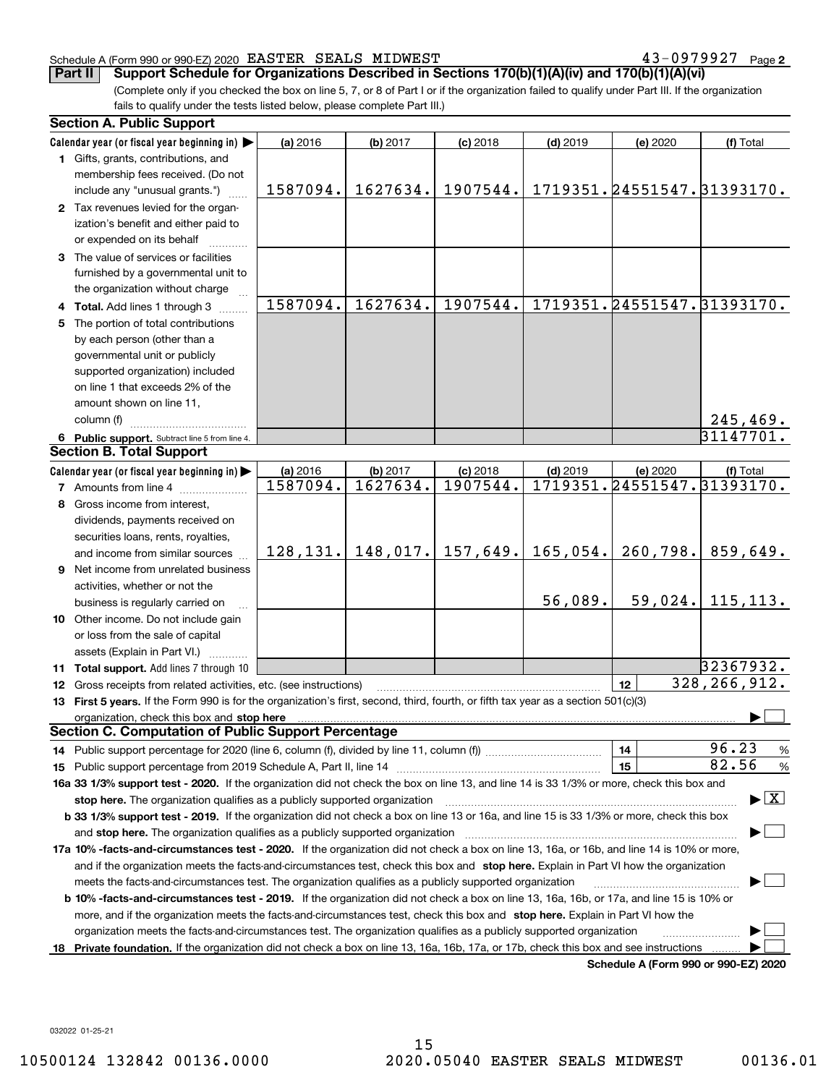#### Schedule A (Form 990 or 990-EZ) 2020 Page EASTER SEALS MIDWEST 43-0979927

**2**

(Complete only if you checked the box on line 5, 7, or 8 of Part I or if the organization failed to qualify under Part III. If the organization fails to qualify under the tests listed below, please complete Part III.) **Part II Support Schedule for Organizations Described in Sections 170(b)(1)(A)(iv) and 170(b)(1)(A)(vi)**

|    | <b>Section A. Public Support</b>                                                                                                                                                                                               |          |          |                                  |            |                            |                                          |
|----|--------------------------------------------------------------------------------------------------------------------------------------------------------------------------------------------------------------------------------|----------|----------|----------------------------------|------------|----------------------------|------------------------------------------|
|    | Calendar year (or fiscal year beginning in)                                                                                                                                                                                    | (a) 2016 | (b) 2017 | $(c)$ 2018                       | $(d)$ 2019 | (e) 2020                   | (f) Total                                |
|    | 1 Gifts, grants, contributions, and                                                                                                                                                                                            |          |          |                                  |            |                            |                                          |
|    | membership fees received. (Do not                                                                                                                                                                                              |          |          |                                  |            |                            |                                          |
|    | include any "unusual grants.")                                                                                                                                                                                                 | 1587094. | 1627634. | 1907544.                         |            | 1719351.24551547.31393170. |                                          |
|    | 2 Tax revenues levied for the organ-                                                                                                                                                                                           |          |          |                                  |            |                            |                                          |
|    | ization's benefit and either paid to                                                                                                                                                                                           |          |          |                                  |            |                            |                                          |
|    | or expended on its behalf                                                                                                                                                                                                      |          |          |                                  |            |                            |                                          |
|    | 3 The value of services or facilities                                                                                                                                                                                          |          |          |                                  |            |                            |                                          |
|    | furnished by a governmental unit to                                                                                                                                                                                            |          |          |                                  |            |                            |                                          |
|    | the organization without charge                                                                                                                                                                                                |          |          |                                  |            |                            |                                          |
|    | 4 Total. Add lines 1 through 3                                                                                                                                                                                                 | 1587094. | 1627634. | 1907544.                         |            | 1719351.24551547.31393170. |                                          |
|    | 5 The portion of total contributions                                                                                                                                                                                           |          |          |                                  |            |                            |                                          |
|    | by each person (other than a                                                                                                                                                                                                   |          |          |                                  |            |                            |                                          |
|    | governmental unit or publicly                                                                                                                                                                                                  |          |          |                                  |            |                            |                                          |
|    | supported organization) included                                                                                                                                                                                               |          |          |                                  |            |                            |                                          |
|    | on line 1 that exceeds 2% of the                                                                                                                                                                                               |          |          |                                  |            |                            |                                          |
|    | amount shown on line 11,                                                                                                                                                                                                       |          |          |                                  |            |                            |                                          |
|    | column (f)                                                                                                                                                                                                                     |          |          |                                  |            |                            | 245, 469.                                |
|    | 6 Public support. Subtract line 5 from line 4.                                                                                                                                                                                 |          |          |                                  |            |                            | 31147701.                                |
|    | <b>Section B. Total Support</b>                                                                                                                                                                                                |          |          |                                  |            |                            |                                          |
|    | Calendar year (or fiscal year beginning in)                                                                                                                                                                                    | (a) 2016 | (b) 2017 | $(c)$ 2018                       | $(d)$ 2019 | (e) 2020                   | (f) Total                                |
|    | <b>7</b> Amounts from line 4                                                                                                                                                                                                   | 1587094. | 1627634. | 1907544.                         |            | 1719351.24551547.31393170. |                                          |
|    | 8 Gross income from interest,                                                                                                                                                                                                  |          |          |                                  |            |                            |                                          |
|    | dividends, payments received on                                                                                                                                                                                                |          |          |                                  |            |                            |                                          |
|    | securities loans, rents, royalties,                                                                                                                                                                                            |          |          |                                  |            |                            |                                          |
|    | and income from similar sources                                                                                                                                                                                                |          |          | $128, 131.$   148,017.  157,649. | 165,054.   | 260,798.                   | 859,649.                                 |
|    | 9 Net income from unrelated business                                                                                                                                                                                           |          |          |                                  |            |                            |                                          |
|    | activities, whether or not the                                                                                                                                                                                                 |          |          |                                  |            |                            |                                          |
|    | business is regularly carried on                                                                                                                                                                                               |          |          |                                  | 56,089.    | 59,024.                    | 115, 113.                                |
|    | 10 Other income. Do not include gain                                                                                                                                                                                           |          |          |                                  |            |                            |                                          |
|    | or loss from the sale of capital                                                                                                                                                                                               |          |          |                                  |            |                            |                                          |
|    | assets (Explain in Part VI.) <b>Constant</b>                                                                                                                                                                                   |          |          |                                  |            |                            |                                          |
|    | 11 Total support. Add lines 7 through 10                                                                                                                                                                                       |          |          |                                  |            |                            | 32367932.                                |
|    | 12 Gross receipts from related activities, etc. (see instructions)                                                                                                                                                             |          |          |                                  |            | 12                         | 328, 266, 912.                           |
|    | 13 First 5 years. If the Form 990 is for the organization's first, second, third, fourth, or fifth tax year as a section 501(c)(3)                                                                                             |          |          |                                  |            |                            |                                          |
|    | organization, check this box and stop here manufactured and according to the state of the state of the state of the state of the state of the state of the state of the state of the state of the state of the state of the st |          |          |                                  |            |                            |                                          |
|    | <b>Section C. Computation of Public Support Percentage</b>                                                                                                                                                                     |          |          |                                  |            |                            |                                          |
|    |                                                                                                                                                                                                                                |          |          |                                  |            | 14                         | 96.23<br>%                               |
|    |                                                                                                                                                                                                                                |          |          |                                  |            | 15                         | 82.56<br>$\%$                            |
|    | 16a 33 1/3% support test - 2020. If the organization did not check the box on line 13, and line 14 is 33 1/3% or more, check this box and                                                                                      |          |          |                                  |            |                            |                                          |
|    | stop here. The organization qualifies as a publicly supported organization                                                                                                                                                     |          |          |                                  |            |                            | $\blacktriangleright$ $\boxed{\text{X}}$ |
|    | b 33 1/3% support test - 2019. If the organization did not check a box on line 13 or 16a, and line 15 is 33 1/3% or more, check this box                                                                                       |          |          |                                  |            |                            |                                          |
|    | and stop here. The organization qualifies as a publicly supported organization                                                                                                                                                 |          |          |                                  |            |                            |                                          |
|    | 17a 10% -facts-and-circumstances test - 2020. If the organization did not check a box on line 13, 16a, or 16b, and line 14 is 10% or more,                                                                                     |          |          |                                  |            |                            |                                          |
|    | and if the organization meets the facts-and-circumstances test, check this box and stop here. Explain in Part VI how the organization                                                                                          |          |          |                                  |            |                            |                                          |
|    | meets the facts-and-circumstances test. The organization qualifies as a publicly supported organization                                                                                                                        |          |          |                                  |            |                            |                                          |
|    | <b>b 10% -facts-and-circumstances test - 2019.</b> If the organization did not check a box on line 13, 16a, 16b, or 17a, and line 15 is 10% or                                                                                 |          |          |                                  |            |                            |                                          |
|    | more, and if the organization meets the facts-and-circumstances test, check this box and stop here. Explain in Part VI how the                                                                                                 |          |          |                                  |            |                            |                                          |
|    | organization meets the facts-and-circumstances test. The organization qualifies as a publicly supported organization                                                                                                           |          |          |                                  |            |                            |                                          |
| 18 | Private foundation. If the organization did not check a box on line 13, 16a, 16b, 17a, or 17b, check this box and see instructions                                                                                             |          |          |                                  |            |                            |                                          |
|    |                                                                                                                                                                                                                                |          |          |                                  |            |                            | Schedule A (Form 990 or 990-F7) 2020     |

**Schedule A (Form 990 or 990-EZ) 2020**

032022 01-25-21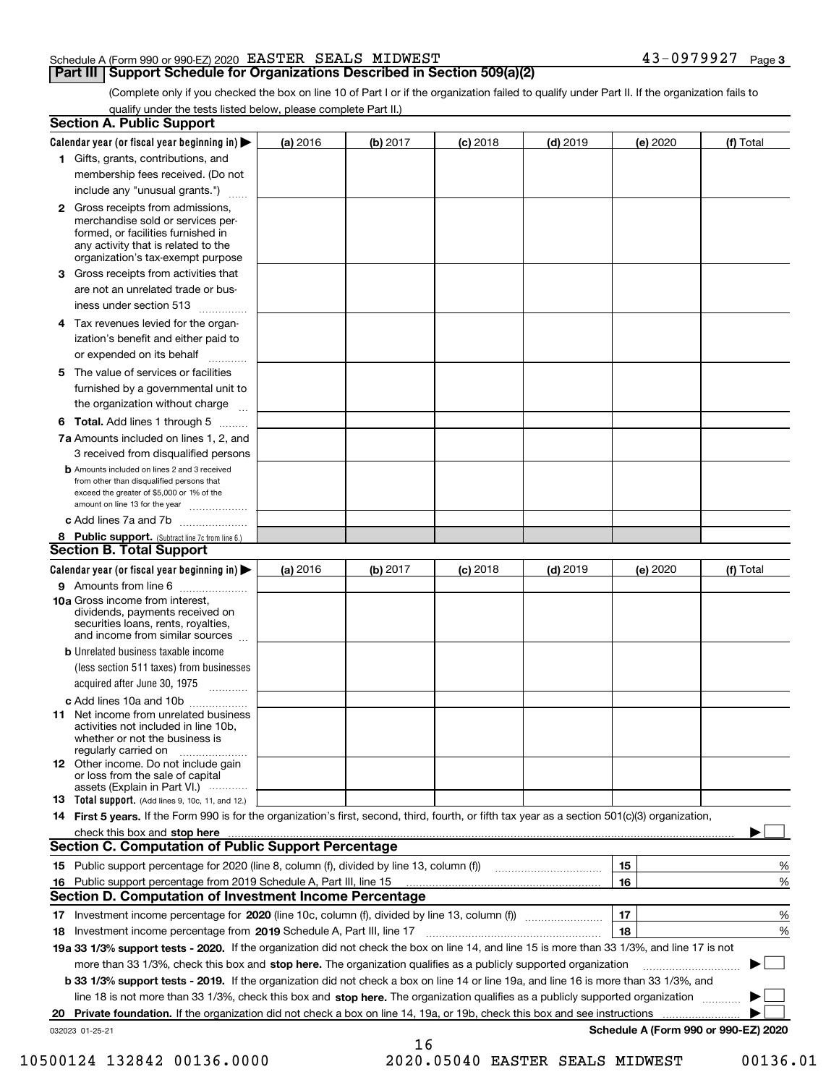#### Schedule A (Form 990 or 990-EZ) 2020 Page EASTER SEALS MIDWEST 43-0979927

#### **Part III Support Schedule for Organizations Described in Section 509(a)(2)**

**3**

(Complete only if you checked the box on line 10 of Part I or if the organization failed to qualify under Part II. If the organization fails to qualify under the tests listed below, please complete Part II.)

|     | <b>Section A. Public Support</b>                                                                                                                                                                                               |          |          |                 |            |          |                                      |
|-----|--------------------------------------------------------------------------------------------------------------------------------------------------------------------------------------------------------------------------------|----------|----------|-----------------|------------|----------|--------------------------------------|
|     | Calendar year (or fiscal year beginning in) $\blacktriangleright$                                                                                                                                                              | (a) 2016 | (b) 2017 | <b>(c)</b> 2018 | $(d)$ 2019 | (e) 2020 | (f) Total                            |
|     | 1 Gifts, grants, contributions, and                                                                                                                                                                                            |          |          |                 |            |          |                                      |
|     | membership fees received. (Do not                                                                                                                                                                                              |          |          |                 |            |          |                                      |
|     | include any "unusual grants.")                                                                                                                                                                                                 |          |          |                 |            |          |                                      |
|     | <b>2</b> Gross receipts from admissions,<br>merchandise sold or services per-<br>formed, or facilities furnished in<br>any activity that is related to the<br>organization's tax-exempt purpose                                |          |          |                 |            |          |                                      |
|     | 3 Gross receipts from activities that<br>are not an unrelated trade or bus-                                                                                                                                                    |          |          |                 |            |          |                                      |
|     | iness under section 513                                                                                                                                                                                                        |          |          |                 |            |          |                                      |
|     | 4 Tax revenues levied for the organ-<br>ization's benefit and either paid to<br>or expended on its behalf<br>.                                                                                                                 |          |          |                 |            |          |                                      |
|     | 5 The value of services or facilities<br>furnished by a governmental unit to                                                                                                                                                   |          |          |                 |            |          |                                      |
|     | the organization without charge                                                                                                                                                                                                |          |          |                 |            |          |                                      |
|     | <b>6 Total.</b> Add lines 1 through 5 $\dots$                                                                                                                                                                                  |          |          |                 |            |          |                                      |
|     | 7a Amounts included on lines 1, 2, and<br>3 received from disqualified persons                                                                                                                                                 |          |          |                 |            |          |                                      |
|     | <b>b</b> Amounts included on lines 2 and 3 received<br>from other than disqualified persons that<br>exceed the greater of \$5,000 or 1% of the<br>amount on line 13 for the year                                               |          |          |                 |            |          |                                      |
|     | c Add lines 7a and 7b                                                                                                                                                                                                          |          |          |                 |            |          |                                      |
|     | 8 Public support. (Subtract line 7c from line 6.)                                                                                                                                                                              |          |          |                 |            |          |                                      |
|     | <b>Section B. Total Support</b>                                                                                                                                                                                                |          |          |                 |            |          |                                      |
|     | Calendar year (or fiscal year beginning in)                                                                                                                                                                                    | (a) 2016 | (b) 2017 | <b>(c)</b> 2018 | $(d)$ 2019 | (e) 2020 | (f) Total                            |
|     | 9 Amounts from line 6                                                                                                                                                                                                          |          |          |                 |            |          |                                      |
|     | 10a Gross income from interest,<br>dividends, payments received on<br>securities loans, rents, royalties,<br>and income from similar sources                                                                                   |          |          |                 |            |          |                                      |
|     | <b>b</b> Unrelated business taxable income<br>(less section 511 taxes) from businesses<br>acquired after June 30, 1975 [10001]                                                                                                 |          |          |                 |            |          |                                      |
|     | c Add lines 10a and 10b                                                                                                                                                                                                        |          |          |                 |            |          |                                      |
|     | 11 Net income from unrelated business<br>activities not included in line 10b,<br>whether or not the business is<br>regularly carried on                                                                                        |          |          |                 |            |          |                                      |
|     | <b>12</b> Other income. Do not include gain<br>or loss from the sale of capital<br>assets (Explain in Part VI.)                                                                                                                |          |          |                 |            |          |                                      |
|     | 13 Total support. (Add lines 9, 10c, 11, and 12.)                                                                                                                                                                              |          |          |                 |            |          |                                      |
|     | 14 First 5 years. If the Form 990 is for the organization's first, second, third, fourth, or fifth tax year as a section 501(c)(3) organization,                                                                               |          |          |                 |            |          |                                      |
|     | check this box and stop here measurements and contain the state of the state of the state of the state of the state of the state of the state of the state of the state of the state of the state of the state of the state of |          |          |                 |            |          |                                      |
|     | <b>Section C. Computation of Public Support Percentage</b>                                                                                                                                                                     |          |          |                 |            |          |                                      |
|     |                                                                                                                                                                                                                                |          |          |                 |            | 15       | %                                    |
| 16. | Public support percentage from 2019 Schedule A, Part III, line 15                                                                                                                                                              |          |          |                 |            | 16       | %                                    |
|     | <b>Section D. Computation of Investment Income Percentage</b>                                                                                                                                                                  |          |          |                 |            |          |                                      |
|     | 17 Investment income percentage for 2020 (line 10c, column (f), divided by line 13, column (f))                                                                                                                                |          |          |                 |            | 17       | %                                    |
|     | 18 Investment income percentage from 2019 Schedule A, Part III, line 17                                                                                                                                                        |          |          |                 |            | 18       | %                                    |
|     | 19a 33 1/3% support tests - 2020. If the organization did not check the box on line 14, and line 15 is more than 33 1/3%, and line 17 is not                                                                                   |          |          |                 |            |          |                                      |
|     | more than 33 1/3%, check this box and stop here. The organization qualifies as a publicly supported organization                                                                                                               |          |          |                 |            |          | $\sim$ 1                             |
|     | b 33 1/3% support tests - 2019. If the organization did not check a box on line 14 or line 19a, and line 16 is more than 33 1/3%, and                                                                                          |          |          |                 |            |          |                                      |
|     | line 18 is not more than 33 1/3%, check this box and stop here. The organization qualifies as a publicly supported organization                                                                                                |          |          |                 |            |          |                                      |
| 20  | Private foundation. If the organization did not check a box on line 14, 19a, or 19b, check this box and see instructions                                                                                                       |          |          |                 |            |          |                                      |
|     | 032023 01-25-21                                                                                                                                                                                                                |          | 16       |                 |            |          | Schedule A (Form 990 or 990-EZ) 2020 |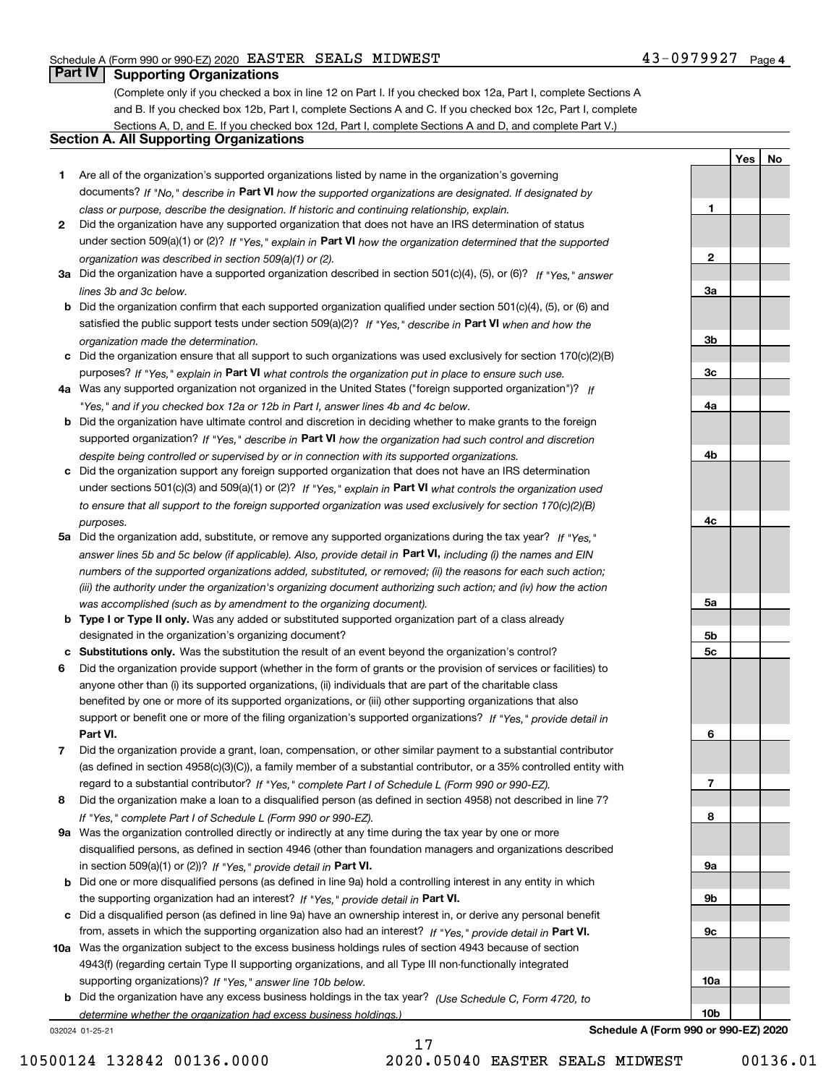**1**

**2**

**3a**

**3b**

**3c**

**4a**

**4b**

**4c**

**5a**

**5b5c**

**6**

**7**

**8**

**9a**

**9b**

**9c**

**10a**

**10b**

**YesNo**

### **Part IV Supporting Organizations**

(Complete only if you checked a box in line 12 on Part I. If you checked box 12a, Part I, complete Sections A and B. If you checked box 12b, Part I, complete Sections A and C. If you checked box 12c, Part I, complete Sections A, D, and E. If you checked box 12d, Part I, complete Sections A and D, and complete Part V.)

#### **Section A. All Supporting Organizations**

- **1** Are all of the organization's supported organizations listed by name in the organization's governing documents? If "No," describe in **Part VI** how the supported organizations are designated. If designated by *class or purpose, describe the designation. If historic and continuing relationship, explain.*
- **2** Did the organization have any supported organization that does not have an IRS determination of status under section 509(a)(1) or (2)? If "Yes," explain in Part VI how the organization determined that the supported *organization was described in section 509(a)(1) or (2).*
- **3a** Did the organization have a supported organization described in section 501(c)(4), (5), or (6)? If "Yes," answer *lines 3b and 3c below.*
- **b** Did the organization confirm that each supported organization qualified under section 501(c)(4), (5), or (6) and satisfied the public support tests under section 509(a)(2)? If "Yes," describe in **Part VI** when and how the *organization made the determination.*
- **c**Did the organization ensure that all support to such organizations was used exclusively for section 170(c)(2)(B) purposes? If "Yes," explain in **Part VI** what controls the organization put in place to ensure such use.
- **4a***If* Was any supported organization not organized in the United States ("foreign supported organization")? *"Yes," and if you checked box 12a or 12b in Part I, answer lines 4b and 4c below.*
- **b** Did the organization have ultimate control and discretion in deciding whether to make grants to the foreign supported organization? If "Yes," describe in **Part VI** how the organization had such control and discretion *despite being controlled or supervised by or in connection with its supported organizations.*
- **c** Did the organization support any foreign supported organization that does not have an IRS determination under sections 501(c)(3) and 509(a)(1) or (2)? If "Yes," explain in **Part VI** what controls the organization used *to ensure that all support to the foreign supported organization was used exclusively for section 170(c)(2)(B) purposes.*
- **5a** Did the organization add, substitute, or remove any supported organizations during the tax year? If "Yes," answer lines 5b and 5c below (if applicable). Also, provide detail in **Part VI,** including (i) the names and EIN *numbers of the supported organizations added, substituted, or removed; (ii) the reasons for each such action; (iii) the authority under the organization's organizing document authorizing such action; and (iv) how the action was accomplished (such as by amendment to the organizing document).*
- **b** Type I or Type II only. Was any added or substituted supported organization part of a class already designated in the organization's organizing document?
- **cSubstitutions only.**  Was the substitution the result of an event beyond the organization's control?
- **6** Did the organization provide support (whether in the form of grants or the provision of services or facilities) to **Part VI.** *If "Yes," provide detail in* support or benefit one or more of the filing organization's supported organizations? anyone other than (i) its supported organizations, (ii) individuals that are part of the charitable class benefited by one or more of its supported organizations, or (iii) other supporting organizations that also
- **7**Did the organization provide a grant, loan, compensation, or other similar payment to a substantial contributor *If "Yes," complete Part I of Schedule L (Form 990 or 990-EZ).* regard to a substantial contributor? (as defined in section 4958(c)(3)(C)), a family member of a substantial contributor, or a 35% controlled entity with
- **8** Did the organization make a loan to a disqualified person (as defined in section 4958) not described in line 7? *If "Yes," complete Part I of Schedule L (Form 990 or 990-EZ).*
- **9a** Was the organization controlled directly or indirectly at any time during the tax year by one or more in section 509(a)(1) or (2))? If "Yes," *provide detail in* <code>Part VI.</code> disqualified persons, as defined in section 4946 (other than foundation managers and organizations described
- **b** Did one or more disqualified persons (as defined in line 9a) hold a controlling interest in any entity in which the supporting organization had an interest? If "Yes," provide detail in P**art VI**.
- **c**Did a disqualified person (as defined in line 9a) have an ownership interest in, or derive any personal benefit from, assets in which the supporting organization also had an interest? If "Yes," provide detail in P**art VI.**
- **10a** Was the organization subject to the excess business holdings rules of section 4943 because of section supporting organizations)? If "Yes," answer line 10b below. 4943(f) (regarding certain Type II supporting organizations, and all Type III non-functionally integrated
- **b** Did the organization have any excess business holdings in the tax year? (Use Schedule C, Form 4720, to *determine whether the organization had excess business holdings.)*

032024 01-25-21

**Schedule A (Form 990 or 990-EZ) 2020**

17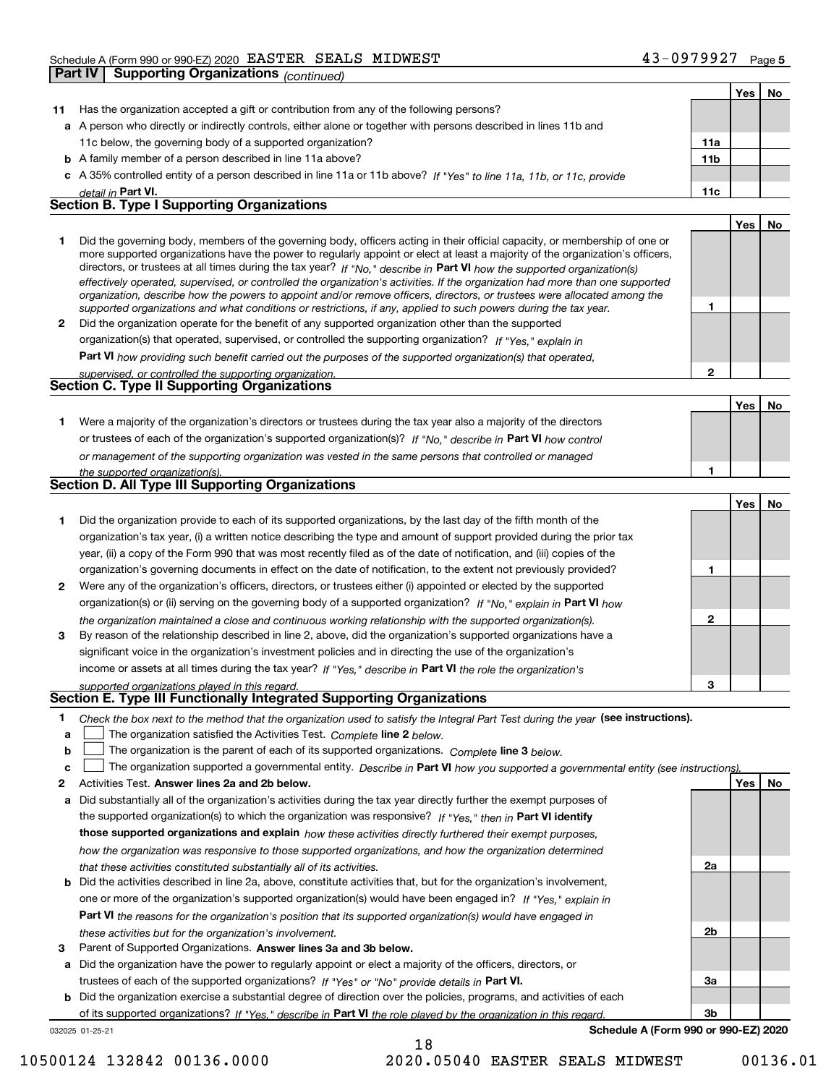|              | <b>Supporting Organizations (continued)</b><br><b>Part IV</b>                                                                                                                                                                                                                                                                                                                                                                                                                                                                                                                                                                                        |                 |            |     |
|--------------|------------------------------------------------------------------------------------------------------------------------------------------------------------------------------------------------------------------------------------------------------------------------------------------------------------------------------------------------------------------------------------------------------------------------------------------------------------------------------------------------------------------------------------------------------------------------------------------------------------------------------------------------------|-----------------|------------|-----|
|              |                                                                                                                                                                                                                                                                                                                                                                                                                                                                                                                                                                                                                                                      |                 | <b>Yes</b> | No  |
| 11           | Has the organization accepted a gift or contribution from any of the following persons?                                                                                                                                                                                                                                                                                                                                                                                                                                                                                                                                                              |                 |            |     |
|              | a A person who directly or indirectly controls, either alone or together with persons described in lines 11b and                                                                                                                                                                                                                                                                                                                                                                                                                                                                                                                                     |                 |            |     |
|              | 11c below, the governing body of a supported organization?                                                                                                                                                                                                                                                                                                                                                                                                                                                                                                                                                                                           | 11a             |            |     |
|              | <b>b</b> A family member of a person described in line 11a above?                                                                                                                                                                                                                                                                                                                                                                                                                                                                                                                                                                                    | 11 <sub>b</sub> |            |     |
|              | c A 35% controlled entity of a person described in line 11a or 11b above? If "Yes" to line 11a, 11b, or 11c, provide                                                                                                                                                                                                                                                                                                                                                                                                                                                                                                                                 |                 |            |     |
|              | detail in Part VI.                                                                                                                                                                                                                                                                                                                                                                                                                                                                                                                                                                                                                                   | 11c             |            |     |
|              | <b>Section B. Type I Supporting Organizations</b>                                                                                                                                                                                                                                                                                                                                                                                                                                                                                                                                                                                                    |                 |            |     |
|              |                                                                                                                                                                                                                                                                                                                                                                                                                                                                                                                                                                                                                                                      |                 | Yes        | No  |
| 1.           | Did the governing body, members of the governing body, officers acting in their official capacity, or membership of one or<br>more supported organizations have the power to regularly appoint or elect at least a majority of the organization's officers,<br>directors, or trustees at all times during the tax year? If "No," describe in Part VI how the supported organization(s)<br>effectively operated, supervised, or controlled the organization's activities. If the organization had more than one supported<br>organization, describe how the powers to appoint and/or remove officers, directors, or trustees were allocated among the |                 |            |     |
|              | supported organizations and what conditions or restrictions, if any, applied to such powers during the tax year.                                                                                                                                                                                                                                                                                                                                                                                                                                                                                                                                     | 1               |            |     |
| $\mathbf{2}$ | Did the organization operate for the benefit of any supported organization other than the supported                                                                                                                                                                                                                                                                                                                                                                                                                                                                                                                                                  |                 |            |     |
|              | organization(s) that operated, supervised, or controlled the supporting organization? If "Yes," explain in                                                                                                                                                                                                                                                                                                                                                                                                                                                                                                                                           |                 |            |     |
|              | Part VI how providing such benefit carried out the purposes of the supported organization(s) that operated,                                                                                                                                                                                                                                                                                                                                                                                                                                                                                                                                          |                 |            |     |
|              | supervised, or controlled the supporting organization.<br>Section C. Type II Supporting Organizations                                                                                                                                                                                                                                                                                                                                                                                                                                                                                                                                                | $\mathbf{2}$    |            |     |
|              |                                                                                                                                                                                                                                                                                                                                                                                                                                                                                                                                                                                                                                                      |                 |            |     |
|              |                                                                                                                                                                                                                                                                                                                                                                                                                                                                                                                                                                                                                                                      |                 | Yes        | No  |
| 1.           | Were a majority of the organization's directors or trustees during the tax year also a majority of the directors                                                                                                                                                                                                                                                                                                                                                                                                                                                                                                                                     |                 |            |     |
|              | or trustees of each of the organization's supported organization(s)? If "No," describe in Part VI how control                                                                                                                                                                                                                                                                                                                                                                                                                                                                                                                                        |                 |            |     |
|              | or management of the supporting organization was vested in the same persons that controlled or managed                                                                                                                                                                                                                                                                                                                                                                                                                                                                                                                                               |                 |            |     |
|              | the supported organization(s).                                                                                                                                                                                                                                                                                                                                                                                                                                                                                                                                                                                                                       | 1               |            |     |
|              | Section D. All Type III Supporting Organizations                                                                                                                                                                                                                                                                                                                                                                                                                                                                                                                                                                                                     |                 |            |     |
|              |                                                                                                                                                                                                                                                                                                                                                                                                                                                                                                                                                                                                                                                      |                 | Yes        | No. |
| 1.           | Did the organization provide to each of its supported organizations, by the last day of the fifth month of the                                                                                                                                                                                                                                                                                                                                                                                                                                                                                                                                       |                 |            |     |
|              | organization's tax year, (i) a written notice describing the type and amount of support provided during the prior tax                                                                                                                                                                                                                                                                                                                                                                                                                                                                                                                                |                 |            |     |
|              | year, (ii) a copy of the Form 990 that was most recently filed as of the date of notification, and (iii) copies of the                                                                                                                                                                                                                                                                                                                                                                                                                                                                                                                               |                 |            |     |
|              | organization's governing documents in effect on the date of notification, to the extent not previously provided?                                                                                                                                                                                                                                                                                                                                                                                                                                                                                                                                     | 1               |            |     |
| $\mathbf{2}$ | Were any of the organization's officers, directors, or trustees either (i) appointed or elected by the supported                                                                                                                                                                                                                                                                                                                                                                                                                                                                                                                                     |                 |            |     |
|              | organization(s) or (ii) serving on the governing body of a supported organization? If "No," explain in Part VI how                                                                                                                                                                                                                                                                                                                                                                                                                                                                                                                                   |                 |            |     |
|              | the organization maintained a close and continuous working relationship with the supported organization(s).                                                                                                                                                                                                                                                                                                                                                                                                                                                                                                                                          | $\mathbf{2}$    |            |     |
| 3            | By reason of the relationship described in line 2, above, did the organization's supported organizations have a                                                                                                                                                                                                                                                                                                                                                                                                                                                                                                                                      |                 |            |     |
|              | significant voice in the organization's investment policies and in directing the use of the organization's                                                                                                                                                                                                                                                                                                                                                                                                                                                                                                                                           |                 |            |     |
|              | income or assets at all times during the tax year? If "Yes," describe in Part VI the role the organization's                                                                                                                                                                                                                                                                                                                                                                                                                                                                                                                                         |                 |            |     |
|              | supported organizations played in this regard.                                                                                                                                                                                                                                                                                                                                                                                                                                                                                                                                                                                                       | 3               |            |     |
|              | <b>Section E. Type III Functionally Integrated Supporting Organizations</b>                                                                                                                                                                                                                                                                                                                                                                                                                                                                                                                                                                          |                 |            |     |
| 1            | Check the box next to the method that the organization used to satisfy the Integral Part Test during the year (see instructions).                                                                                                                                                                                                                                                                                                                                                                                                                                                                                                                    |                 |            |     |
| a            | The organization satisfied the Activities Test. Complete line 2 below.                                                                                                                                                                                                                                                                                                                                                                                                                                                                                                                                                                               |                 |            |     |
| b            | The organization is the parent of each of its supported organizations. Complete line 3 below.                                                                                                                                                                                                                                                                                                                                                                                                                                                                                                                                                        |                 |            |     |

**c The organization supported a governmental entity. Describe in Part VI c**  $\Box$  The organization supported a governmental entity. Describe in Part VI how you supported a governmental entity (see instructions).

|   | Activities Test. Answer lines 2a and 2b below.                                                                               |                | Yes l | <b>No</b> |
|---|------------------------------------------------------------------------------------------------------------------------------|----------------|-------|-----------|
| a | Did substantially all of the organization's activities during the tax year directly further the exempt purposes of           |                |       |           |
|   | the supported organization(s) to which the organization was responsive? If "Yes," then in Part VI identify                   |                |       |           |
|   | those supported organizations and explain how these activities directly furthered their exempt purposes,                     |                |       |           |
|   | how the organization was responsive to those supported organizations, and how the organization determined                    |                |       |           |
|   | that these activities constituted substantially all of its activities.                                                       | 2a             |       |           |
|   | <b>b</b> Did the activities described in line 2a, above, constitute activities that, but for the organization's involvement, |                |       |           |
|   | one or more of the organization's supported organization(s) would have been engaged in? If "Yes," explain in                 |                |       |           |
|   | Part VI the reasons for the organization's position that its supported organization(s) would have engaged in                 |                |       |           |
|   | these activities but for the organization's involvement.                                                                     | 2 <sub>b</sub> |       |           |
| 3 | Parent of Supported Organizations. Answer lines 3a and 3b below.                                                             |                |       |           |
| a | Did the organization have the power to regularly appoint or elect a majority of the officers, directors, or                  |                |       |           |
|   | trustees of each of the supported organizations? If "Yes" or "No" provide details in Part VI.                                | За             |       |           |
| b | Did the organization exercise a substantial degree of direction over the policies, programs, and activities of each          |                |       |           |
|   |                                                                                                                              |                |       |           |

18

032025 01-25-21 of its supported organizations? If "Yes," describe in Part VI the role played by the organization in this regard.

**Schedule A (Form 990 or 990-EZ) 2020**

**3b**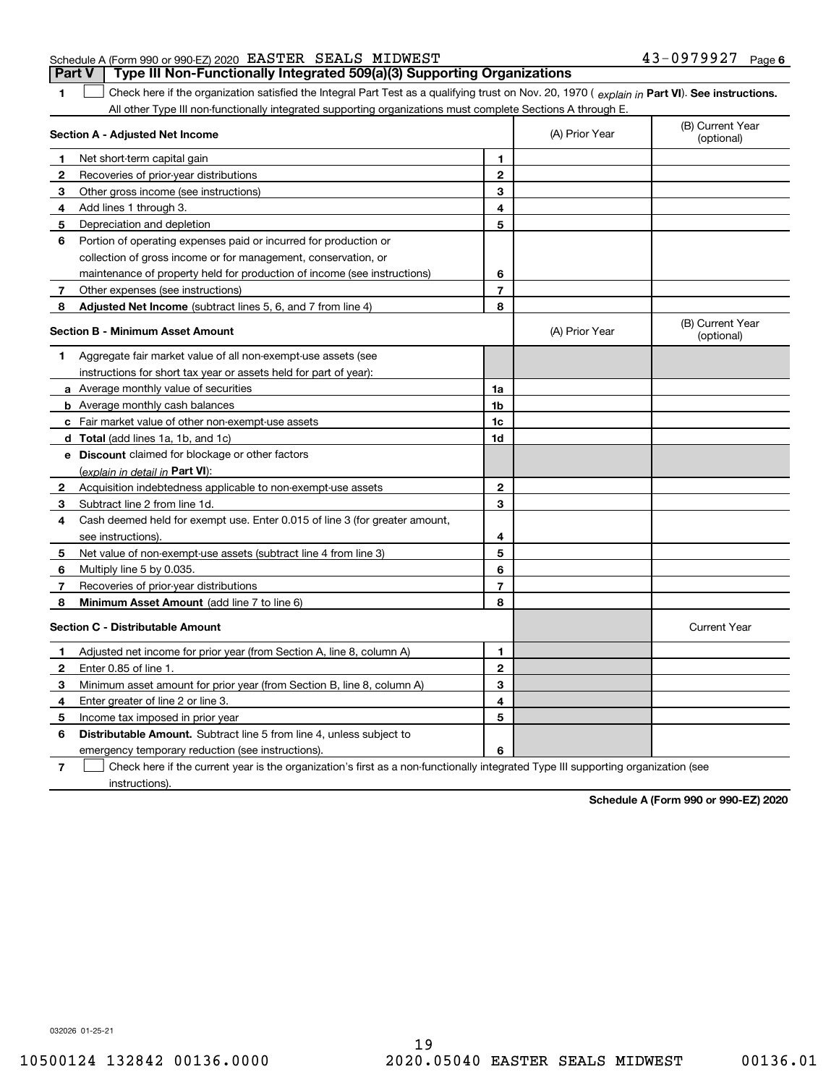|                                                           |  | <b>Part V</b> Type III Non-Functionally Integrated 509(a)(3) Supporting Organizations |                              |  |
|-----------------------------------------------------------|--|---------------------------------------------------------------------------------------|------------------------------|--|
| Schedule A (Form 990 or 990-EZ) 2020 EASTER SEALS MIDWEST |  |                                                                                       | 43-0979927 <sub>Раде б</sub> |  |

1 Check here if the organization satisfied the Integral Part Test as a qualifying trust on Nov. 20, 1970 (explain in Part VI). See instructions. All other Type III non-functionally integrated supporting organizations must complete Sections A through E.

|              | Section A - Adjusted Net Income                                                                                                   |                | (A) Prior Year | (B) Current Year<br>(optional) |
|--------------|-----------------------------------------------------------------------------------------------------------------------------------|----------------|----------------|--------------------------------|
| 1.           | Net short-term capital gain                                                                                                       | 1              |                |                                |
| $\mathbf{2}$ | Recoveries of prior-year distributions                                                                                            | $\mathbf{2}$   |                |                                |
| 3            | Other gross income (see instructions)                                                                                             | 3              |                |                                |
| 4            | Add lines 1 through 3.                                                                                                            | 4              |                |                                |
| 5            | Depreciation and depletion                                                                                                        | 5              |                |                                |
| 6            | Portion of operating expenses paid or incurred for production or                                                                  |                |                |                                |
|              | collection of gross income or for management, conservation, or                                                                    |                |                |                                |
|              | maintenance of property held for production of income (see instructions)                                                          | 6              |                |                                |
| 7            | Other expenses (see instructions)                                                                                                 | $\overline{7}$ |                |                                |
| 8            | Adjusted Net Income (subtract lines 5, 6, and 7 from line 4)                                                                      | 8              |                |                                |
|              | <b>Section B - Minimum Asset Amount</b>                                                                                           |                | (A) Prior Year | (B) Current Year<br>(optional) |
| 1            | Aggregate fair market value of all non-exempt-use assets (see                                                                     |                |                |                                |
|              | instructions for short tax year or assets held for part of year):                                                                 |                |                |                                |
|              | a Average monthly value of securities                                                                                             | 1a             |                |                                |
|              | <b>b</b> Average monthly cash balances                                                                                            | 1b             |                |                                |
|              | c Fair market value of other non-exempt-use assets                                                                                | 1c             |                |                                |
|              | d Total (add lines 1a, 1b, and 1c)                                                                                                | 1d             |                |                                |
|              | e Discount claimed for blockage or other factors                                                                                  |                |                |                                |
|              | (explain in detail in Part VI):                                                                                                   |                |                |                                |
| $\mathbf{2}$ | Acquisition indebtedness applicable to non-exempt-use assets                                                                      | $\mathbf{2}$   |                |                                |
| 3            | Subtract line 2 from line 1d.                                                                                                     | 3              |                |                                |
| 4            | Cash deemed held for exempt use. Enter 0.015 of line 3 (for greater amount,                                                       |                |                |                                |
|              | see instructions)                                                                                                                 | 4              |                |                                |
| 5            | Net value of non-exempt-use assets (subtract line 4 from line 3)                                                                  | 5              |                |                                |
| 6            | Multiply line 5 by 0.035.                                                                                                         | 6              |                |                                |
| 7            | Recoveries of prior-year distributions                                                                                            | $\overline{7}$ |                |                                |
| 8            | Minimum Asset Amount (add line 7 to line 6)                                                                                       | 8              |                |                                |
|              | <b>Section C - Distributable Amount</b>                                                                                           |                |                | <b>Current Year</b>            |
| 1            | Adjusted net income for prior year (from Section A, line 8, column A)                                                             | 1              |                |                                |
| 2            | Enter 0.85 of line 1.                                                                                                             | $\mathbf{2}$   |                |                                |
| 3            | Minimum asset amount for prior year (from Section B, line 8, column A)                                                            | 3              |                |                                |
| 4            | Enter greater of line 2 or line 3.                                                                                                | 4              |                |                                |
| 5            | Income tax imposed in prior year                                                                                                  | 5              |                |                                |
| 6            | <b>Distributable Amount.</b> Subtract line 5 from line 4, unless subject to                                                       |                |                |                                |
|              | emergency temporary reduction (see instructions).                                                                                 | 6              |                |                                |
| 7            | Check here if the current year is the organization's first as a non-functionally integrated Type III supporting organization (see |                |                |                                |

instructions).

**1**

**Schedule A (Form 990 or 990-EZ) 2020**

032026 01-25-21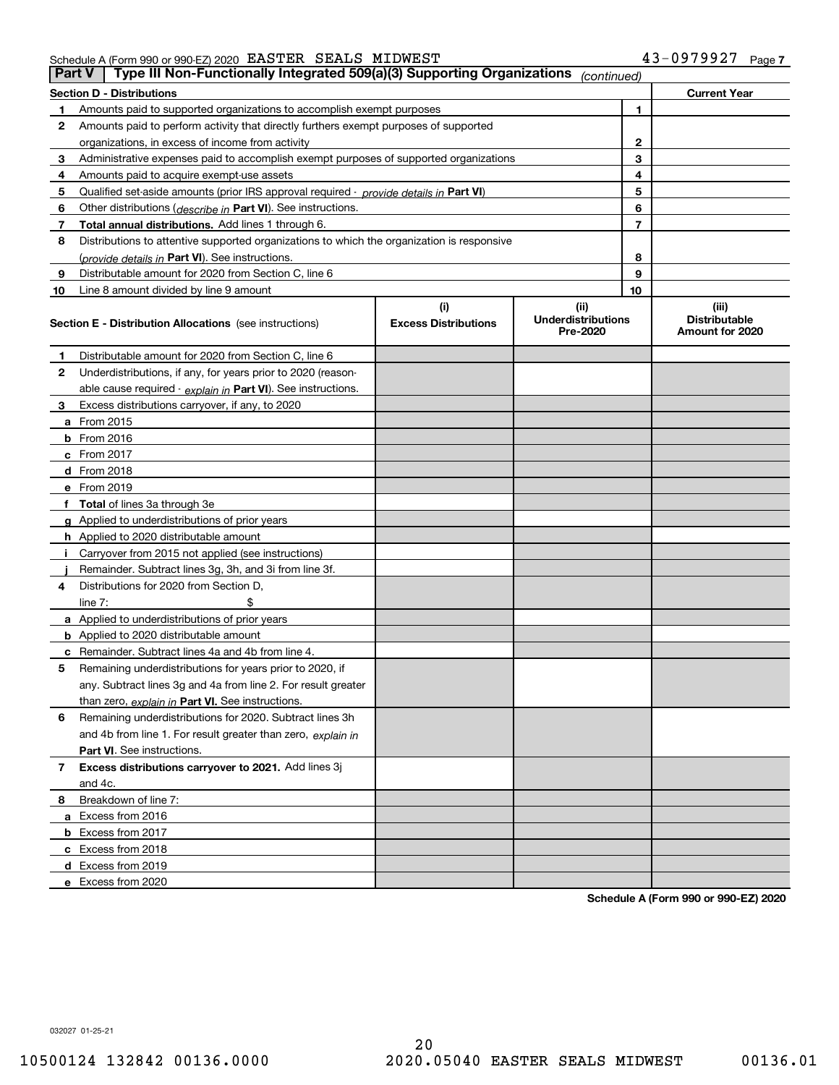Schedule A (Form 990 or 990-EZ) 2020 Page EASTER SEALS MIDWEST 43-0979927

|    | Type III Non-Functionally Integrated 509(a)(3) Supporting Organizations<br><b>Part V</b><br>(continued) |                             |                                       |    |                                         |  |  |
|----|---------------------------------------------------------------------------------------------------------|-----------------------------|---------------------------------------|----|-----------------------------------------|--|--|
|    | <b>Section D - Distributions</b>                                                                        |                             |                                       |    | <b>Current Year</b>                     |  |  |
| 1  | Amounts paid to supported organizations to accomplish exempt purposes                                   |                             |                                       | 1  |                                         |  |  |
| 2  | Amounts paid to perform activity that directly furthers exempt purposes of supported                    |                             |                                       |    |                                         |  |  |
|    | organizations, in excess of income from activity                                                        |                             |                                       | 2  |                                         |  |  |
| 3  | Administrative expenses paid to accomplish exempt purposes of supported organizations                   |                             |                                       | 3  |                                         |  |  |
| 4  | Amounts paid to acquire exempt-use assets                                                               |                             |                                       | 4  |                                         |  |  |
| 5  | Qualified set-aside amounts (prior IRS approval required - provide details in Part VI)                  |                             |                                       | 5  |                                         |  |  |
| 6  | Other distributions (describe in Part VI). See instructions.                                            |                             |                                       | 6  |                                         |  |  |
| 7  | Total annual distributions. Add lines 1 through 6.                                                      |                             |                                       | 7  |                                         |  |  |
| 8  | Distributions to attentive supported organizations to which the organization is responsive              |                             |                                       |    |                                         |  |  |
|    | (provide details in Part VI). See instructions.                                                         |                             |                                       | 8  |                                         |  |  |
| 9  | Distributable amount for 2020 from Section C, line 6                                                    |                             |                                       | 9  |                                         |  |  |
| 10 | Line 8 amount divided by line 9 amount                                                                  |                             |                                       | 10 |                                         |  |  |
|    |                                                                                                         | (i)                         | (ii)                                  |    | (iii)                                   |  |  |
|    | <b>Section E - Distribution Allocations</b> (see instructions)                                          | <b>Excess Distributions</b> | <b>Underdistributions</b><br>Pre-2020 |    | <b>Distributable</b><br>Amount for 2020 |  |  |
| 1  | Distributable amount for 2020 from Section C, line 6                                                    |                             |                                       |    |                                         |  |  |
| 2  | Underdistributions, if any, for years prior to 2020 (reason-                                            |                             |                                       |    |                                         |  |  |
|    | able cause required - explain in Part VI). See instructions.                                            |                             |                                       |    |                                         |  |  |
| 3  | Excess distributions carryover, if any, to 2020                                                         |                             |                                       |    |                                         |  |  |
|    | <b>a</b> From 2015                                                                                      |                             |                                       |    |                                         |  |  |
|    | <b>b</b> From 2016                                                                                      |                             |                                       |    |                                         |  |  |
|    | c From 2017                                                                                             |                             |                                       |    |                                         |  |  |
|    | <b>d</b> From 2018                                                                                      |                             |                                       |    |                                         |  |  |
|    | e From 2019                                                                                             |                             |                                       |    |                                         |  |  |
|    | f Total of lines 3a through 3e                                                                          |                             |                                       |    |                                         |  |  |
|    | g Applied to underdistributions of prior years                                                          |                             |                                       |    |                                         |  |  |
|    | <b>h</b> Applied to 2020 distributable amount                                                           |                             |                                       |    |                                         |  |  |
|    | Carryover from 2015 not applied (see instructions)                                                      |                             |                                       |    |                                         |  |  |
|    | Remainder. Subtract lines 3g, 3h, and 3i from line 3f.                                                  |                             |                                       |    |                                         |  |  |
| 4  | Distributions for 2020 from Section D,                                                                  |                             |                                       |    |                                         |  |  |
|    | line $7:$                                                                                               |                             |                                       |    |                                         |  |  |
|    | a Applied to underdistributions of prior years                                                          |                             |                                       |    |                                         |  |  |
|    | <b>b</b> Applied to 2020 distributable amount                                                           |                             |                                       |    |                                         |  |  |
|    | c Remainder. Subtract lines 4a and 4b from line 4.                                                      |                             |                                       |    |                                         |  |  |
| 5  | Remaining underdistributions for years prior to 2020, if                                                |                             |                                       |    |                                         |  |  |
|    | any. Subtract lines 3g and 4a from line 2. For result greater                                           |                             |                                       |    |                                         |  |  |
|    | than zero, explain in Part VI. See instructions.                                                        |                             |                                       |    |                                         |  |  |
| 6  | Remaining underdistributions for 2020. Subtract lines 3h                                                |                             |                                       |    |                                         |  |  |
|    | and 4b from line 1. For result greater than zero, explain in                                            |                             |                                       |    |                                         |  |  |
|    | Part VI. See instructions.                                                                              |                             |                                       |    |                                         |  |  |
| 7  | Excess distributions carryover to 2021. Add lines 3j                                                    |                             |                                       |    |                                         |  |  |
|    | and 4c.                                                                                                 |                             |                                       |    |                                         |  |  |
| 8  | Breakdown of line 7:                                                                                    |                             |                                       |    |                                         |  |  |
|    | a Excess from 2016                                                                                      |                             |                                       |    |                                         |  |  |
|    | <b>b</b> Excess from 2017                                                                               |                             |                                       |    |                                         |  |  |
|    | c Excess from 2018                                                                                      |                             |                                       |    |                                         |  |  |
|    | d Excess from 2019                                                                                      |                             |                                       |    |                                         |  |  |
|    | e Excess from 2020                                                                                      |                             |                                       |    |                                         |  |  |

**Schedule A (Form 990 or 990-EZ) 2020**

032027 01-25-21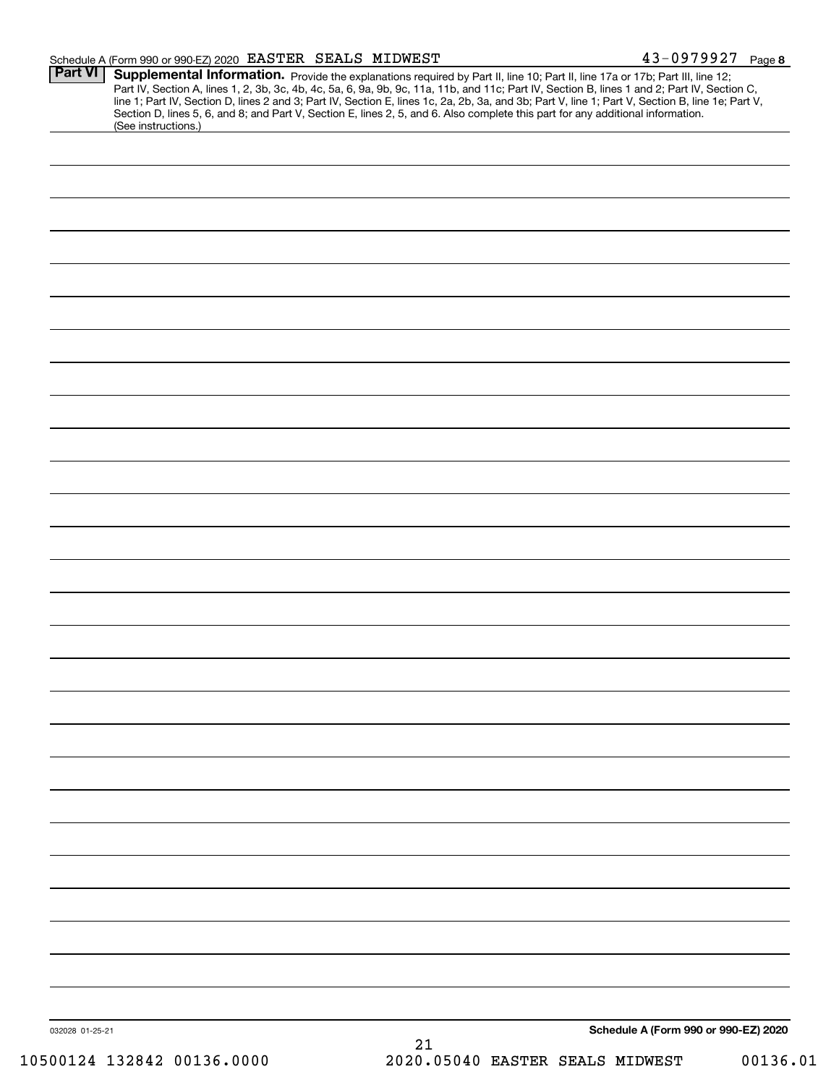| Schedule A (Form 990 or 990-EZ) 2020 EASTER SEALS MIDWEST |  | 3-0979927                                                                                                                                         | Page 8 |
|-----------------------------------------------------------|--|---------------------------------------------------------------------------------------------------------------------------------------------------|--------|
|                                                           |  | <b>Part VI</b> Supplemental Information <b>Drovide the evaluations</b> required by Part II, line 10: Dart II, line 176 or 17b; Dart III, line 12: |        |

| (See instructions.) | Section D, lines 5, 6, and 8; and Part V, Section E, lines 2, 5, and 6. Also complete this part for any additional information. |
|---------------------|---------------------------------------------------------------------------------------------------------------------------------|
|                     |                                                                                                                                 |
|                     |                                                                                                                                 |
|                     |                                                                                                                                 |
|                     |                                                                                                                                 |
|                     |                                                                                                                                 |
|                     |                                                                                                                                 |
|                     |                                                                                                                                 |
|                     |                                                                                                                                 |
|                     |                                                                                                                                 |
|                     |                                                                                                                                 |
|                     |                                                                                                                                 |
|                     |                                                                                                                                 |
|                     |                                                                                                                                 |
|                     |                                                                                                                                 |
|                     |                                                                                                                                 |
|                     |                                                                                                                                 |
|                     |                                                                                                                                 |
|                     |                                                                                                                                 |
|                     |                                                                                                                                 |
|                     |                                                                                                                                 |
|                     |                                                                                                                                 |
|                     |                                                                                                                                 |
|                     |                                                                                                                                 |
|                     |                                                                                                                                 |
|                     |                                                                                                                                 |
|                     |                                                                                                                                 |
|                     |                                                                                                                                 |
|                     |                                                                                                                                 |
|                     |                                                                                                                                 |
|                     |                                                                                                                                 |
|                     |                                                                                                                                 |
|                     |                                                                                                                                 |
|                     |                                                                                                                                 |
|                     |                                                                                                                                 |
|                     |                                                                                                                                 |
|                     |                                                                                                                                 |
|                     |                                                                                                                                 |
|                     |                                                                                                                                 |
|                     |                                                                                                                                 |
|                     |                                                                                                                                 |
|                     |                                                                                                                                 |
|                     |                                                                                                                                 |
|                     |                                                                                                                                 |
|                     |                                                                                                                                 |
|                     |                                                                                                                                 |
|                     |                                                                                                                                 |
| 032028 01-25-21     | Schedule A (Form 990 or 990-EZ) 2020                                                                                            |
|                     |                                                                                                                                 |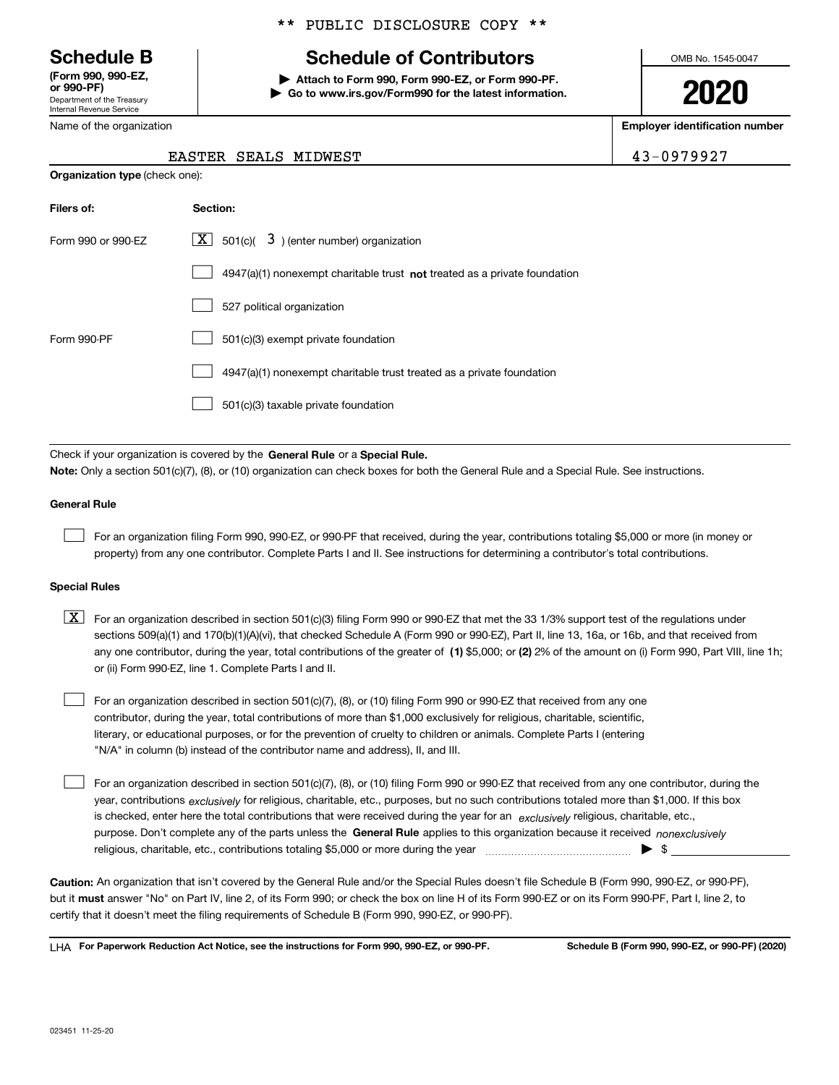Department of the Treasury Internal Revenue Service **(Form 990, 990-EZ, OOO DE)** 

\*\* PUBLIC DISCLOSURE COPY \*\*

## **Schedule B Schedule of Contributors**

**| Attach to Form 990, Form 990-EZ, or Form 990-PF. | Go to www.irs.gov/Form990 for the latest information.** OMB No. 1545-0047

**2020**

**Employer identification number**

| , , , , , , , , ,          |
|----------------------------|
| Department of the Treasury |
| Internal Revenue Service   |
| Name of the organization   |

**Organization type** (check one):

#### EASTER SEALS MIDWEST **1998** and 19979927

| Filers of:         | Section:                                                                    |
|--------------------|-----------------------------------------------------------------------------|
| Form 990 or 990-EZ | $\overline{X}$ 501(c)( 3) (enter number) organization                       |
|                    | $4947(a)(1)$ nonexempt charitable trust not treated as a private foundation |
|                    | 527 political organization                                                  |
| Form 990-PF        | 501(c)(3) exempt private foundation                                         |
|                    | 4947(a)(1) nonexempt charitable trust treated as a private foundation       |
|                    | 501(c)(3) taxable private foundation                                        |

Check if your organization is covered by the **General Rule** or a **Special Rule. Note:**  Only a section 501(c)(7), (8), or (10) organization can check boxes for both the General Rule and a Special Rule. See instructions.

#### **General Rule**

 $\mathcal{L}^{\text{max}}$ 

For an organization filing Form 990, 990-EZ, or 990-PF that received, during the year, contributions totaling \$5,000 or more (in money or property) from any one contributor. Complete Parts I and II. See instructions for determining a contributor's total contributions.

#### **Special Rules**

any one contributor, during the year, total contributions of the greater of  $\,$  (1) \$5,000; or **(2)** 2% of the amount on (i) Form 990, Part VIII, line 1h;  $\boxed{\textbf{X}}$  For an organization described in section 501(c)(3) filing Form 990 or 990-EZ that met the 33 1/3% support test of the regulations under sections 509(a)(1) and 170(b)(1)(A)(vi), that checked Schedule A (Form 990 or 990-EZ), Part II, line 13, 16a, or 16b, and that received from or (ii) Form 990-EZ, line 1. Complete Parts I and II.

For an organization described in section 501(c)(7), (8), or (10) filing Form 990 or 990-EZ that received from any one contributor, during the year, total contributions of more than \$1,000 exclusively for religious, charitable, scientific, literary, or educational purposes, or for the prevention of cruelty to children or animals. Complete Parts I (entering "N/A" in column (b) instead of the contributor name and address), II, and III.  $\mathcal{L}^{\text{max}}$ 

purpose. Don't complete any of the parts unless the **General Rule** applies to this organization because it received *nonexclusively* year, contributions <sub>exclusively</sub> for religious, charitable, etc., purposes, but no such contributions totaled more than \$1,000. If this box is checked, enter here the total contributions that were received during the year for an  $\;$ exclusively religious, charitable, etc., For an organization described in section 501(c)(7), (8), or (10) filing Form 990 or 990-EZ that received from any one contributor, during the religious, charitable, etc., contributions totaling \$5,000 or more during the year  $\Box$ — $\Box$   $\Box$  $\mathcal{L}^{\text{max}}$ 

**Caution:**  An organization that isn't covered by the General Rule and/or the Special Rules doesn't file Schedule B (Form 990, 990-EZ, or 990-PF),  **must** but it answer "No" on Part IV, line 2, of its Form 990; or check the box on line H of its Form 990-EZ or on its Form 990-PF, Part I, line 2, to certify that it doesn't meet the filing requirements of Schedule B (Form 990, 990-EZ, or 990-PF).

**For Paperwork Reduction Act Notice, see the instructions for Form 990, 990-EZ, or 990-PF. Schedule B (Form 990, 990-EZ, or 990-PF) (2020)** LHA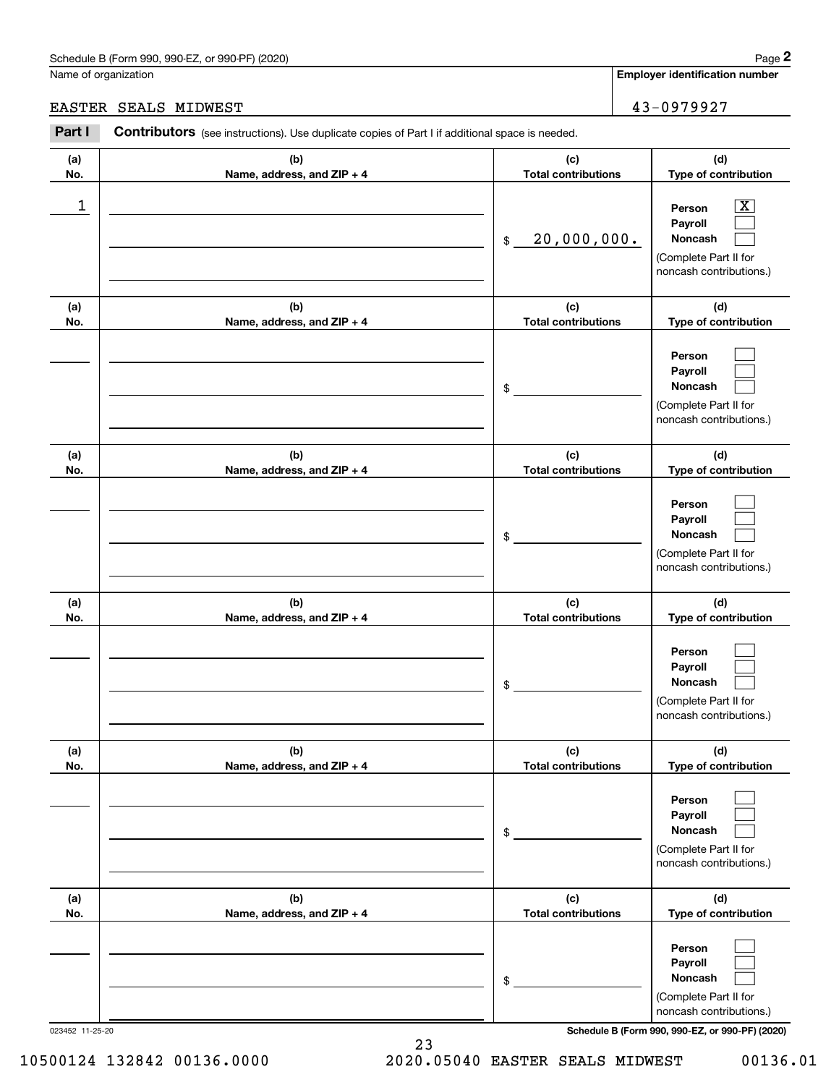**Employer identification number**

#### EASTER SEALS MIDWEST 43-0979927

| .           | $\bf{a}$ is a contracted by the complete concerns of the distribution of space is necessary. |                                   |                                                                                                             |
|-------------|----------------------------------------------------------------------------------------------|-----------------------------------|-------------------------------------------------------------------------------------------------------------|
| (a)<br>No.  | (b)<br>Name, address, and ZIP + 4                                                            | (c)<br><b>Total contributions</b> | (d)<br>Type of contribution                                                                                 |
| $\mathbf 1$ |                                                                                              | 20,000,000.<br>$\mathfrak{S}$     | $\overline{\mathbf{X}}$<br>Person<br>Payroll<br>Noncash<br>(Complete Part II for<br>noncash contributions.) |
| (a)<br>No.  | (b)<br>Name, address, and ZIP + 4                                                            | (c)<br><b>Total contributions</b> | (d)<br>Type of contribution                                                                                 |
|             |                                                                                              | \$                                | Person<br>Payroll<br>Noncash<br>(Complete Part II for<br>noncash contributions.)                            |
| (a)<br>No.  | (b)<br>Name, address, and ZIP + 4                                                            | (c)<br><b>Total contributions</b> | (d)<br>Type of contribution                                                                                 |
|             |                                                                                              | \$                                | Person<br>Payroll<br>Noncash<br>(Complete Part II for<br>noncash contributions.)                            |
| (a)<br>No.  | (b)<br>Name, address, and ZIP + 4                                                            | (c)<br><b>Total contributions</b> | (d)<br>Type of contribution                                                                                 |
|             |                                                                                              | \$                                | Person<br>Payroll<br>Noncash<br>(Complete Part II for<br>noncash contributions.)                            |
| (a)<br>No.  | (b)<br>Name, address, and ZIP + 4                                                            | (c)<br><b>Total contributions</b> | (d)<br>Type of contribution                                                                                 |
|             |                                                                                              | \$                                | Person<br>Payroll<br>Noncash<br>(Complete Part II for<br>noncash contributions.)                            |
| (a)<br>No.  | (b)<br>Name, address, and ZIP + 4                                                            | (c)<br><b>Total contributions</b> | (d)<br>Type of contribution                                                                                 |
|             |                                                                                              | \$                                | Person<br>Payroll<br>Noncash<br>(Complete Part II for<br>noncash contributions.)                            |

023452 11-25-20 **Schedule B (Form 990, 990-EZ, or 990-PF) (2020)**

23 10500124 132842 00136.0000 2020.05040 EASTER SEALS MIDWEST 00136.01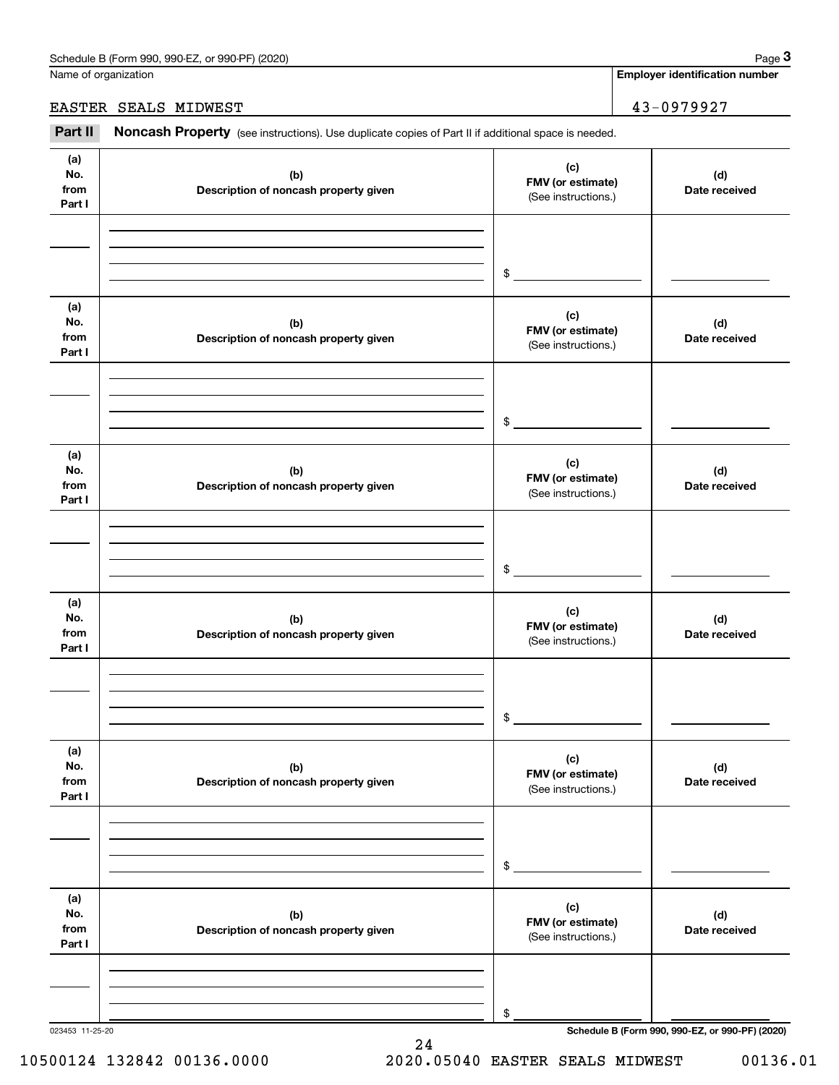Name of organization

#### EASTER SEALS MIDWEST 43-0979927

Employer identification Page 3<br>
lame of organization<br> **2Part II Noncash Property** (see instructions). Use duplicate copies of Part II if additional space is needed.<br> **2Part II Noncash Property** (see instructions). Use

| (a)<br>No.<br>from<br>Part I | (b)<br>Description of noncash property given | (c)<br>FMV (or estimate)<br>(See instructions.) | (d)<br>Date received                            |
|------------------------------|----------------------------------------------|-------------------------------------------------|-------------------------------------------------|
|                              |                                              |                                                 |                                                 |
|                              |                                              | \$                                              |                                                 |
| (a)<br>No.<br>from<br>Part I | (b)<br>Description of noncash property given | (c)<br>FMV (or estimate)<br>(See instructions.) | (d)<br>Date received                            |
|                              |                                              |                                                 |                                                 |
|                              |                                              | \$                                              |                                                 |
| (a)<br>No.<br>from<br>Part I | (b)<br>Description of noncash property given | (c)<br>FMV (or estimate)<br>(See instructions.) | (d)<br>Date received                            |
|                              |                                              |                                                 |                                                 |
|                              |                                              | \$                                              |                                                 |
|                              |                                              |                                                 |                                                 |
| (a)<br>No.<br>from<br>Part I | (b)<br>Description of noncash property given | (c)<br>FMV (or estimate)<br>(See instructions.) | (d)<br>Date received                            |
|                              |                                              |                                                 |                                                 |
|                              |                                              | \$                                              |                                                 |
| (a)                          |                                              |                                                 |                                                 |
| No.<br>from<br>Part I        | (b)<br>Description of noncash property given | (c)<br>FMV (or estimate)<br>(See instructions.) | (d)<br>Date received                            |
|                              |                                              |                                                 |                                                 |
|                              |                                              |                                                 |                                                 |
|                              |                                              | \$                                              |                                                 |
| (a)<br>No.<br>from<br>Part I | (b)<br>Description of noncash property given | (c)<br>FMV (or estimate)<br>(See instructions.) | (d)<br>Date received                            |
|                              |                                              |                                                 |                                                 |
|                              |                                              |                                                 |                                                 |
| 023453 11-25-20              |                                              | \$                                              | Schedule B (Form 990, 990-EZ, or 990-PF) (2020) |

10500124 132842 00136.0000 2020.05040 EASTER SEALS MIDWEST 00136.01

24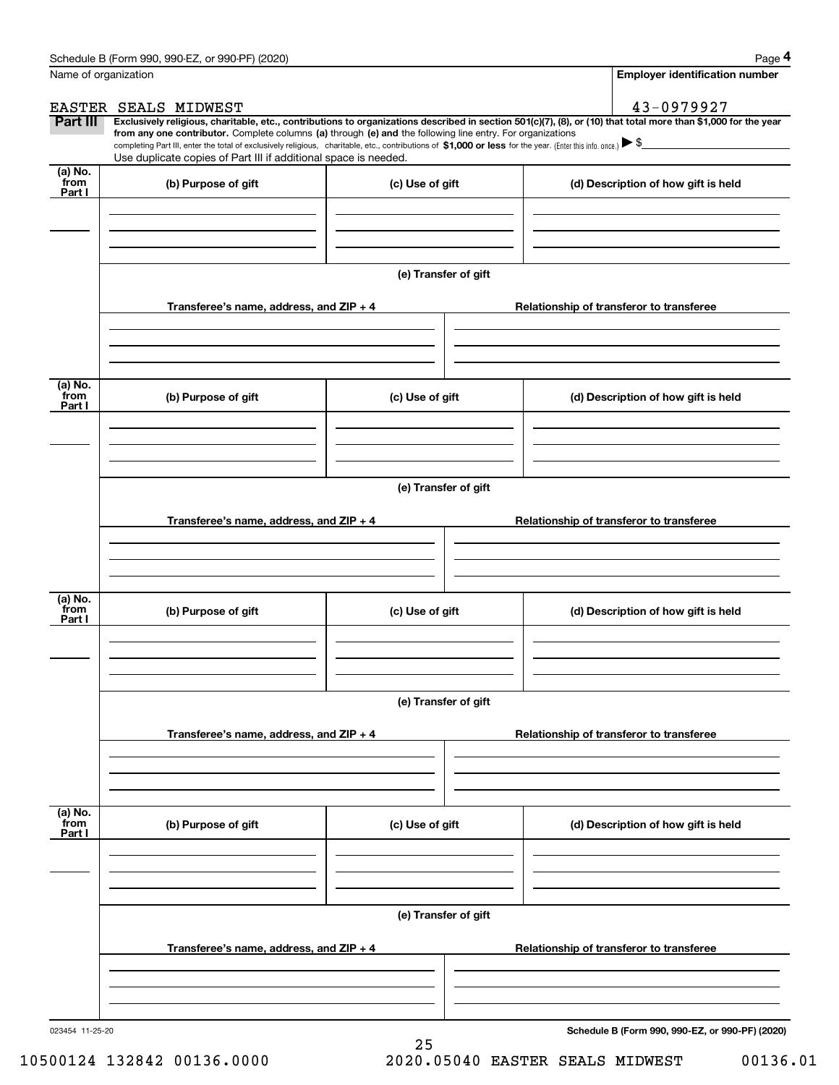|                           | Schedule B (Form 990, 990-EZ, or 990-PF) (2020)                                                                                                                                                                                                                                                 |                      | Page 4                                                                                                                                                         |
|---------------------------|-------------------------------------------------------------------------------------------------------------------------------------------------------------------------------------------------------------------------------------------------------------------------------------------------|----------------------|----------------------------------------------------------------------------------------------------------------------------------------------------------------|
|                           | Name of organization                                                                                                                                                                                                                                                                            |                      | <b>Employer identification number</b>                                                                                                                          |
|                           | EASTER SEALS MIDWEST                                                                                                                                                                                                                                                                            |                      | 43-0979927                                                                                                                                                     |
| Part III                  |                                                                                                                                                                                                                                                                                                 |                      | Exclusively religious, charitable, etc., contributions to organizations described in section 501(c)(7), (8), or (10) that total more than \$1,000 for the year |
|                           | from any one contributor. Complete columns (a) through (e) and the following line entry. For organizations<br>completing Part III, enter the total of exclusively religious, charitable, etc., contributions of \$1,000 or less for the year. (Enter this info. once.) $\blacktriangleright$ \$ |                      |                                                                                                                                                                |
|                           | Use duplicate copies of Part III if additional space is needed.                                                                                                                                                                                                                                 |                      |                                                                                                                                                                |
| (a) No.<br>from<br>Part I | (b) Purpose of gift                                                                                                                                                                                                                                                                             | (c) Use of gift      | (d) Description of how gift is held                                                                                                                            |
|                           |                                                                                                                                                                                                                                                                                                 |                      |                                                                                                                                                                |
|                           |                                                                                                                                                                                                                                                                                                 |                      |                                                                                                                                                                |
|                           | Transferee's name, address, and ZIP + 4                                                                                                                                                                                                                                                         | (e) Transfer of gift |                                                                                                                                                                |
|                           |                                                                                                                                                                                                                                                                                                 |                      | Relationship of transferor to transferee                                                                                                                       |
|                           |                                                                                                                                                                                                                                                                                                 |                      |                                                                                                                                                                |
| (a) No.<br>from<br>Part I | (b) Purpose of gift                                                                                                                                                                                                                                                                             | (c) Use of gift      | (d) Description of how gift is held                                                                                                                            |
|                           |                                                                                                                                                                                                                                                                                                 |                      |                                                                                                                                                                |
|                           |                                                                                                                                                                                                                                                                                                 | (e) Transfer of gift |                                                                                                                                                                |
|                           | Transferee's name, address, and ZIP + 4                                                                                                                                                                                                                                                         |                      | Relationship of transferor to transferee                                                                                                                       |
|                           |                                                                                                                                                                                                                                                                                                 |                      |                                                                                                                                                                |
|                           |                                                                                                                                                                                                                                                                                                 |                      |                                                                                                                                                                |
| (a) No.<br>from<br>Part I | (b) Purpose of gift                                                                                                                                                                                                                                                                             | (c) Use of gift      | (d) Description of how gift is held                                                                                                                            |
|                           |                                                                                                                                                                                                                                                                                                 |                      |                                                                                                                                                                |
|                           |                                                                                                                                                                                                                                                                                                 | (e) Transfer of gift |                                                                                                                                                                |
|                           | Transferee's name, address, and $ZIP + 4$                                                                                                                                                                                                                                                       |                      | Relationship of transferor to transferee                                                                                                                       |
|                           |                                                                                                                                                                                                                                                                                                 |                      |                                                                                                                                                                |
|                           |                                                                                                                                                                                                                                                                                                 |                      |                                                                                                                                                                |
| (a) No.<br>from<br>Part I | (b) Purpose of gift                                                                                                                                                                                                                                                                             | (c) Use of gift      | (d) Description of how gift is held                                                                                                                            |
|                           |                                                                                                                                                                                                                                                                                                 |                      |                                                                                                                                                                |
|                           |                                                                                                                                                                                                                                                                                                 | (e) Transfer of gift |                                                                                                                                                                |
|                           |                                                                                                                                                                                                                                                                                                 |                      |                                                                                                                                                                |
|                           | Transferee's name, address, and $ZIP + 4$                                                                                                                                                                                                                                                       |                      | Relationship of transferor to transferee                                                                                                                       |
|                           |                                                                                                                                                                                                                                                                                                 |                      |                                                                                                                                                                |
| 023454 11-25-20           |                                                                                                                                                                                                                                                                                                 |                      | Schedule B (Form 990, 990-EZ, or 990-PF) (2020)                                                                                                                |

25

**Schedule B (Form 990, 990-EZ, or 990-PF) (2020)**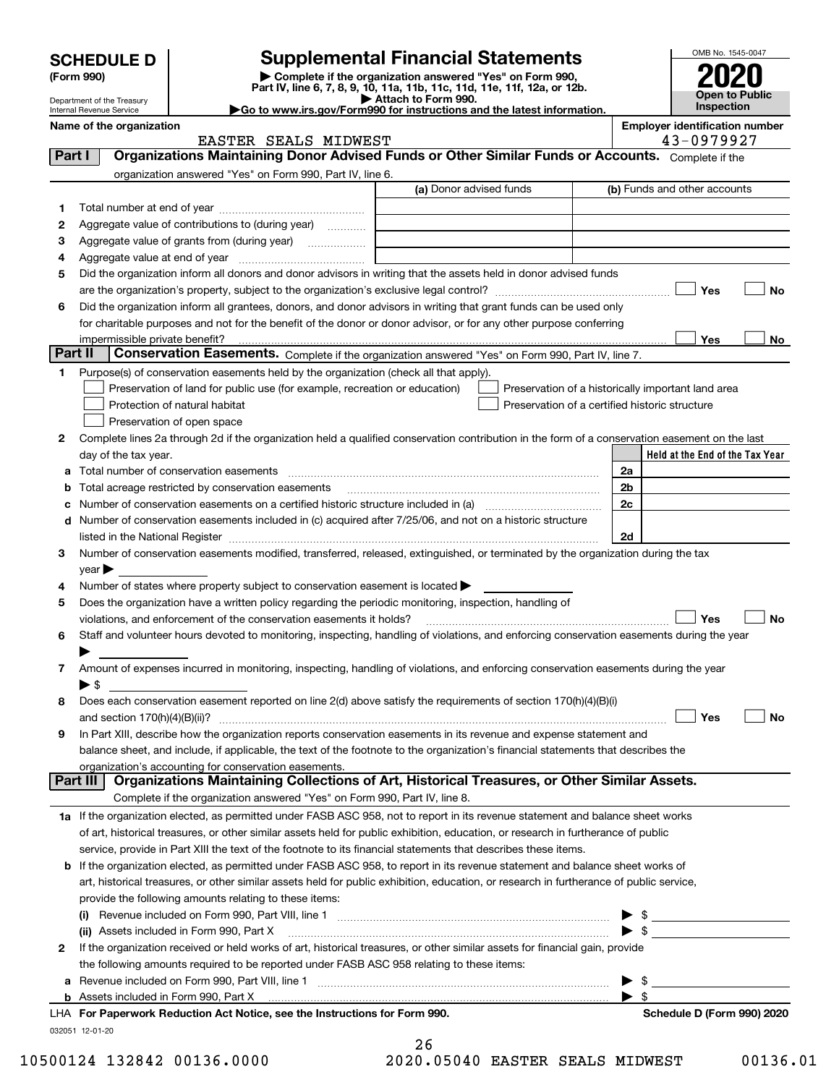| <b>SCHEDULE D</b><br>(Form 990)<br>Department of the Treasury<br>Internal Revenue Service |                                                                                                                    | <b>Supplemental Financial Statements</b><br>Complete if the organization answered "Yes" on Form 990,<br>Part IV, line 6, 7, 8, 9, 10, 11a, 11b, 11c, 11d, 11e, 11f, 12a, or 12b.<br>Attach to Form 990.<br>$\blacktriangleright$ Go to www.irs.gov/Form990 for instructions and the latest information. | OMB No. 1545-0047<br><b>Open to Public</b><br>Inspection |                                       |
|-------------------------------------------------------------------------------------------|--------------------------------------------------------------------------------------------------------------------|---------------------------------------------------------------------------------------------------------------------------------------------------------------------------------------------------------------------------------------------------------------------------------------------------------|----------------------------------------------------------|---------------------------------------|
| Name of the organization                                                                  |                                                                                                                    |                                                                                                                                                                                                                                                                                                         |                                                          | <b>Employer identification number</b> |
|                                                                                           | EASTER SEALS MIDWEST                                                                                               |                                                                                                                                                                                                                                                                                                         |                                                          | 43-0979927                            |
| Part I                                                                                    | Organizations Maintaining Donor Advised Funds or Other Similar Funds or Accounts.                                  |                                                                                                                                                                                                                                                                                                         |                                                          | Complete if the                       |
|                                                                                           | organization answered "Yes" on Form 990, Part IV, line 6.                                                          |                                                                                                                                                                                                                                                                                                         |                                                          |                                       |
|                                                                                           |                                                                                                                    | (a) Donor advised funds                                                                                                                                                                                                                                                                                 |                                                          | (b) Funds and other accounts          |
|                                                                                           |                                                                                                                    |                                                                                                                                                                                                                                                                                                         |                                                          |                                       |
| 2                                                                                         | Aggregate value of contributions to (during year)<br>.                                                             |                                                                                                                                                                                                                                                                                                         |                                                          |                                       |
| 3                                                                                         | Aggregate value of grants from (during year)<br>.                                                                  |                                                                                                                                                                                                                                                                                                         |                                                          |                                       |
| Aggregate value at end of year<br>4                                                       |                                                                                                                    |                                                                                                                                                                                                                                                                                                         |                                                          |                                       |
| 5                                                                                         | Did the organization inform all donors and donor advisors in writing that the assets held in donor advised funds   |                                                                                                                                                                                                                                                                                                         |                                                          |                                       |
|                                                                                           |                                                                                                                    |                                                                                                                                                                                                                                                                                                         |                                                          | <b>No</b><br>Yes                      |
| 6                                                                                         | Did the organization inform all grantees, donors, and donor advisors in writing that grant funds can be used only  |                                                                                                                                                                                                                                                                                                         |                                                          |                                       |
|                                                                                           | for charitable purposes and not for the benefit of the donor or donor advisor, or for any other purpose conferring |                                                                                                                                                                                                                                                                                                         |                                                          |                                       |
|                                                                                           |                                                                                                                    |                                                                                                                                                                                                                                                                                                         |                                                          | .                                     |

| з            | Aggregate value of grants from (during year)                                                                                                                    |    |  |  |                         |                                                    |     |    |
|--------------|-----------------------------------------------------------------------------------------------------------------------------------------------------------------|----|--|--|-------------------------|----------------------------------------------------|-----|----|
| 4            |                                                                                                                                                                 |    |  |  |                         |                                                    |     |    |
| 5            | Did the organization inform all donors and donor advisors in writing that the assets held in donor advised funds                                                |    |  |  |                         |                                                    |     |    |
|              |                                                                                                                                                                 |    |  |  |                         |                                                    | Yes | No |
| 6            | Did the organization inform all grantees, donors, and donor advisors in writing that grant funds can be used only                                               |    |  |  |                         |                                                    |     |    |
|              | for charitable purposes and not for the benefit of the donor or donor advisor, or for any other purpose conferring                                              |    |  |  |                         |                                                    |     |    |
|              | impermissible private benefit?                                                                                                                                  |    |  |  |                         |                                                    | Yes | No |
| Part II      | <b>Conservation Easements.</b> Complete if the organization answered "Yes" on Form 990, Part IV, line 7.                                                        |    |  |  |                         |                                                    |     |    |
| 1.           | Purpose(s) of conservation easements held by the organization (check all that apply).                                                                           |    |  |  |                         |                                                    |     |    |
|              | Preservation of land for public use (for example, recreation or education)                                                                                      |    |  |  |                         | Preservation of a historically important land area |     |    |
|              | Protection of natural habitat                                                                                                                                   |    |  |  |                         | Preservation of a certified historic structure     |     |    |
|              | Preservation of open space                                                                                                                                      |    |  |  |                         |                                                    |     |    |
| 2            | Complete lines 2a through 2d if the organization held a qualified conservation contribution in the form of a conservation easement on the last                  |    |  |  |                         |                                                    |     |    |
|              | day of the tax year.                                                                                                                                            |    |  |  |                         | Held at the End of the Tax Year                    |     |    |
| а            | Total number of conservation easements                                                                                                                          |    |  |  | 2a                      |                                                    |     |    |
| b            | Total acreage restricted by conservation easements                                                                                                              |    |  |  | 2 <sub>b</sub>          |                                                    |     |    |
| с            | Number of conservation easements on a certified historic structure included in (a) <i>mummumumum</i>                                                            |    |  |  | 2c                      |                                                    |     |    |
| d            | Number of conservation easements included in (c) acquired after 7/25/06, and not on a historic structure                                                        |    |  |  |                         |                                                    |     |    |
|              | listed in the National Register [111] [12] The Management of the National Property of the National Register [11                                                 |    |  |  | 2d                      |                                                    |     |    |
| 3            | Number of conservation easements modified, transferred, released, extinguished, or terminated by the organization during the tax                                |    |  |  |                         |                                                    |     |    |
|              | $year \blacktriangleright$                                                                                                                                      |    |  |  |                         |                                                    |     |    |
| 4            | Number of states where property subject to conservation easement is located >                                                                                   |    |  |  |                         |                                                    |     |    |
| 5            | Does the organization have a written policy regarding the periodic monitoring, inspection, handling of                                                          |    |  |  |                         |                                                    |     |    |
|              | violations, and enforcement of the conservation easements it holds?                                                                                             |    |  |  |                         |                                                    | Yes | No |
| 6            | Staff and volunteer hours devoted to monitoring, inspecting, handling of violations, and enforcing conservation easements during the year                       |    |  |  |                         |                                                    |     |    |
|              |                                                                                                                                                                 |    |  |  |                         |                                                    |     |    |
| 7            | Amount of expenses incurred in monitoring, inspecting, handling of violations, and enforcing conservation easements during the year<br>$\blacktriangleright$ \$ |    |  |  |                         |                                                    |     |    |
| 8            | Does each conservation easement reported on line 2(d) above satisfy the requirements of section 170(h)(4)(B)(i)                                                 |    |  |  |                         |                                                    |     |    |
|              |                                                                                                                                                                 |    |  |  |                         |                                                    | Yes | No |
| 9            | In Part XIII, describe how the organization reports conservation easements in its revenue and expense statement and                                             |    |  |  |                         |                                                    |     |    |
|              | balance sheet, and include, if applicable, the text of the footnote to the organization's financial statements that describes the                               |    |  |  |                         |                                                    |     |    |
|              | organization's accounting for conservation easements.                                                                                                           |    |  |  |                         |                                                    |     |    |
|              | Organizations Maintaining Collections of Art, Historical Treasures, or Other Similar Assets.<br>Part III                                                        |    |  |  |                         |                                                    |     |    |
|              | Complete if the organization answered "Yes" on Form 990, Part IV, line 8.                                                                                       |    |  |  |                         |                                                    |     |    |
|              | 1a If the organization elected, as permitted under FASB ASC 958, not to report in its revenue statement and balance sheet works                                 |    |  |  |                         |                                                    |     |    |
|              | of art, historical treasures, or other similar assets held for public exhibition, education, or research in furtherance of public                               |    |  |  |                         |                                                    |     |    |
|              | service, provide in Part XIII the text of the footnote to its financial statements that describes these items.                                                  |    |  |  |                         |                                                    |     |    |
|              | <b>b</b> If the organization elected, as permitted under FASB ASC 958, to report in its revenue statement and balance sheet works of                            |    |  |  |                         |                                                    |     |    |
|              | art, historical treasures, or other similar assets held for public exhibition, education, or research in furtherance of public service,                         |    |  |  |                         |                                                    |     |    |
|              | provide the following amounts relating to these items:                                                                                                          |    |  |  |                         |                                                    |     |    |
|              |                                                                                                                                                                 |    |  |  |                         | \$                                                 |     |    |
|              | (ii) Assets included in Form 990, Part X                                                                                                                        |    |  |  | $\blacktriangleright$ s |                                                    |     |    |
| $\mathbf{2}$ | If the organization received or held works of art, historical treasures, or other similar assets for financial gain, provide                                    |    |  |  |                         |                                                    |     |    |
|              | the following amounts required to be reported under FASB ASC 958 relating to these items:                                                                       |    |  |  |                         |                                                    |     |    |
|              | a Revenue included on Form 990, Part VIII, line 1 [2000] [2000] [2000] [2000] [2000] [2000] [2000] [2000] [2000                                                 |    |  |  |                         | \$                                                 |     |    |
|              |                                                                                                                                                                 |    |  |  | $\blacktriangleright$ s |                                                    |     |    |
|              | LHA For Paperwork Reduction Act Notice, see the Instructions for Form 990.                                                                                      |    |  |  |                         | Schedule D (Form 990) 2020                         |     |    |
|              | 032051 12-01-20                                                                                                                                                 |    |  |  |                         |                                                    |     |    |
|              |                                                                                                                                                                 | 26 |  |  |                         |                                                    |     |    |

| - - |  |  |  |              |  |  |
|-----|--|--|--|--------------|--|--|
|     |  |  |  | 0.05040 RAST |  |  |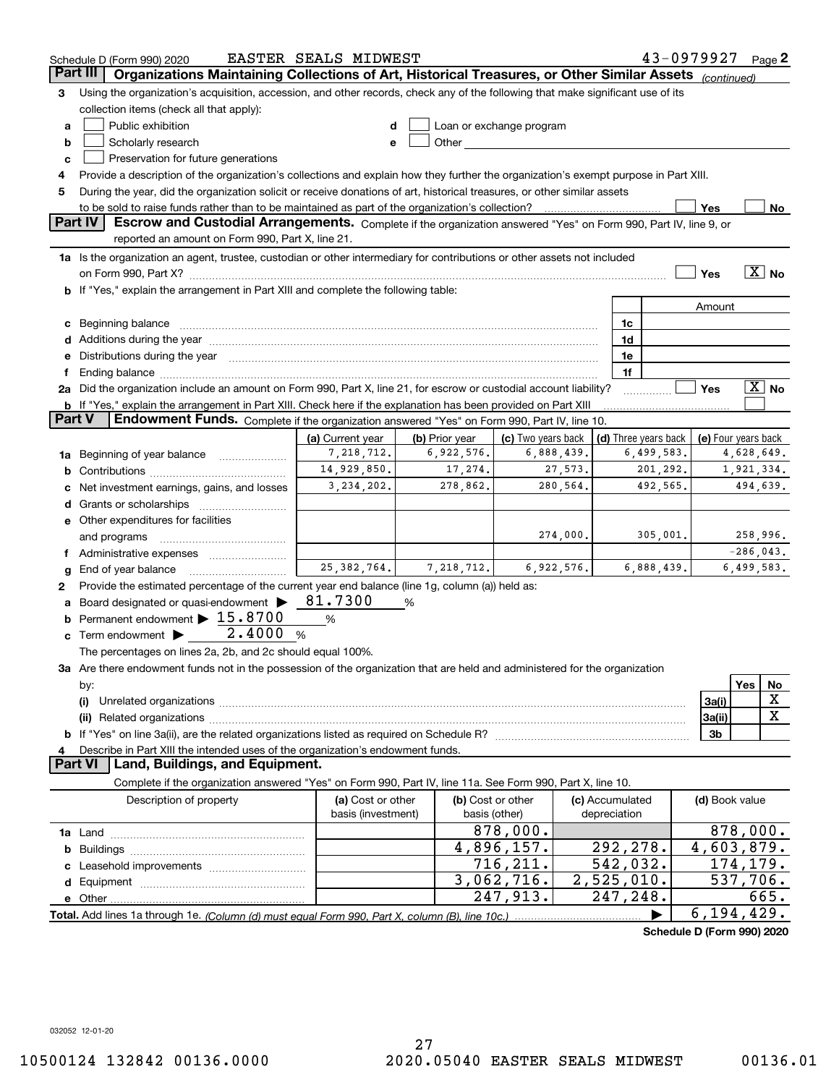|          | Schedule D (Form 990) 2020                                                                                                                                                                                                     | EASTER SEALS MIDWEST |   |                |                                                                                                                                                                                                                                |                 |              |                      | 43-0979927                 |             | Page 2            |
|----------|--------------------------------------------------------------------------------------------------------------------------------------------------------------------------------------------------------------------------------|----------------------|---|----------------|--------------------------------------------------------------------------------------------------------------------------------------------------------------------------------------------------------------------------------|-----------------|--------------|----------------------|----------------------------|-------------|-------------------|
| Part III | Organizations Maintaining Collections of Art, Historical Treasures, or Other Similar Assets (continued)                                                                                                                        |                      |   |                |                                                                                                                                                                                                                                |                 |              |                      |                            |             |                   |
| З        | Using the organization's acquisition, accession, and other records, check any of the following that make significant use of its                                                                                                |                      |   |                |                                                                                                                                                                                                                                |                 |              |                      |                            |             |                   |
|          | collection items (check all that apply):                                                                                                                                                                                       |                      |   |                |                                                                                                                                                                                                                                |                 |              |                      |                            |             |                   |
| a        | Public exhibition                                                                                                                                                                                                              | d                    |   |                | Loan or exchange program                                                                                                                                                                                                       |                 |              |                      |                            |             |                   |
| b        | Scholarly research                                                                                                                                                                                                             | е                    |   |                | Other the contract of the contract of the contract of the contract of the contract of the contract of the contract of the contract of the contract of the contract of the contract of the contract of the contract of the cont |                 |              |                      |                            |             |                   |
| c        | Preservation for future generations                                                                                                                                                                                            |                      |   |                |                                                                                                                                                                                                                                |                 |              |                      |                            |             |                   |
| 4        | Provide a description of the organization's collections and explain how they further the organization's exempt purpose in Part XIII.                                                                                           |                      |   |                |                                                                                                                                                                                                                                |                 |              |                      |                            |             |                   |
| 5        | During the year, did the organization solicit or receive donations of art, historical treasures, or other similar assets                                                                                                       |                      |   |                |                                                                                                                                                                                                                                |                 |              |                      |                            |             |                   |
|          | to be sold to raise funds rather than to be maintained as part of the organization's collection?                                                                                                                               |                      |   |                |                                                                                                                                                                                                                                |                 |              |                      | Yes                        |             | No                |
|          | Part IV<br>Escrow and Custodial Arrangements. Complete if the organization answered "Yes" on Form 990, Part IV, line 9, or                                                                                                     |                      |   |                |                                                                                                                                                                                                                                |                 |              |                      |                            |             |                   |
|          | reported an amount on Form 990, Part X, line 21.                                                                                                                                                                               |                      |   |                |                                                                                                                                                                                                                                |                 |              |                      |                            |             |                   |
|          | 1a Is the organization an agent, trustee, custodian or other intermediary for contributions or other assets not included                                                                                                       |                      |   |                |                                                                                                                                                                                                                                |                 |              |                      |                            |             |                   |
|          |                                                                                                                                                                                                                                |                      |   |                |                                                                                                                                                                                                                                |                 |              |                      | Yes                        |             | $\overline{X}$ No |
|          | If "Yes," explain the arrangement in Part XIII and complete the following table:                                                                                                                                               |                      |   |                |                                                                                                                                                                                                                                |                 |              |                      |                            |             |                   |
|          |                                                                                                                                                                                                                                |                      |   |                |                                                                                                                                                                                                                                |                 |              |                      | Amount                     |             |                   |
| с        | Beginning balance                                                                                                                                                                                                              |                      |   |                |                                                                                                                                                                                                                                |                 | 1c           |                      |                            |             |                   |
| d        | Additions during the year manufactured and an account of the year manufactured and account of the year manufactured and account of the year manufactured and account of the year manufactured and account of the year manufact |                      |   |                |                                                                                                                                                                                                                                |                 | 1d           |                      |                            |             |                   |
| е        | Distributions during the year manufactured and continuum and contact the year manufactured and contact the year                                                                                                                |                      |   |                |                                                                                                                                                                                                                                |                 | 1e           |                      |                            |             |                   |
|          |                                                                                                                                                                                                                                |                      |   |                |                                                                                                                                                                                                                                |                 | 1f           |                      |                            |             |                   |
|          | 2a Did the organization include an amount on Form 990, Part X, line 21, for escrow or custodial account liability?                                                                                                             |                      |   |                |                                                                                                                                                                                                                                |                 |              |                      | Yes                        |             | $\overline{X}$ No |
|          | <b>b</b> If "Yes," explain the arrangement in Part XIII. Check here if the explanation has been provided on Part XIII                                                                                                          |                      |   |                |                                                                                                                                                                                                                                |                 |              |                      |                            |             |                   |
|          | Endowment Funds. Complete if the organization answered "Yes" on Form 990, Part IV, line 10.<br>Part V                                                                                                                          |                      |   |                |                                                                                                                                                                                                                                |                 |              |                      |                            |             |                   |
|          |                                                                                                                                                                                                                                | (a) Current year     |   | (b) Prior year | (c) Two years back                                                                                                                                                                                                             |                 |              | (d) Three years back | (e) Four years back        |             |                   |
| 1a       | Beginning of year balance                                                                                                                                                                                                      | 7,218,712.           |   | 6,922,576.     |                                                                                                                                                                                                                                | 6,888,439.      |              | 6,499,583.           |                            | 4,628,649.  |                   |
| b        |                                                                                                                                                                                                                                | 14,929,850.          |   | 17,274.        |                                                                                                                                                                                                                                | 27,573.         |              | 201,292.             |                            | 1,921,334.  |                   |
|          | Net investment earnings, gains, and losses                                                                                                                                                                                     | 3, 234, 202.         |   | 278,862.       |                                                                                                                                                                                                                                | 280,564.        |              | 492,565.             |                            | 494,639.    |                   |
| d        |                                                                                                                                                                                                                                |                      |   |                |                                                                                                                                                                                                                                |                 |              |                      |                            |             |                   |
|          | e Other expenditures for facilities                                                                                                                                                                                            |                      |   |                |                                                                                                                                                                                                                                |                 |              |                      |                            |             |                   |
|          | and programs                                                                                                                                                                                                                   |                      |   |                |                                                                                                                                                                                                                                | 274,000.        |              | 305,001.             |                            | 258,996.    |                   |
|          |                                                                                                                                                                                                                                |                      |   |                |                                                                                                                                                                                                                                |                 |              |                      |                            | $-286,043.$ |                   |
| g        | End of year balance                                                                                                                                                                                                            | 25, 382, 764.        |   | 7,218,712.     |                                                                                                                                                                                                                                | 6,922,576.      |              | 6,888,439.           |                            | 6,499,583.  |                   |
| 2        | Provide the estimated percentage of the current year end balance (line 1g, column (a)) held as:                                                                                                                                |                      |   |                |                                                                                                                                                                                                                                |                 |              |                      |                            |             |                   |
| а        | Board designated or quasi-endowment >                                                                                                                                                                                          | 81.7300              | % |                |                                                                                                                                                                                                                                |                 |              |                      |                            |             |                   |
|          | Permanent endowment > 15.8700                                                                                                                                                                                                  | %                    |   |                |                                                                                                                                                                                                                                |                 |              |                      |                            |             |                   |
| c        | Term endowment $\blacktriangleright$ 2.4000                                                                                                                                                                                    | $\%$                 |   |                |                                                                                                                                                                                                                                |                 |              |                      |                            |             |                   |
|          | The percentages on lines 2a, 2b, and 2c should equal 100%.                                                                                                                                                                     |                      |   |                |                                                                                                                                                                                                                                |                 |              |                      |                            |             |                   |
|          | 3a Are there endowment funds not in the possession of the organization that are held and administered for the organization                                                                                                     |                      |   |                |                                                                                                                                                                                                                                |                 |              |                      |                            |             |                   |
|          | by:                                                                                                                                                                                                                            |                      |   |                |                                                                                                                                                                                                                                |                 |              |                      |                            | Yes         | No                |
|          | (i)                                                                                                                                                                                                                            |                      |   |                |                                                                                                                                                                                                                                |                 |              |                      | 3a(i)                      |             | х                 |
|          |                                                                                                                                                                                                                                |                      |   |                |                                                                                                                                                                                                                                |                 |              |                      | 3a(ii)                     |             | X                 |
| b        |                                                                                                                                                                                                                                |                      |   |                |                                                                                                                                                                                                                                |                 |              |                      | 3 <sub>b</sub>             |             |                   |
|          | Describe in Part XIII the intended uses of the organization's endowment funds.                                                                                                                                                 |                      |   |                |                                                                                                                                                                                                                                |                 |              |                      |                            |             |                   |
|          | Land, Buildings, and Equipment.<br><b>Part VI</b>                                                                                                                                                                              |                      |   |                |                                                                                                                                                                                                                                |                 |              |                      |                            |             |                   |
|          | Complete if the organization answered "Yes" on Form 990, Part IV, line 11a. See Form 990, Part X, line 10.                                                                                                                     |                      |   |                |                                                                                                                                                                                                                                |                 |              |                      |                            |             |                   |
|          | Description of property                                                                                                                                                                                                        | (a) Cost or other    |   |                | (b) Cost or other                                                                                                                                                                                                              | (c) Accumulated |              |                      | (d) Book value             |             |                   |
|          |                                                                                                                                                                                                                                | basis (investment)   |   | basis (other)  |                                                                                                                                                                                                                                |                 | depreciation |                      |                            |             |                   |
|          |                                                                                                                                                                                                                                |                      |   |                | 878,000.                                                                                                                                                                                                                       |                 |              |                      | 878,000.                   |             |                   |
| b        |                                                                                                                                                                                                                                |                      |   |                | 4,896,157.                                                                                                                                                                                                                     |                 | 292,278.     |                      | 4,603,879.                 |             |                   |
|          |                                                                                                                                                                                                                                |                      |   |                | 716,211.                                                                                                                                                                                                                       |                 | 542,032.     |                      | 174,179.                   |             |                   |
| d        |                                                                                                                                                                                                                                |                      |   |                | 3,062,716.                                                                                                                                                                                                                     |                 | 2,525,010.   |                      | 537,706.                   |             |                   |
|          | e Other                                                                                                                                                                                                                        |                      |   |                | 247,913.                                                                                                                                                                                                                       |                 | 247,248.     |                      |                            |             | 665.              |
|          | Total. Add lines 1a through 1e. (Column (d) must equal Form 990. Part X, column (B), line 10c.)                                                                                                                                |                      |   |                |                                                                                                                                                                                                                                |                 |              |                      | 6, 194, 429.               |             |                   |
|          |                                                                                                                                                                                                                                |                      |   |                |                                                                                                                                                                                                                                |                 |              |                      | Schedule D (Form 990) 2020 |             |                   |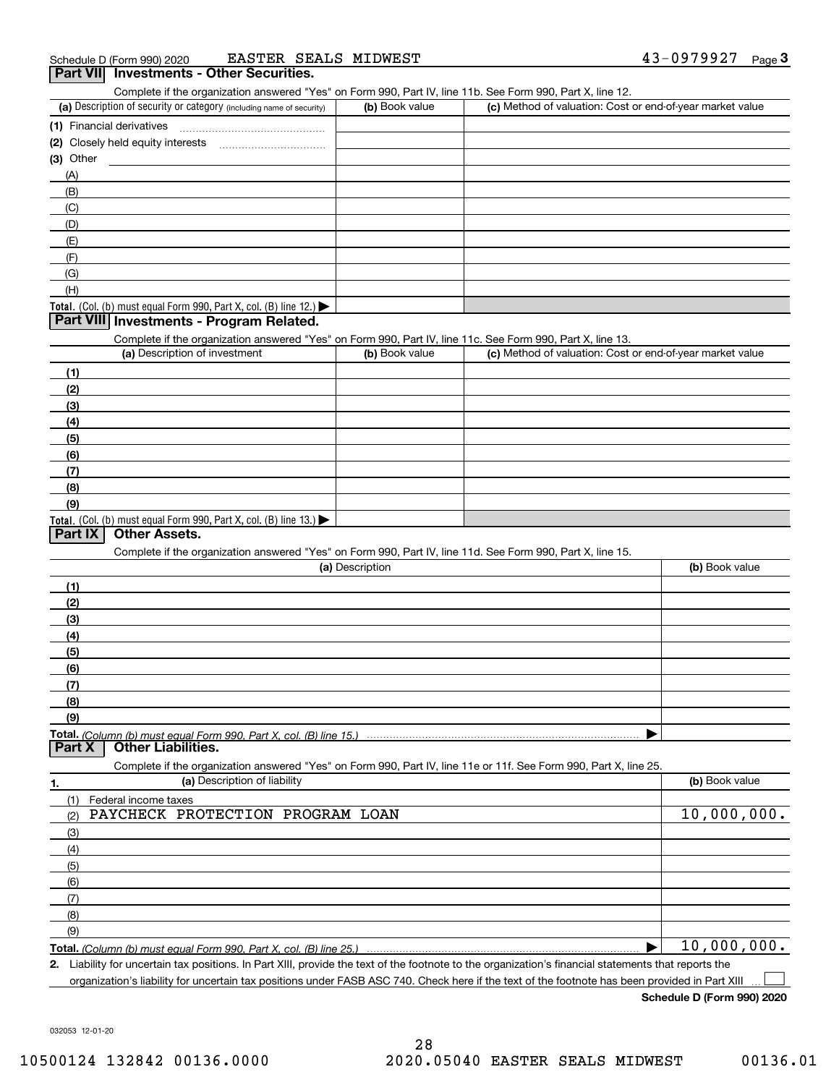#### (a) Description of security or category (including name of security)  $\vert$  (b) Book value  $\vert$  (c) Total. (Col. (b) must equal Form 990, Part X, col. (B) line 12.) Total. (Col. (b) must equal Form 990, Part X, col. (B) line 13.) **(1)** Financial derivatives ~~~~~~~~~~~~~~~**(2)** Closely held equity interests **(3)** Other (a) Description of investment **b (b)** Book value **(1)(2) (3)(4) (5)(6)(7)(8)(9)(a) (b)**  Description**(1)(2) (3)(4)(5) (6)(7)(8)(9)Total.**  *(Column (b) must equal Form 990, Part X, col. (B) line 15.)* **1.(a)** Description of liability **Book value** Book value Book value Book value Book value **Total.**  *(Column (b) must equal Form 990, Part X, col. (B) line 25.)* **2.**Complete if the organization answered "Yes" on Form 990, Part IV, line 11b. See Form 990, Part X, line 12.  $(b)$  Book value  $\vert$  (c) Method of valuation: Cost or end-of-year market value (A)(B)(C)(D)(E)(F)(G)(H)Complete if the organization answered "Yes" on Form 990, Part IV, line 11c. See Form 990, Part X, line 13. (c) Method of valuation: Cost or end-of-year market value Complete if the organization answered "Yes" on Form 990, Part IV, line 11d. See Form 990, Part X, line 15. (b) Book value  $\blacktriangleright$ Complete if the organization answered "Yes" on Form 990, Part IV, line 11e or 11f. See Form 990, Part X, line 25. (1)(2)(3)(4)(5)(6)(7)(8)(9)Federal income taxes  $\blacktriangleright$ Liability for uncertain tax positions. In Part XIII, provide the text of the footnote to the organization's financial statements that reports the **Part VIII Investments - Program Related. Part IX Other Assets. Part X Other Liabilities.** PAYCHECK PROTECTION PROGRAM LOAN 10,000,000. 10,000,000.

organization's liability for uncertain tax positions under FASB ASC 740. Check here if the text of the footnote has been provided in Part XIII

**Schedule D (Form 990) 2020**

 $\mathcal{L}^{\text{max}}$ 

032053 12-01-20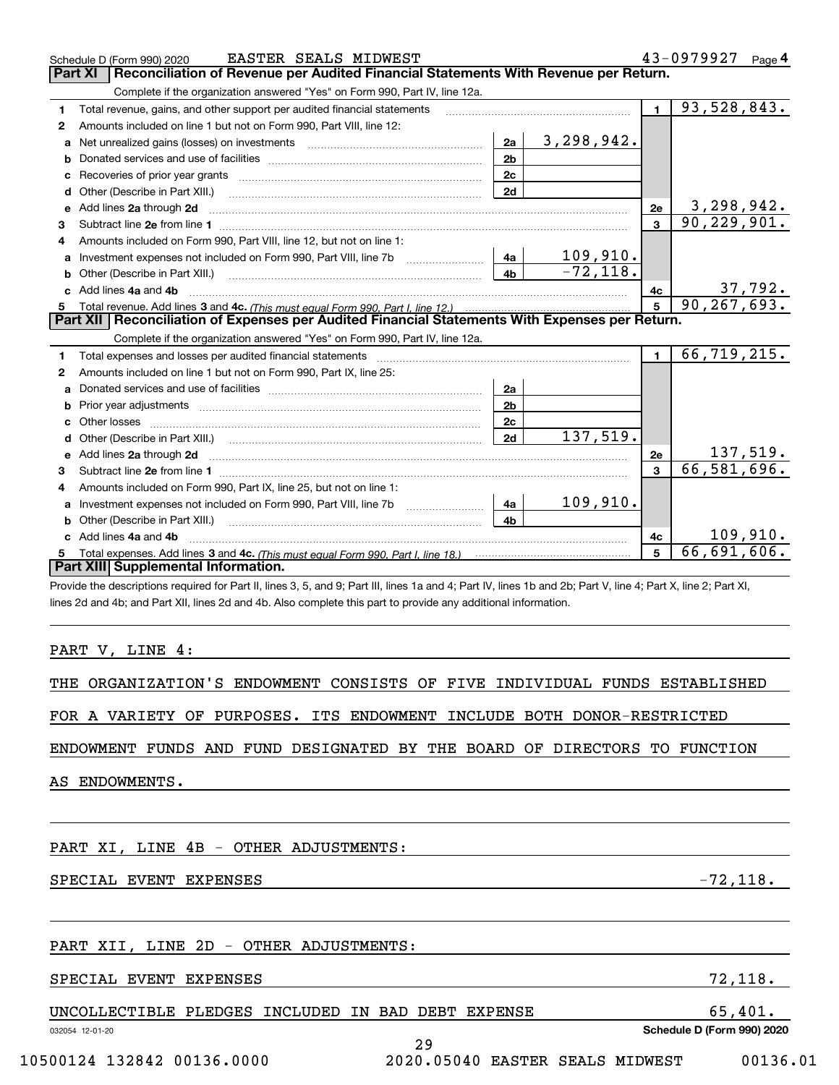|    | <b>EASTER SEALS MIDWEST</b><br>Schedule D (Form 990) 2020                                                                                                                                                                           |                             |                | 43-0979927 Page 4           |
|----|-------------------------------------------------------------------------------------------------------------------------------------------------------------------------------------------------------------------------------------|-----------------------------|----------------|-----------------------------|
|    | Reconciliation of Revenue per Audited Financial Statements With Revenue per Return.<br><b>Part XI</b>                                                                                                                               |                             |                |                             |
|    | Complete if the organization answered "Yes" on Form 990, Part IV, line 12a.                                                                                                                                                         |                             |                |                             |
| 1  | Total revenue, gains, and other support per audited financial statements                                                                                                                                                            |                             | $\blacksquare$ | 93,528,843.                 |
| 2  | Amounts included on line 1 but not on Form 990, Part VIII, line 12:                                                                                                                                                                 |                             |                |                             |
| a  | 2a<br>Net unrealized gains (losses) on investments [11] matter contracts and the unrealized gains (losses) on investments                                                                                                           | 3,298,942.                  |                |                             |
|    | 2 <sub>b</sub>                                                                                                                                                                                                                      |                             |                |                             |
| c  | 2c                                                                                                                                                                                                                                  |                             |                |                             |
| d  | 2d<br>Other (Describe in Part XIII.)                                                                                                                                                                                                |                             |                |                             |
| е  | Add lines 2a through 2d                                                                                                                                                                                                             |                             | 2e             | 3,298,942.                  |
| з  |                                                                                                                                                                                                                                     |                             | $\overline{3}$ | 90, 229, 901.               |
| 4  | Amounts included on Form 990, Part VIII, line 12, but not on line 1:                                                                                                                                                                |                             |                |                             |
|    |                                                                                                                                                                                                                                     | $\frac{109,910.}{-72,118.}$ |                |                             |
| b  | 4h                                                                                                                                                                                                                                  |                             |                |                             |
| c. | Add lines 4a and 4b                                                                                                                                                                                                                 |                             | 4с             | 37,792.                     |
|    |                                                                                                                                                                                                                                     | 5 <sup>1</sup>              | 90, 267, 693.  |                             |
|    |                                                                                                                                                                                                                                     |                             |                |                             |
|    | Part XII   Reconciliation of Expenses per Audited Financial Statements With Expenses per Return.                                                                                                                                    |                             |                |                             |
|    | Complete if the organization answered "Yes" on Form 990, Part IV, line 12a.                                                                                                                                                         |                             |                |                             |
| 1  | Total expenses and losses per audited financial statements [11] [12] Total expenses and losses per audited financial statements [11] [12] Total expenses and losses per audited financial statements                                |                             |                | 66,719,215.                 |
| 2  | Amounts included on line 1 but not on Form 990, Part IX, line 25:                                                                                                                                                                   |                             |                |                             |
| a  | 2a                                                                                                                                                                                                                                  |                             |                |                             |
| b  | 2 <sub>b</sub>                                                                                                                                                                                                                      |                             |                |                             |
|    | 2c                                                                                                                                                                                                                                  |                             |                |                             |
| d  | 2d<br>Other (Describe in Part XIII.) (COLORADIAL CONSERVATION CONTROL)                                                                                                                                                              | 137,519.                    |                |                             |
|    | e Add lines 2a through 2d <b>contract and a contract and a contract a</b> contract a contract and a contract a contract a contract a contract a contract a contract a contract a contract a contract a contract a contract a contra |                             | 2e             | 137,519.                    |
| з  | Subtract line 2e from line 1 <b>Manual Community and Community</b> Subtract line 2e from line 1                                                                                                                                     |                             | $\mathbf{3}$   | 66,581,696.                 |
| 4  | Amounts included on Form 990, Part IX, line 25, but not on line 1:                                                                                                                                                                  |                             |                |                             |
| a  | 4a  <br>Investment expenses not included on Form 990, Part VIII, line 7b [11, 111, 111, 111]                                                                                                                                        | 109,910.                    |                |                             |
| b  | 4 <sub>b</sub><br>Other (Describe in Part XIII.)                                                                                                                                                                                    |                             |                |                             |
|    | c Add lines 4a and 4b                                                                                                                                                                                                               |                             | 4c             | 109,910.                    |
| 5  | Part XIII Supplemental Information.                                                                                                                                                                                                 |                             | 5              | $\overline{66}$ , 691, 606. |

Provide the descriptions required for Part II, lines 3, 5, and 9; Part III, lines 1a and 4; Part IV, lines 1b and 2b; Part V, line 4; Part X, line 2; Part XI, lines 2d and 4b; and Part XII, lines 2d and 4b. Also complete this part to provide any additional information.

#### PART V, LINE 4:

|  | THE ORGANIZATION'S ENDOWMENT CONSISTS OF FIVE INDIVIDUAL FUNDS ESTABLISHED |  |  |  |  |  |  |  |
|--|----------------------------------------------------------------------------|--|--|--|--|--|--|--|
|--|----------------------------------------------------------------------------|--|--|--|--|--|--|--|

FOR A VARIETY OF PURPOSES. ITS ENDOWMENT INCLUDE BOTH DONOR-RESTRICTED

ENDOWMENT FUNDS AND FUND DESIGNATED BY THE BOARD OF DIRECTORS TO FUNCTION

AS ENDOWMENTS.

#### PART XI, LINE 4B - OTHER ADJUSTMENTS:

#### SPECIAL EVENT EXPENSES -72, 118.

#### PART XII, LINE 2D - OTHER ADJUSTMENTS:

#### SPECIAL EVENT EXPENSES 72, 118.

| UNCOLLECTIBLE PLEDGES INCLUDED IN BAD DEBT EXPENSE |  |  |  | 55,401.                    |
|----------------------------------------------------|--|--|--|----------------------------|
| 032054 12-01-20                                    |  |  |  | Schedule D (Form 990) 2020 |
|                                                    |  |  |  |                            |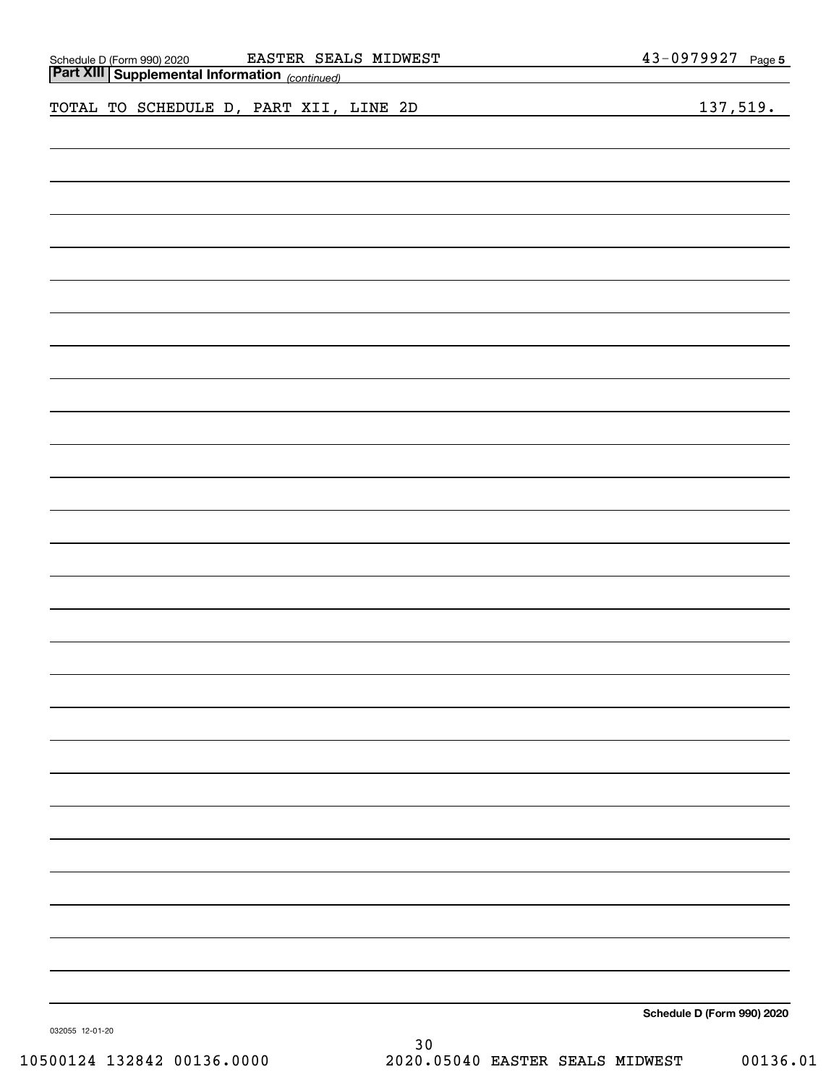| EASTER SEALS MIDWEST<br>Schedule D (Form 990) 2020 EASTER SEAI<br><b>Part XIII   Supplemental Information</b> (continued)<br><u> 1989 - Johann Stein, marwolaethau a bhann an t-Amhair an t-Amhair an t-Amhair an t-Amhair an t-Amhair an t-A</u> | 43-0979927 Page 5          |
|---------------------------------------------------------------------------------------------------------------------------------------------------------------------------------------------------------------------------------------------------|----------------------------|
| TOTAL TO SCHEDULE D, PART XII, LINE 2D<br><u> 1989 - Johann Barn, amerikansk politiker (</u>                                                                                                                                                      | 137,519.                   |
|                                                                                                                                                                                                                                                   |                            |
|                                                                                                                                                                                                                                                   |                            |
|                                                                                                                                                                                                                                                   |                            |
|                                                                                                                                                                                                                                                   |                            |
|                                                                                                                                                                                                                                                   |                            |
|                                                                                                                                                                                                                                                   |                            |
|                                                                                                                                                                                                                                                   |                            |
|                                                                                                                                                                                                                                                   |                            |
|                                                                                                                                                                                                                                                   |                            |
|                                                                                                                                                                                                                                                   |                            |
|                                                                                                                                                                                                                                                   |                            |
|                                                                                                                                                                                                                                                   |                            |
|                                                                                                                                                                                                                                                   |                            |
|                                                                                                                                                                                                                                                   |                            |
|                                                                                                                                                                                                                                                   |                            |
|                                                                                                                                                                                                                                                   |                            |
|                                                                                                                                                                                                                                                   |                            |
|                                                                                                                                                                                                                                                   |                            |
|                                                                                                                                                                                                                                                   |                            |
|                                                                                                                                                                                                                                                   |                            |
|                                                                                                                                                                                                                                                   |                            |
|                                                                                                                                                                                                                                                   |                            |
|                                                                                                                                                                                                                                                   |                            |
|                                                                                                                                                                                                                                                   | Schedule D (Form 990) 2020 |

032055 12-01-20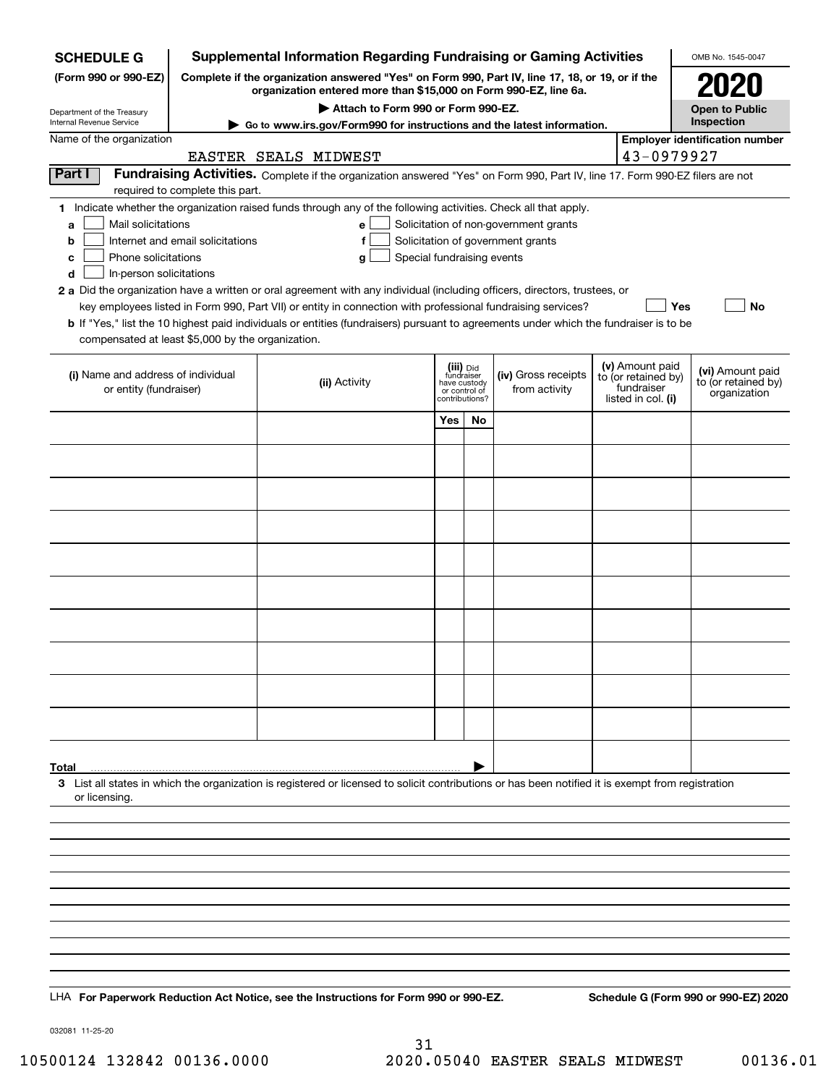| <b>Supplemental Information Regarding Fundraising or Gaming Activities</b><br><b>SCHEDULE G</b> |                                  |                                                                                                                                                                                                                                           |                                 |    |                                       |  |                                   |                                         |
|-------------------------------------------------------------------------------------------------|----------------------------------|-------------------------------------------------------------------------------------------------------------------------------------------------------------------------------------------------------------------------------------------|---------------------------------|----|---------------------------------------|--|-----------------------------------|-----------------------------------------|
| (Form 990 or 990-EZ)                                                                            |                                  | Complete if the organization answered "Yes" on Form 990, Part IV, line 17, 18, or 19, or if the<br>organization entered more than \$15,000 on Form 990-EZ, line 6a.                                                                       |                                 |    |                                       |  |                                   | 2021                                    |
| Department of the Treasury                                                                      |                                  | Attach to Form 990 or Form 990-EZ.                                                                                                                                                                                                        |                                 |    |                                       |  |                                   | <b>Open to Public</b>                   |
| Internal Revenue Service                                                                        |                                  | Go to www.irs.gov/Form990 for instructions and the latest information.                                                                                                                                                                    |                                 |    |                                       |  |                                   | Inspection                              |
| Name of the organization                                                                        |                                  | EASTER SEALS MIDWEST                                                                                                                                                                                                                      |                                 |    |                                       |  | 43-0979927                        | <b>Employer identification number</b>   |
| <b>Part I</b>                                                                                   |                                  | Fundraising Activities. Complete if the organization answered "Yes" on Form 990, Part IV, line 17. Form 990-EZ filers are not                                                                                                             |                                 |    |                                       |  |                                   |                                         |
|                                                                                                 | required to complete this part.  |                                                                                                                                                                                                                                           |                                 |    |                                       |  |                                   |                                         |
| Mail solicitations<br>a                                                                         |                                  | 1 Indicate whether the organization raised funds through any of the following activities. Check all that apply.<br>$\mathbf{e}$                                                                                                           |                                 |    | Solicitation of non-government grants |  |                                   |                                         |
| b                                                                                               | Internet and email solicitations | f                                                                                                                                                                                                                                         |                                 |    | Solicitation of government grants     |  |                                   |                                         |
| Phone solicitations<br>c                                                                        |                                  | Special fundraising events<br>g                                                                                                                                                                                                           |                                 |    |                                       |  |                                   |                                         |
| In-person solicitations<br>d                                                                    |                                  |                                                                                                                                                                                                                                           |                                 |    |                                       |  |                                   |                                         |
|                                                                                                 |                                  | 2 a Did the organization have a written or oral agreement with any individual (including officers, directors, trustees, or<br>key employees listed in Form 990, Part VII) or entity in connection with professional fundraising services? |                                 |    |                                       |  | Yes                               | No                                      |
|                                                                                                 |                                  | <b>b</b> If "Yes," list the 10 highest paid individuals or entities (fundraisers) pursuant to agreements under which the fundraiser is to be                                                                                              |                                 |    |                                       |  |                                   |                                         |
| compensated at least \$5,000 by the organization.                                               |                                  |                                                                                                                                                                                                                                           |                                 |    |                                       |  |                                   |                                         |
|                                                                                                 |                                  |                                                                                                                                                                                                                                           | (iii) Did                       |    |                                       |  | (v) Amount paid                   |                                         |
| (i) Name and address of individual                                                              |                                  | (ii) Activity                                                                                                                                                                                                                             | fundraiser<br>have custody      |    | (iv) Gross receipts                   |  | to (or retained by)<br>fundraiser | (vi) Amount paid<br>to (or retained by) |
| or entity (fundraiser)                                                                          |                                  |                                                                                                                                                                                                                                           | or control of<br>contributions? |    | from activity                         |  | listed in col. (i)                | organization                            |
|                                                                                                 |                                  |                                                                                                                                                                                                                                           | Yes                             | No |                                       |  |                                   |                                         |
|                                                                                                 |                                  |                                                                                                                                                                                                                                           |                                 |    |                                       |  |                                   |                                         |
|                                                                                                 |                                  |                                                                                                                                                                                                                                           |                                 |    |                                       |  |                                   |                                         |
|                                                                                                 |                                  |                                                                                                                                                                                                                                           |                                 |    |                                       |  |                                   |                                         |
|                                                                                                 |                                  |                                                                                                                                                                                                                                           |                                 |    |                                       |  |                                   |                                         |
|                                                                                                 |                                  |                                                                                                                                                                                                                                           |                                 |    |                                       |  |                                   |                                         |
|                                                                                                 |                                  |                                                                                                                                                                                                                                           |                                 |    |                                       |  |                                   |                                         |
|                                                                                                 |                                  |                                                                                                                                                                                                                                           |                                 |    |                                       |  |                                   |                                         |
|                                                                                                 |                                  |                                                                                                                                                                                                                                           |                                 |    |                                       |  |                                   |                                         |
|                                                                                                 |                                  |                                                                                                                                                                                                                                           |                                 |    |                                       |  |                                   |                                         |
|                                                                                                 |                                  |                                                                                                                                                                                                                                           |                                 |    |                                       |  |                                   |                                         |
|                                                                                                 |                                  |                                                                                                                                                                                                                                           |                                 |    |                                       |  |                                   |                                         |
|                                                                                                 |                                  |                                                                                                                                                                                                                                           |                                 |    |                                       |  |                                   |                                         |
|                                                                                                 |                                  |                                                                                                                                                                                                                                           |                                 |    |                                       |  |                                   |                                         |
|                                                                                                 |                                  |                                                                                                                                                                                                                                           |                                 |    |                                       |  |                                   |                                         |
|                                                                                                 |                                  |                                                                                                                                                                                                                                           |                                 |    |                                       |  |                                   |                                         |
|                                                                                                 |                                  |                                                                                                                                                                                                                                           |                                 |    |                                       |  |                                   |                                         |
| Total                                                                                           |                                  |                                                                                                                                                                                                                                           |                                 |    |                                       |  |                                   |                                         |
|                                                                                                 |                                  | 3 List all states in which the organization is registered or licensed to solicit contributions or has been notified it is exempt from registration                                                                                        |                                 |    |                                       |  |                                   |                                         |
| or licensing.                                                                                   |                                  |                                                                                                                                                                                                                                           |                                 |    |                                       |  |                                   |                                         |
|                                                                                                 |                                  |                                                                                                                                                                                                                                           |                                 |    |                                       |  |                                   |                                         |
|                                                                                                 |                                  |                                                                                                                                                                                                                                           |                                 |    |                                       |  |                                   |                                         |
|                                                                                                 |                                  |                                                                                                                                                                                                                                           |                                 |    |                                       |  |                                   |                                         |
|                                                                                                 |                                  |                                                                                                                                                                                                                                           |                                 |    |                                       |  |                                   |                                         |
|                                                                                                 |                                  |                                                                                                                                                                                                                                           |                                 |    |                                       |  |                                   |                                         |
|                                                                                                 |                                  |                                                                                                                                                                                                                                           |                                 |    |                                       |  |                                   |                                         |
|                                                                                                 |                                  |                                                                                                                                                                                                                                           |                                 |    |                                       |  |                                   |                                         |
|                                                                                                 |                                  |                                                                                                                                                                                                                                           |                                 |    |                                       |  |                                   |                                         |
|                                                                                                 |                                  | LHA For Paperwork Reduction Act Notice, see the Instructions for Form 990 or 990-EZ.                                                                                                                                                      |                                 |    |                                       |  |                                   | Schedule G (Form 990 or 990-EZ) 2020    |
|                                                                                                 |                                  |                                                                                                                                                                                                                                           |                                 |    |                                       |  |                                   |                                         |

032081 11-25-20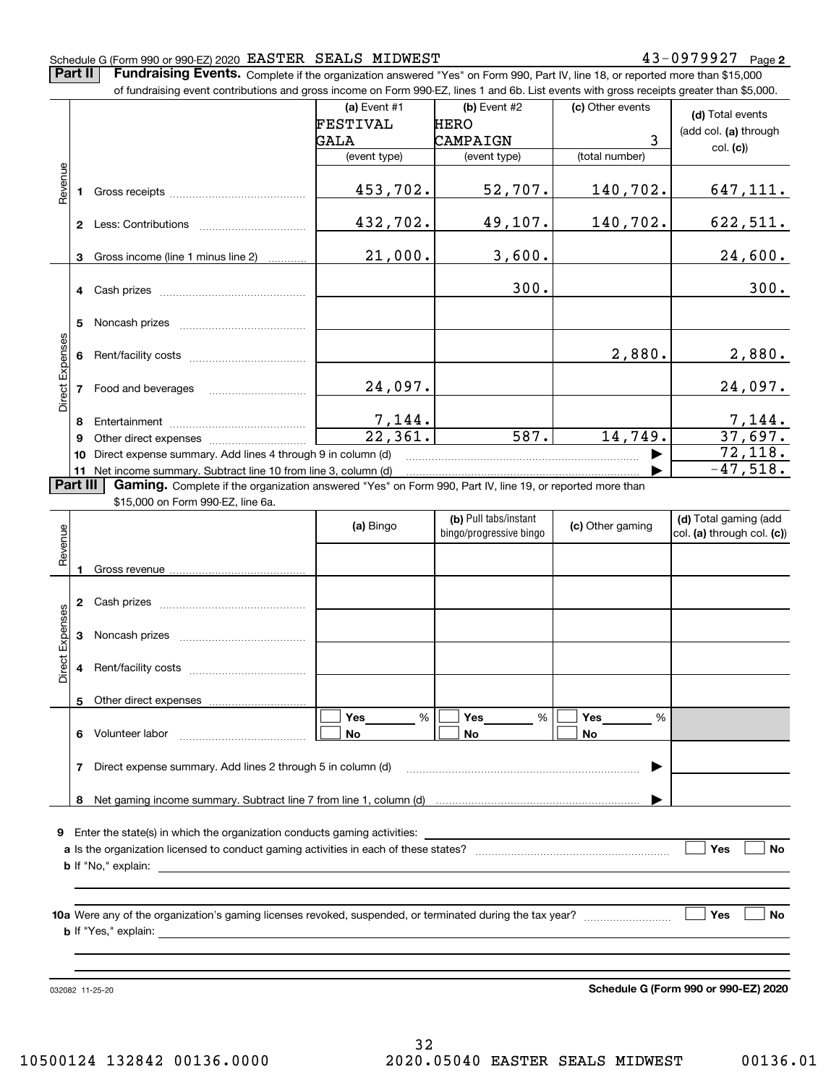#### Schedule G (Form 990 or 990-EZ) 2020 Page EASTER SEALS MIDWEST 43-0979927

**Part II** | Fundraising Events. Complete if the organization answered "Yes" on Form 990, Part IV, line 18, or reported more than \$15,000

|                 |          | of fundraising event contributions and gross income on Form 990-EZ, lines 1 and 6b. List events with gross receipts greater than \$5,000. |                |                                                  |                  |                                                     |  |  |
|-----------------|----------|-------------------------------------------------------------------------------------------------------------------------------------------|----------------|--------------------------------------------------|------------------|-----------------------------------------------------|--|--|
|                 |          |                                                                                                                                           | (a) Event #1   | $(b)$ Event #2                                   | (c) Other events | (d) Total events                                    |  |  |
|                 |          |                                                                                                                                           | FESTIVAL       | <b>HERO</b>                                      |                  | (add col. (a) through                               |  |  |
|                 |          |                                                                                                                                           | GALA           | CAMPAIGN                                         | 3                | col. (c)                                            |  |  |
|                 |          |                                                                                                                                           | (event type)   | (event type)                                     | (total number)   |                                                     |  |  |
| Revenue         |          |                                                                                                                                           | 453,702.       | 52,707.                                          | 140,702.         | 647, 111.                                           |  |  |
|                 |          |                                                                                                                                           | 432,702.       | 49,107.                                          | 140,702.         | 622,511.                                            |  |  |
|                 | 3        | Gross income (line 1 minus line 2)                                                                                                        | 21,000.        | 3,600.                                           |                  | 24,600.                                             |  |  |
|                 |          |                                                                                                                                           |                | 300.                                             |                  | 300.                                                |  |  |
|                 | 5        |                                                                                                                                           |                |                                                  |                  |                                                     |  |  |
| Direct Expenses | 6        |                                                                                                                                           |                |                                                  | 2,880.           | 2,880.                                              |  |  |
|                 |          | 7 Food and beverages                                                                                                                      | 24,097.        |                                                  |                  | 24,097.                                             |  |  |
|                 | 8        |                                                                                                                                           |                |                                                  |                  |                                                     |  |  |
|                 | 9        |                                                                                                                                           |                | 587.                                             | 14,749.          | $\frac{7,144}{37,697}$ .                            |  |  |
|                 |          | 10 Direct expense summary. Add lines 4 through 9 in column (d)                                                                            |                |                                                  |                  | 72,118.                                             |  |  |
|                 |          | 11 Net income summary. Subtract line 10 from line 3, column (d)                                                                           |                |                                                  |                  | $-47,518.$                                          |  |  |
|                 | Part III | Gaming. Complete if the organization answered "Yes" on Form 990, Part IV, line 19, or reported more than                                  |                |                                                  |                  |                                                     |  |  |
|                 |          | \$15,000 on Form 990-EZ, line 6a.                                                                                                         |                |                                                  |                  |                                                     |  |  |
|                 |          |                                                                                                                                           | (a) Bingo      | (b) Pull tabs/instant<br>bingo/progressive bingo | (c) Other gaming | (d) Total gaming (add<br>col. (a) through col. (c)) |  |  |
| Revenue         | 1.       |                                                                                                                                           |                |                                                  |                  |                                                     |  |  |
|                 |          |                                                                                                                                           |                |                                                  |                  |                                                     |  |  |
|                 |          |                                                                                                                                           |                |                                                  |                  |                                                     |  |  |
| Expenses        |          |                                                                                                                                           |                |                                                  |                  |                                                     |  |  |
| Direct          | 4        |                                                                                                                                           |                |                                                  |                  |                                                     |  |  |
|                 | 5        | Other direct expenses                                                                                                                     |                |                                                  |                  |                                                     |  |  |
|                 |          | 6 Volunteer labor                                                                                                                         | Yes<br>%<br>No | Yes<br>%<br>No                                   | Yes<br>%<br>No   |                                                     |  |  |
|                 |          | 7 Direct expense summary. Add lines 2 through 5 in column (d)                                                                             |                |                                                  |                  |                                                     |  |  |
|                 |          |                                                                                                                                           |                |                                                  |                  |                                                     |  |  |
|                 |          | 9 Enter the state(s) in which the organization conducts gaming activities:                                                                |                |                                                  |                  |                                                     |  |  |
|                 |          |                                                                                                                                           |                |                                                  |                  | Yes<br>No                                           |  |  |
|                 |          |                                                                                                                                           |                |                                                  |                  |                                                     |  |  |
|                 |          |                                                                                                                                           |                |                                                  |                  |                                                     |  |  |

032082 11-25-20

**Schedule G (Form 990 or 990-EZ) 2020**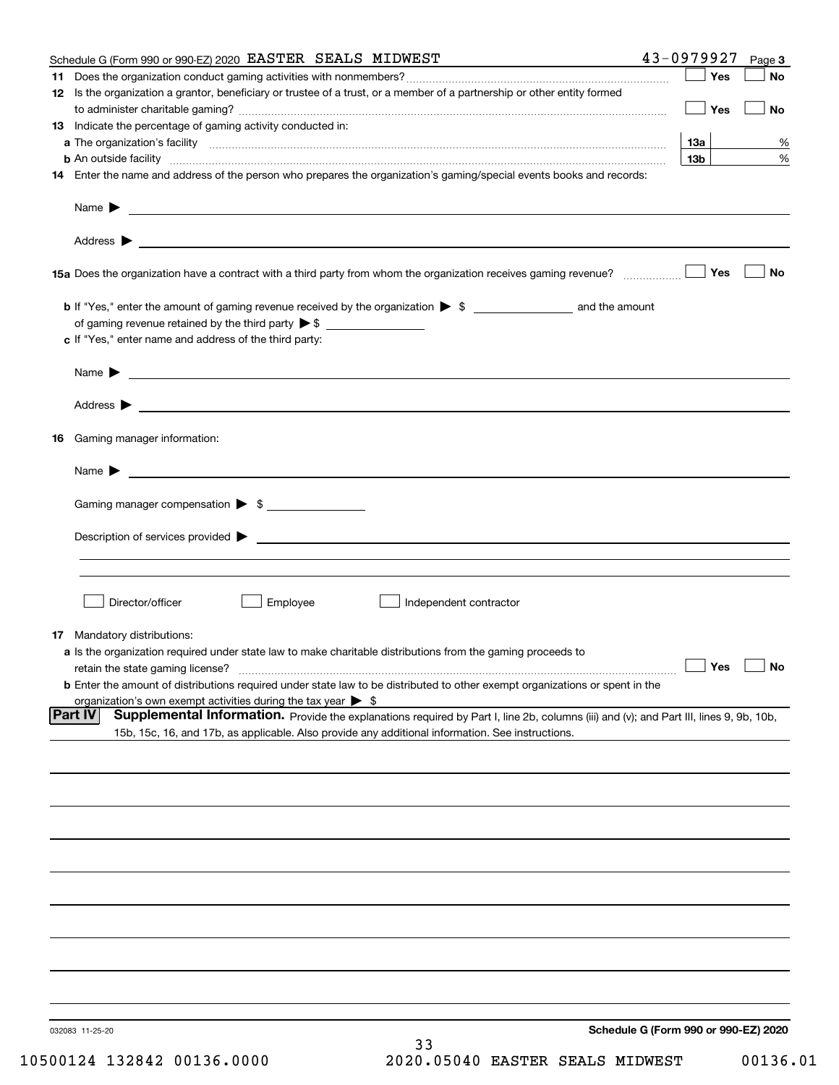|    | Schedule G (Form 990 or 990-EZ) 2020 EASTER SEALS MIDWEST                                                                                         | 43-0979927                           | Page 3    |
|----|---------------------------------------------------------------------------------------------------------------------------------------------------|--------------------------------------|-----------|
| 11 |                                                                                                                                                   | Yes                                  | No        |
|    | 12 Is the organization a grantor, beneficiary or trustee of a trust, or a member of a partnership or other entity formed                          |                                      |           |
|    |                                                                                                                                                   | Yes                                  | No        |
|    | 13 Indicate the percentage of gaming activity conducted in:                                                                                       |                                      |           |
|    |                                                                                                                                                   | <u>13a</u>                           | %         |
|    | <b>b</b> An outside facility <i>www.communicality.communicality.communicality www.communicality.communicality.communicality</i>                   | 13 <sub>b</sub>                      | %         |
|    | 14 Enter the name and address of the person who prepares the organization's gaming/special events books and records:                              |                                      |           |
|    |                                                                                                                                                   |                                      |           |
|    |                                                                                                                                                   |                                      |           |
|    | 15a Does the organization have a contract with a third party from whom the organization receives gaming revenue?                                  | Yes                                  | <b>No</b> |
|    | b If "Yes," enter the amount of gaming revenue received by the organization > \$ ____________________ and the amount                              |                                      |           |
|    |                                                                                                                                                   |                                      |           |
|    | c If "Yes," enter name and address of the third party:                                                                                            |                                      |           |
|    |                                                                                                                                                   |                                      |           |
|    | Name $\blacktriangleright$ $\bot$                                                                                                                 |                                      |           |
|    |                                                                                                                                                   |                                      |           |
|    |                                                                                                                                                   |                                      |           |
| 16 | Gaming manager information:                                                                                                                       |                                      |           |
|    | Name $\blacktriangleright$ $\frac{1}{\sqrt{1-\frac{1}{2}}\left(1-\frac{1}{2}\right)}$                                                             |                                      |           |
|    | Gaming manager compensation > \$                                                                                                                  |                                      |           |
|    |                                                                                                                                                   |                                      |           |
|    |                                                                                                                                                   |                                      |           |
|    |                                                                                                                                                   |                                      |           |
|    |                                                                                                                                                   |                                      |           |
|    | Director/officer<br>Employee<br>Independent contractor                                                                                            |                                      |           |
|    |                                                                                                                                                   |                                      |           |
|    | 17 Mandatory distributions:                                                                                                                       |                                      |           |
|    | a Is the organization required under state law to make charitable distributions from the gaming proceeds to                                       |                                      |           |
|    | $\Box$ Yes $\Box$ No<br>retain the state gaming license?                                                                                          |                                      |           |
|    | <b>b</b> Enter the amount of distributions required under state law to be distributed to other exempt organizations or spent in the               |                                      |           |
|    | organization's own exempt activities during the tax year $\triangleright$ \$                                                                      |                                      |           |
|    | Part IV<br>Supplemental Information. Provide the explanations required by Part I, line 2b, columns (iii) and (v); and Part III, lines 9, 9b, 10b, |                                      |           |
|    | 15b, 15c, 16, and 17b, as applicable. Also provide any additional information. See instructions.                                                  |                                      |           |
|    |                                                                                                                                                   |                                      |           |
|    |                                                                                                                                                   |                                      |           |
|    |                                                                                                                                                   |                                      |           |
|    |                                                                                                                                                   |                                      |           |
|    |                                                                                                                                                   |                                      |           |
|    |                                                                                                                                                   |                                      |           |
|    |                                                                                                                                                   |                                      |           |
|    |                                                                                                                                                   |                                      |           |
|    |                                                                                                                                                   |                                      |           |
|    |                                                                                                                                                   |                                      |           |
|    |                                                                                                                                                   |                                      |           |
|    | 032083 11-25-20                                                                                                                                   | Schedule G (Form 990 or 990-EZ) 2020 |           |
|    | 33                                                                                                                                                |                                      |           |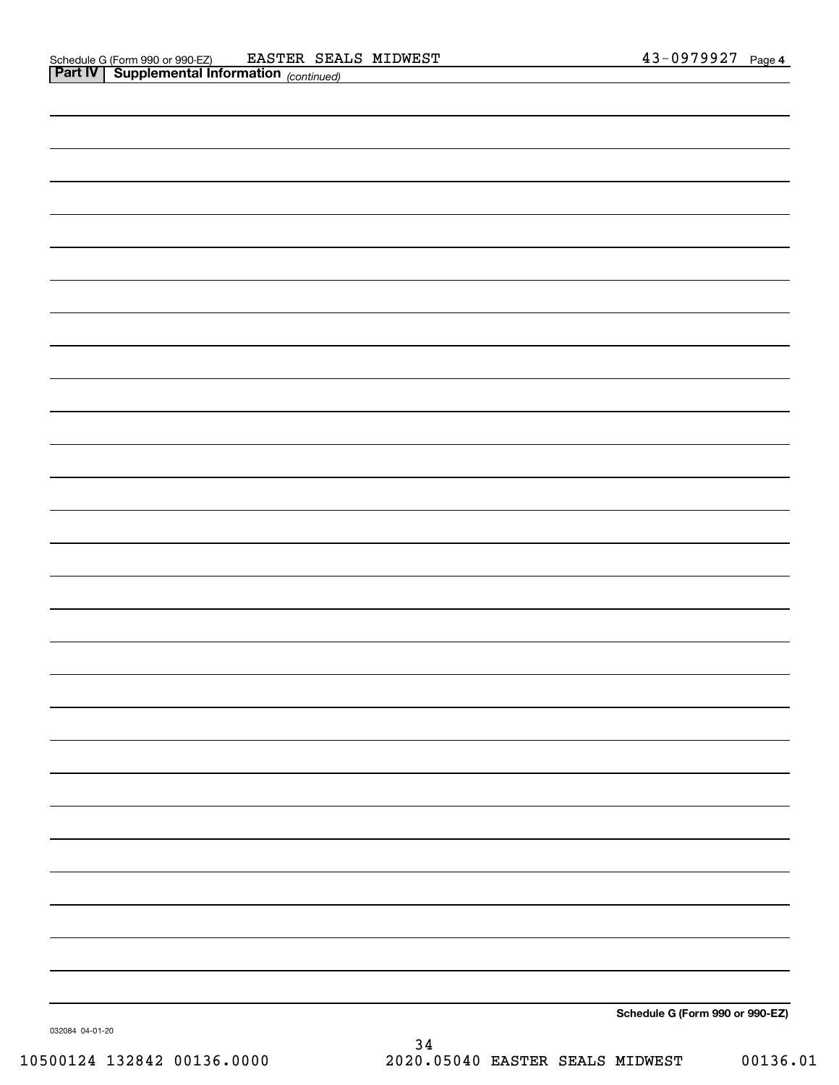| Schedule G (Form 990 or 990-EZ) |
|---------------------------------|

032084 04-01-20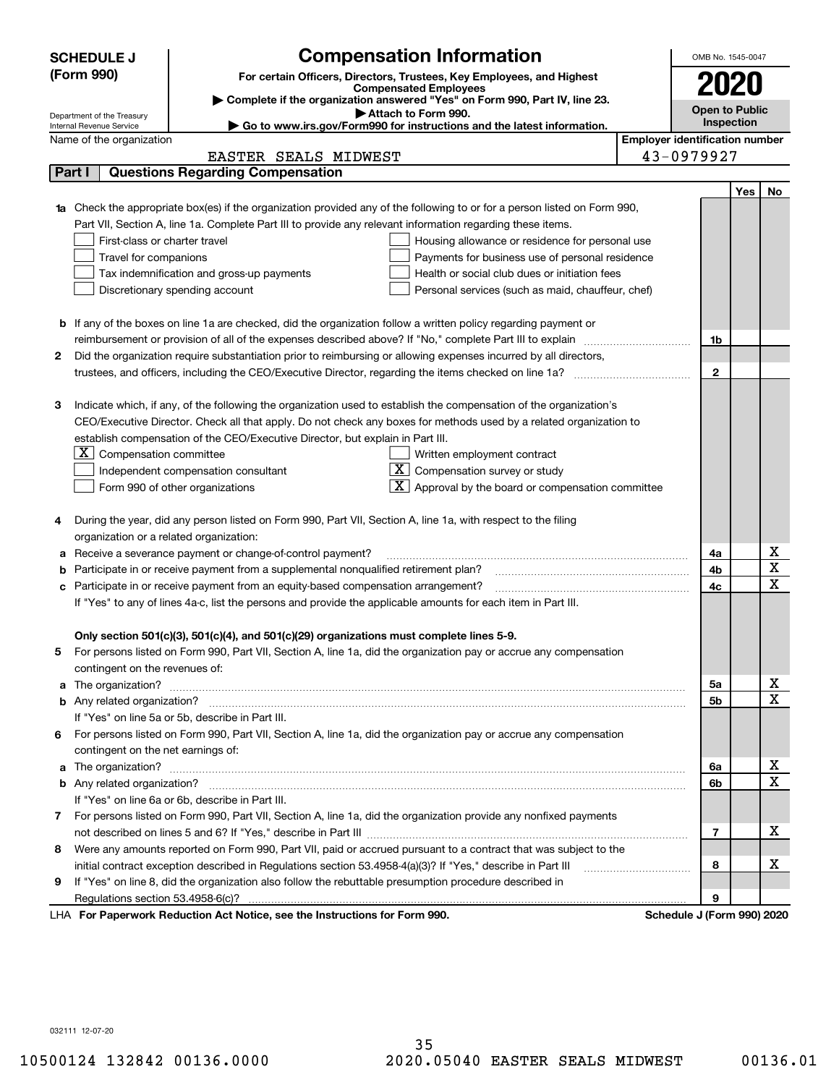| <b>SCHEDULE J</b>                                      | <b>Compensation Information</b>                                                                                        |                                       | OMB No. 1545-0047          |     |             |
|--------------------------------------------------------|------------------------------------------------------------------------------------------------------------------------|---------------------------------------|----------------------------|-----|-------------|
|                                                        | (Form 990)<br>For certain Officers, Directors, Trustees, Key Employees, and Highest                                    |                                       |                            |     |             |
|                                                        | <b>Compensated Employees</b>                                                                                           |                                       | 2020                       |     |             |
|                                                        | Complete if the organization answered "Yes" on Form 990, Part IV, line 23.                                             |                                       | <b>Open to Public</b>      |     |             |
| Department of the Treasury<br>Internal Revenue Service | Attach to Form 990.<br>$\blacktriangleright$ Go to www.irs.gov/Form990 for instructions and the latest information.    |                                       | Inspection                 |     |             |
| Name of the organization                               |                                                                                                                        | <b>Employer identification number</b> |                            |     |             |
|                                                        | EASTER SEALS MIDWEST                                                                                                   |                                       | 43-0979927                 |     |             |
| Part I                                                 | <b>Questions Regarding Compensation</b>                                                                                |                                       |                            |     |             |
|                                                        |                                                                                                                        |                                       |                            | Yes | No          |
|                                                        | Check the appropriate box(es) if the organization provided any of the following to or for a person listed on Form 990, |                                       |                            |     |             |
|                                                        | Part VII, Section A, line 1a. Complete Part III to provide any relevant information regarding these items.             |                                       |                            |     |             |
|                                                        | First-class or charter travel<br>Housing allowance or residence for personal use                                       |                                       |                            |     |             |
|                                                        | Travel for companions<br>Payments for business use of personal residence                                               |                                       |                            |     |             |
|                                                        | Tax indemnification and gross-up payments<br>Health or social club dues or initiation fees                             |                                       |                            |     |             |
|                                                        | Discretionary spending account<br>Personal services (such as maid, chauffeur, chef)                                    |                                       |                            |     |             |
|                                                        |                                                                                                                        |                                       |                            |     |             |
|                                                        | <b>b</b> If any of the boxes on line 1a are checked, did the organization follow a written policy regarding payment or |                                       |                            |     |             |
|                                                        | reimbursement or provision of all of the expenses described above? If "No," complete Part III to explain               |                                       | 1b                         |     |             |
| 2                                                      | Did the organization require substantiation prior to reimbursing or allowing expenses incurred by all directors,       |                                       |                            |     |             |
|                                                        |                                                                                                                        |                                       | $\mathbf{2}$               |     |             |
|                                                        |                                                                                                                        |                                       |                            |     |             |
| з                                                      | Indicate which, if any, of the following the organization used to establish the compensation of the organization's     |                                       |                            |     |             |
|                                                        | CEO/Executive Director. Check all that apply. Do not check any boxes for methods used by a related organization to     |                                       |                            |     |             |
|                                                        | establish compensation of the CEO/Executive Director, but explain in Part III.                                         |                                       |                            |     |             |
|                                                        | $X$ Compensation committee<br>Written employment contract                                                              |                                       |                            |     |             |
|                                                        | $\overline{X}$ Compensation survey or study<br>Independent compensation consultant                                     |                                       |                            |     |             |
|                                                        | $\overline{\mathbf{X}}$ Approval by the board or compensation committee<br>Form 990 of other organizations             |                                       |                            |     |             |
|                                                        |                                                                                                                        |                                       |                            |     |             |
| 4                                                      | During the year, did any person listed on Form 990, Part VII, Section A, line 1a, with respect to the filing           |                                       |                            |     |             |
|                                                        | organization or a related organization:                                                                                |                                       |                            |     |             |
| а                                                      | Receive a severance payment or change-of-control payment?                                                              |                                       | 4a                         |     | х           |
| b                                                      | Participate in or receive payment from a supplemental nonqualified retirement plan?                                    |                                       | 4b                         |     | X           |
| с                                                      | Participate in or receive payment from an equity-based compensation arrangement?                                       |                                       | 4c                         |     | $\mathbf X$ |
|                                                        | If "Yes" to any of lines 4a-c, list the persons and provide the applicable amounts for each item in Part III.          |                                       |                            |     |             |
|                                                        |                                                                                                                        |                                       |                            |     |             |
|                                                        | Only section 501(c)(3), 501(c)(4), and 501(c)(29) organizations must complete lines 5-9.                               |                                       |                            |     |             |
| 5                                                      | For persons listed on Form 990, Part VII, Section A, line 1a, did the organization pay or accrue any compensation      |                                       |                            |     |             |
|                                                        | contingent on the revenues of:                                                                                         |                                       |                            |     |             |
| a                                                      |                                                                                                                        |                                       | 5a                         |     | x           |
|                                                        |                                                                                                                        |                                       | 5b                         |     | $\mathbf X$ |
|                                                        | If "Yes" on line 5a or 5b, describe in Part III.                                                                       |                                       |                            |     |             |
| 6.                                                     | For persons listed on Form 990, Part VII, Section A, line 1a, did the organization pay or accrue any compensation      |                                       |                            |     |             |
|                                                        | contingent on the net earnings of:                                                                                     |                                       |                            |     |             |
| a                                                      |                                                                                                                        |                                       | 6a                         |     | х           |
|                                                        |                                                                                                                        |                                       | 6b                         |     | $\mathbf X$ |
|                                                        | If "Yes" on line 6a or 6b, describe in Part III.                                                                       |                                       |                            |     |             |
|                                                        | 7 For persons listed on Form 990, Part VII, Section A, line 1a, did the organization provide any nonfixed payments     |                                       |                            |     |             |
|                                                        |                                                                                                                        |                                       | $\overline{7}$             |     | х           |
| 8                                                      | Were any amounts reported on Form 990, Part VII, paid or accrued pursuant to a contract that was subject to the        |                                       |                            |     |             |
|                                                        | initial contract exception described in Regulations section 53.4958-4(a)(3)? If "Yes," describe in Part III            |                                       | 8                          |     | х           |
| 9                                                      | If "Yes" on line 8, did the organization also follow the rebuttable presumption procedure described in                 |                                       |                            |     |             |
|                                                        |                                                                                                                        |                                       | 9                          |     |             |
|                                                        | LHA For Paperwork Reduction Act Notice, see the Instructions for Form 990.                                             |                                       | Schedule J (Form 990) 2020 |     |             |

032111 12-07-20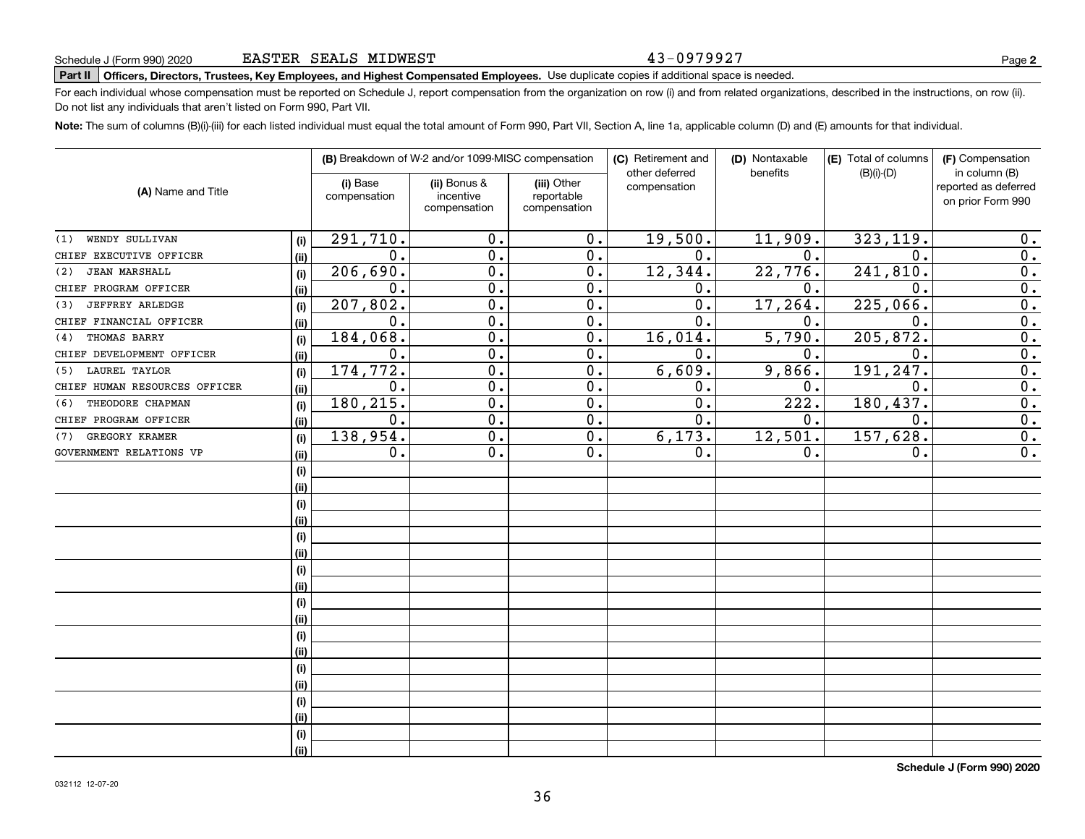#### 43-0979927

# **Part II Officers, Directors, Trustees, Key Employees, and Highest Compensated Employees.**  Schedule J (Form 990) 2020 Page Use duplicate copies if additional space is needed.

For each individual whose compensation must be reported on Schedule J, report compensation from the organization on row (i) and from related organizations, described in the instructions, on row (ii). Do not list any individuals that aren't listed on Form 990, Part VII.

**Note:**  The sum of columns (B)(i)-(iii) for each listed individual must equal the total amount of Form 990, Part VII, Section A, line 1a, applicable column (D) and (E) amounts for that individual.

|                               |      | (B) Breakdown of W-2 and/or 1099-MISC compensation |                  |                  | (C) Retirement and<br>(D) Nontaxable |                  |                                      |                                                           |  |
|-------------------------------|------|----------------------------------------------------|------------------|------------------|--------------------------------------|------------------|--------------------------------------|-----------------------------------------------------------|--|
| (A) Name and Title            |      | (i) Base<br>(ii) Bonus &<br>(iii) Other            |                  |                  | other deferred<br>compensation       | benefits         | (E) Total of columns<br>$(B)(i)-(D)$ | (F) Compensation<br>in column (B)<br>reported as deferred |  |
|                               |      | compensation                                       | incentive        | reportable       |                                      |                  |                                      | on prior Form 990                                         |  |
|                               |      |                                                    | compensation     | compensation     |                                      |                  |                                      |                                                           |  |
| WENDY SULLIVAN<br>(1)         | (i)  | 291,710.                                           | 0.               | $\overline{0}$ . | 19,500.                              | 11,909.          | 323, 119.                            | 0.                                                        |  |
| CHIEF EXECUTIVE OFFICER       | (ii) | $\mathbf{0}$ .                                     | $\overline{0}$ . | 0.               | 0.                                   | 0.               | $\mathbf 0$ .                        | $\overline{0}$ .                                          |  |
| <b>JEAN MARSHALL</b><br>(2)   | (i)  | 206,690.                                           | $\overline{0}$ . | 0.               | 12,344.                              | 22,776.          | 241,810.                             | $\overline{0}$ .                                          |  |
| CHIEF PROGRAM OFFICER         | (ii) | 0.                                                 | $\overline{0}$ . | 0.               | 0.                                   | 0.               | $\mathbf 0$ .                        | $\overline{0}$ .                                          |  |
| <b>JEFFREY ARLEDGE</b><br>(3) | (i)  | 207,802.                                           | 0.               | 0.               | $\mathbf 0$ .                        | 17, 264.         | 225,066.                             | $\overline{0}$ .                                          |  |
| CHIEF FINANCIAL OFFICER       | (ii) | $\mathbf{0}$ .                                     | 0.               | 0.               | $\mathbf 0$ .                        | $\mathbf 0$ .    | $\mathbf 0$ .                        | $\overline{0}$ .                                          |  |
| THOMAS BARRY<br>(4)           | (i)  | 184,068                                            | $\overline{0}$ . | $\overline{0}$ . | 16,014.                              | 5,790.           | 205,872.                             | $\overline{0}$ .                                          |  |
| CHIEF DEVELOPMENT OFFICER     | (ii) | 0.                                                 | $\overline{0}$ . | 0.               | 0.                                   | 0.               | $\mathbf 0$ .                        | $\overline{0}$ .                                          |  |
| <b>LAUREL TAYLOR</b><br>(5)   | (i)  | 174, 772.                                          | $\overline{0}$ . | 0.               | 6,609.                               | 9,866.           | 191,247.                             | $\overline{0}$ .                                          |  |
| CHIEF HUMAN RESOURCES OFFICER | (i)  | 0.                                                 | $\mathbf 0$ .    | 0.               | 0.                                   | 0.               | 0.                                   | $\overline{0}$ .                                          |  |
| THEODORE CHAPMAN<br>(6)       | (i)  | 180,215.                                           | 0.               | 0.               | 0.                                   | 222.             | 180, 437.                            | $\overline{0}$ .                                          |  |
| CHIEF PROGRAM OFFICER         | (ii) | 0.                                                 | $\overline{0}$ . | $\overline{0}$ . | $\overline{0}$ .                     | $\overline{0}$ . | $\overline{0}$ .                     | $\overline{0}$ .                                          |  |
| GREGORY KRAMER<br>(7)         | (i)  | 138,954.                                           | $\overline{0}$ . | $\overline{0}$ . | 6, 173.                              | 12,501.          | 157,628.                             | $\overline{0}$ .                                          |  |
| GOVERNMENT RELATIONS VP       | (ii) | 0.                                                 | 0.               | $0$ .            | 0.                                   | 0.               | 0.                                   | $\overline{0}$ .                                          |  |
|                               | (i)  |                                                    |                  |                  |                                      |                  |                                      |                                                           |  |
|                               | (ii) |                                                    |                  |                  |                                      |                  |                                      |                                                           |  |
|                               | (i)  |                                                    |                  |                  |                                      |                  |                                      |                                                           |  |
|                               | (ii) |                                                    |                  |                  |                                      |                  |                                      |                                                           |  |
|                               | (i)  |                                                    |                  |                  |                                      |                  |                                      |                                                           |  |
|                               | (ii) |                                                    |                  |                  |                                      |                  |                                      |                                                           |  |
|                               | (i)  |                                                    |                  |                  |                                      |                  |                                      |                                                           |  |
|                               | (ii) |                                                    |                  |                  |                                      |                  |                                      |                                                           |  |
|                               | (i)  |                                                    |                  |                  |                                      |                  |                                      |                                                           |  |
|                               | (ii) |                                                    |                  |                  |                                      |                  |                                      |                                                           |  |
|                               | (i)  |                                                    |                  |                  |                                      |                  |                                      |                                                           |  |
|                               | (ii) |                                                    |                  |                  |                                      |                  |                                      |                                                           |  |
|                               | (i)  |                                                    |                  |                  |                                      |                  |                                      |                                                           |  |
|                               | (ii) |                                                    |                  |                  |                                      |                  |                                      |                                                           |  |
|                               | (i)  |                                                    |                  |                  |                                      |                  |                                      |                                                           |  |
|                               | (ii) |                                                    |                  |                  |                                      |                  |                                      |                                                           |  |
|                               | (i)  |                                                    |                  |                  |                                      |                  |                                      |                                                           |  |
|                               | (ii) |                                                    |                  |                  |                                      |                  |                                      |                                                           |  |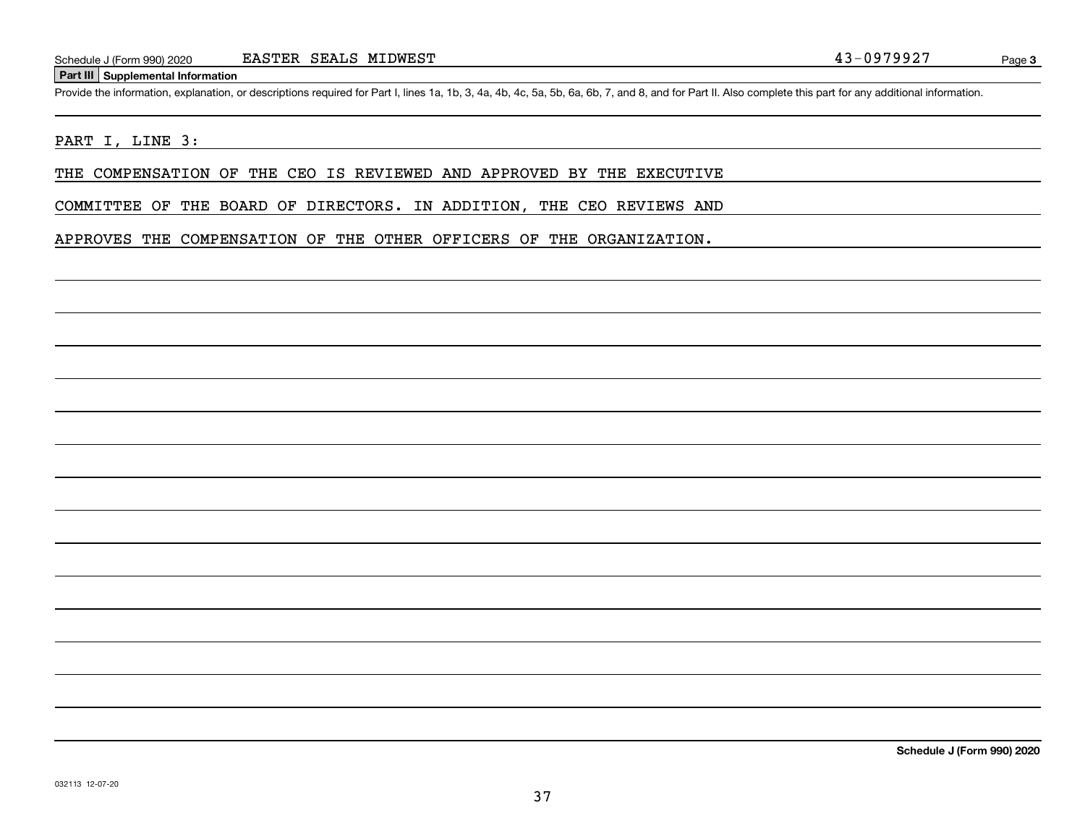#### **Part III Supplemental Information**

Schedule J (Form 990) 2020 EASTER SEALS MIDWEST<br>Part III Supplemental Information<br>Provide the information, explanation, or descriptions required for Part I, lines 1a, 1b, 3, 4a, 4b, 4c, 5a, 5b, 6a, 6b, 7, and 8, and for Pa

#### PART I, LINE 3:

THE COMPENSATION OF THE CEO IS REVIEWED AND APPROVED BY THE EXECUTIVE

COMMITTEE OF THE BOARD OF DIRECTORS. IN ADDITION, THE CEO REVIEWS AND

APPROVES THE COMPENSATION OF THE OTHER OFFICERS OF THE ORGANIZATION.

**Schedule J (Form 990) 2020**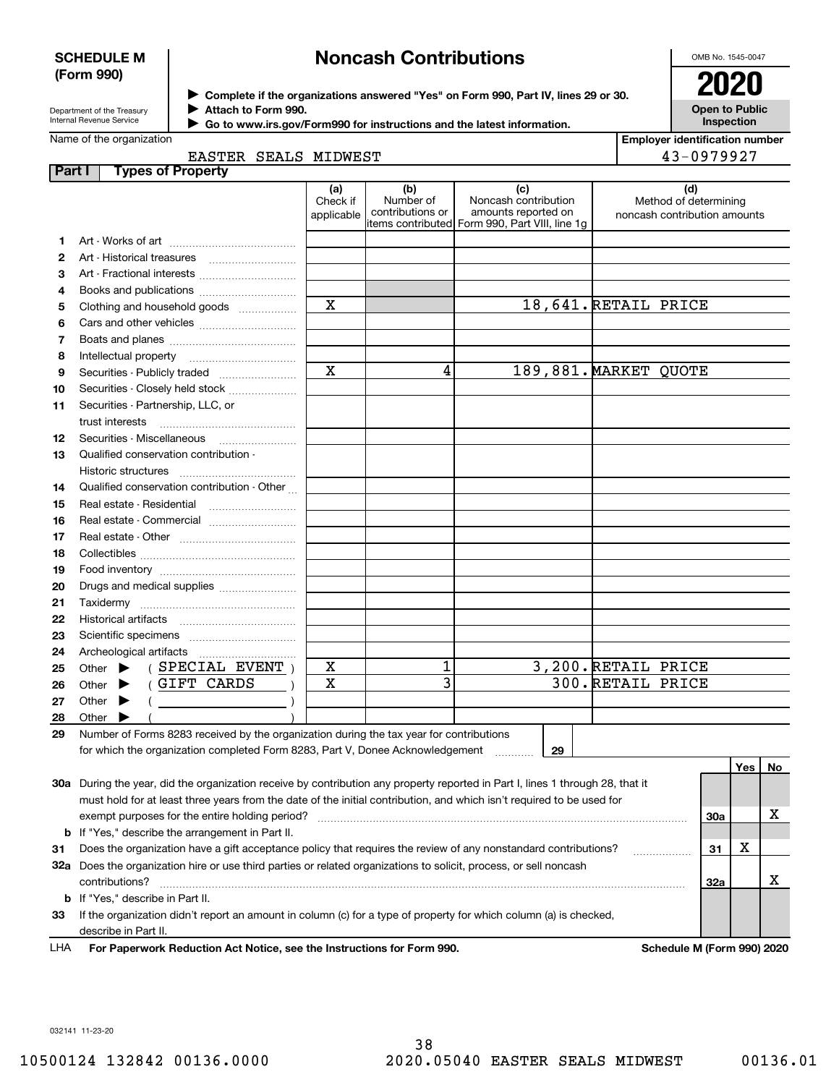#### **SCHEDULE M (Form 990)**

# **Noncash Contributions**

OMB No. 1545-0047

| Department of the Treasury      |  |
|---------------------------------|--|
| <b>Internal Revenue Service</b> |  |

**Complete if the organizations answered "Yes" on Form 990, Part IV, lines 29 or 30.** <sup>J</sup>**2020 Attach to Form 990.** J

**Open to Public Inspection**

| Go to www.irs.gov/Form990 for instructions and the latest information. |
|------------------------------------------------------------------------|
|------------------------------------------------------------------------|

| Name of the organization |  |                      |
|--------------------------|--|----------------------|
|                          |  | EASTER SEALS MIDWEST |

 $\blacktriangleright$ 

| <b>Employer identification number</b> |  |
|---------------------------------------|--|

| $3 - 0979927$ |
|---------------|

| (a)<br>(b)<br>(d)<br>(c)<br>Number of<br>Noncash contribution<br>Check if<br>Method of determining<br>contributions or<br>amounts reported on<br>applicable<br>noncash contribution amounts<br>items contributed Form 990, Part VIII, line 1g<br>1.<br>2<br>З<br>Art - Fractional interests<br>4<br>Books and publications<br>X<br>18,641. RETAIL PRICE<br>Clothing and household goods<br>5<br>6<br>7<br>Intellectual property<br>8<br>$\mathbf X$<br>4<br>189,881. MARKET QUOTE<br>9<br>Securities - Publicly traded<br>Securities - Closely held stock<br>10<br>Securities - Partnership, LLC, or<br>11<br>trust interests<br>Securities - Miscellaneous<br>12<br>Qualified conservation contribution -<br>13<br>Historic structures<br>Qualified conservation contribution - Other<br>14<br>Real estate - Residential<br>15<br>16<br>Real estate - Commercial<br>17<br>18<br>19<br>20<br>Drugs and medical supplies<br>21<br>22<br>23<br>24<br>1<br>3,200. RETAIL PRICE<br>X<br>(SPECIAL EVENT)<br>Other $\blacktriangleright$<br>25<br>$\overline{3}$<br>300. RETAIL PRICE<br>(GIFT CARDS<br>X<br>Other $\blacktriangleright$<br>26<br>27<br>Other $\blacktriangleright$<br><u>and the company of the company of the company of the company of the company of the company of the company of the company of the company of the company of the company of the company of the company of the company of the com</u><br>28<br>Other $\blacktriangleright$<br>Number of Forms 8283 received by the organization during the tax year for contributions<br>29<br>for which the organization completed Form 8283, Part V, Donee Acknowledgement<br>29<br>Yes $ $<br>No<br>30a During the year, did the organization receive by contribution any property reported in Part I, lines 1 through 28, that it<br>must hold for at least three years from the date of the initial contribution, and which isn't required to be used for<br>x<br>exempt purposes for the entire holding period?<br>30a<br><b>b</b> If "Yes," describe the arrangement in Part II.<br>х<br>Does the organization have a gift acceptance policy that requires the review of any nonstandard contributions?<br>31<br>31<br>32a Does the organization hire or use third parties or related organizations to solicit, process, or sell noncash<br>x<br>contributions?<br>32a<br><b>b</b> If "Yes," describe in Part II.<br>If the organization didn't report an amount in column (c) for a type of property for which column (a) is checked,<br>33<br>describe in Part II. | Part I | <b>Types of Property</b> |  |  |  |  |
|---------------------------------------------------------------------------------------------------------------------------------------------------------------------------------------------------------------------------------------------------------------------------------------------------------------------------------------------------------------------------------------------------------------------------------------------------------------------------------------------------------------------------------------------------------------------------------------------------------------------------------------------------------------------------------------------------------------------------------------------------------------------------------------------------------------------------------------------------------------------------------------------------------------------------------------------------------------------------------------------------------------------------------------------------------------------------------------------------------------------------------------------------------------------------------------------------------------------------------------------------------------------------------------------------------------------------------------------------------------------------------------------------------------------------------------------------------------------------------------------------------------------------------------------------------------------------------------------------------------------------------------------------------------------------------------------------------------------------------------------------------------------------------------------------------------------------------------------------------------------------------------------------------------------------------------------------------------------------------------------------------------------------------------------------------------------------------------------------------------------------------------------------------------------------------------------------------------------------------------------------------------------------------------------------------------------------------------------------------------------------------------------------------------------------------------------------------------------------------------------------------------------------------------------|--------|--------------------------|--|--|--|--|
|                                                                                                                                                                                                                                                                                                                                                                                                                                                                                                                                                                                                                                                                                                                                                                                                                                                                                                                                                                                                                                                                                                                                                                                                                                                                                                                                                                                                                                                                                                                                                                                                                                                                                                                                                                                                                                                                                                                                                                                                                                                                                                                                                                                                                                                                                                                                                                                                                                                                                                                                             |        |                          |  |  |  |  |
|                                                                                                                                                                                                                                                                                                                                                                                                                                                                                                                                                                                                                                                                                                                                                                                                                                                                                                                                                                                                                                                                                                                                                                                                                                                                                                                                                                                                                                                                                                                                                                                                                                                                                                                                                                                                                                                                                                                                                                                                                                                                                                                                                                                                                                                                                                                                                                                                                                                                                                                                             |        |                          |  |  |  |  |
|                                                                                                                                                                                                                                                                                                                                                                                                                                                                                                                                                                                                                                                                                                                                                                                                                                                                                                                                                                                                                                                                                                                                                                                                                                                                                                                                                                                                                                                                                                                                                                                                                                                                                                                                                                                                                                                                                                                                                                                                                                                                                                                                                                                                                                                                                                                                                                                                                                                                                                                                             |        |                          |  |  |  |  |
|                                                                                                                                                                                                                                                                                                                                                                                                                                                                                                                                                                                                                                                                                                                                                                                                                                                                                                                                                                                                                                                                                                                                                                                                                                                                                                                                                                                                                                                                                                                                                                                                                                                                                                                                                                                                                                                                                                                                                                                                                                                                                                                                                                                                                                                                                                                                                                                                                                                                                                                                             |        |                          |  |  |  |  |
|                                                                                                                                                                                                                                                                                                                                                                                                                                                                                                                                                                                                                                                                                                                                                                                                                                                                                                                                                                                                                                                                                                                                                                                                                                                                                                                                                                                                                                                                                                                                                                                                                                                                                                                                                                                                                                                                                                                                                                                                                                                                                                                                                                                                                                                                                                                                                                                                                                                                                                                                             |        |                          |  |  |  |  |
|                                                                                                                                                                                                                                                                                                                                                                                                                                                                                                                                                                                                                                                                                                                                                                                                                                                                                                                                                                                                                                                                                                                                                                                                                                                                                                                                                                                                                                                                                                                                                                                                                                                                                                                                                                                                                                                                                                                                                                                                                                                                                                                                                                                                                                                                                                                                                                                                                                                                                                                                             |        |                          |  |  |  |  |
|                                                                                                                                                                                                                                                                                                                                                                                                                                                                                                                                                                                                                                                                                                                                                                                                                                                                                                                                                                                                                                                                                                                                                                                                                                                                                                                                                                                                                                                                                                                                                                                                                                                                                                                                                                                                                                                                                                                                                                                                                                                                                                                                                                                                                                                                                                                                                                                                                                                                                                                                             |        |                          |  |  |  |  |
|                                                                                                                                                                                                                                                                                                                                                                                                                                                                                                                                                                                                                                                                                                                                                                                                                                                                                                                                                                                                                                                                                                                                                                                                                                                                                                                                                                                                                                                                                                                                                                                                                                                                                                                                                                                                                                                                                                                                                                                                                                                                                                                                                                                                                                                                                                                                                                                                                                                                                                                                             |        |                          |  |  |  |  |
|                                                                                                                                                                                                                                                                                                                                                                                                                                                                                                                                                                                                                                                                                                                                                                                                                                                                                                                                                                                                                                                                                                                                                                                                                                                                                                                                                                                                                                                                                                                                                                                                                                                                                                                                                                                                                                                                                                                                                                                                                                                                                                                                                                                                                                                                                                                                                                                                                                                                                                                                             |        |                          |  |  |  |  |
|                                                                                                                                                                                                                                                                                                                                                                                                                                                                                                                                                                                                                                                                                                                                                                                                                                                                                                                                                                                                                                                                                                                                                                                                                                                                                                                                                                                                                                                                                                                                                                                                                                                                                                                                                                                                                                                                                                                                                                                                                                                                                                                                                                                                                                                                                                                                                                                                                                                                                                                                             |        |                          |  |  |  |  |
|                                                                                                                                                                                                                                                                                                                                                                                                                                                                                                                                                                                                                                                                                                                                                                                                                                                                                                                                                                                                                                                                                                                                                                                                                                                                                                                                                                                                                                                                                                                                                                                                                                                                                                                                                                                                                                                                                                                                                                                                                                                                                                                                                                                                                                                                                                                                                                                                                                                                                                                                             |        |                          |  |  |  |  |
|                                                                                                                                                                                                                                                                                                                                                                                                                                                                                                                                                                                                                                                                                                                                                                                                                                                                                                                                                                                                                                                                                                                                                                                                                                                                                                                                                                                                                                                                                                                                                                                                                                                                                                                                                                                                                                                                                                                                                                                                                                                                                                                                                                                                                                                                                                                                                                                                                                                                                                                                             |        |                          |  |  |  |  |
|                                                                                                                                                                                                                                                                                                                                                                                                                                                                                                                                                                                                                                                                                                                                                                                                                                                                                                                                                                                                                                                                                                                                                                                                                                                                                                                                                                                                                                                                                                                                                                                                                                                                                                                                                                                                                                                                                                                                                                                                                                                                                                                                                                                                                                                                                                                                                                                                                                                                                                                                             |        |                          |  |  |  |  |
|                                                                                                                                                                                                                                                                                                                                                                                                                                                                                                                                                                                                                                                                                                                                                                                                                                                                                                                                                                                                                                                                                                                                                                                                                                                                                                                                                                                                                                                                                                                                                                                                                                                                                                                                                                                                                                                                                                                                                                                                                                                                                                                                                                                                                                                                                                                                                                                                                                                                                                                                             |        |                          |  |  |  |  |
|                                                                                                                                                                                                                                                                                                                                                                                                                                                                                                                                                                                                                                                                                                                                                                                                                                                                                                                                                                                                                                                                                                                                                                                                                                                                                                                                                                                                                                                                                                                                                                                                                                                                                                                                                                                                                                                                                                                                                                                                                                                                                                                                                                                                                                                                                                                                                                                                                                                                                                                                             |        |                          |  |  |  |  |
|                                                                                                                                                                                                                                                                                                                                                                                                                                                                                                                                                                                                                                                                                                                                                                                                                                                                                                                                                                                                                                                                                                                                                                                                                                                                                                                                                                                                                                                                                                                                                                                                                                                                                                                                                                                                                                                                                                                                                                                                                                                                                                                                                                                                                                                                                                                                                                                                                                                                                                                                             |        |                          |  |  |  |  |
|                                                                                                                                                                                                                                                                                                                                                                                                                                                                                                                                                                                                                                                                                                                                                                                                                                                                                                                                                                                                                                                                                                                                                                                                                                                                                                                                                                                                                                                                                                                                                                                                                                                                                                                                                                                                                                                                                                                                                                                                                                                                                                                                                                                                                                                                                                                                                                                                                                                                                                                                             |        |                          |  |  |  |  |
|                                                                                                                                                                                                                                                                                                                                                                                                                                                                                                                                                                                                                                                                                                                                                                                                                                                                                                                                                                                                                                                                                                                                                                                                                                                                                                                                                                                                                                                                                                                                                                                                                                                                                                                                                                                                                                                                                                                                                                                                                                                                                                                                                                                                                                                                                                                                                                                                                                                                                                                                             |        |                          |  |  |  |  |
|                                                                                                                                                                                                                                                                                                                                                                                                                                                                                                                                                                                                                                                                                                                                                                                                                                                                                                                                                                                                                                                                                                                                                                                                                                                                                                                                                                                                                                                                                                                                                                                                                                                                                                                                                                                                                                                                                                                                                                                                                                                                                                                                                                                                                                                                                                                                                                                                                                                                                                                                             |        |                          |  |  |  |  |
|                                                                                                                                                                                                                                                                                                                                                                                                                                                                                                                                                                                                                                                                                                                                                                                                                                                                                                                                                                                                                                                                                                                                                                                                                                                                                                                                                                                                                                                                                                                                                                                                                                                                                                                                                                                                                                                                                                                                                                                                                                                                                                                                                                                                                                                                                                                                                                                                                                                                                                                                             |        |                          |  |  |  |  |
|                                                                                                                                                                                                                                                                                                                                                                                                                                                                                                                                                                                                                                                                                                                                                                                                                                                                                                                                                                                                                                                                                                                                                                                                                                                                                                                                                                                                                                                                                                                                                                                                                                                                                                                                                                                                                                                                                                                                                                                                                                                                                                                                                                                                                                                                                                                                                                                                                                                                                                                                             |        |                          |  |  |  |  |
|                                                                                                                                                                                                                                                                                                                                                                                                                                                                                                                                                                                                                                                                                                                                                                                                                                                                                                                                                                                                                                                                                                                                                                                                                                                                                                                                                                                                                                                                                                                                                                                                                                                                                                                                                                                                                                                                                                                                                                                                                                                                                                                                                                                                                                                                                                                                                                                                                                                                                                                                             |        |                          |  |  |  |  |
|                                                                                                                                                                                                                                                                                                                                                                                                                                                                                                                                                                                                                                                                                                                                                                                                                                                                                                                                                                                                                                                                                                                                                                                                                                                                                                                                                                                                                                                                                                                                                                                                                                                                                                                                                                                                                                                                                                                                                                                                                                                                                                                                                                                                                                                                                                                                                                                                                                                                                                                                             |        |                          |  |  |  |  |
|                                                                                                                                                                                                                                                                                                                                                                                                                                                                                                                                                                                                                                                                                                                                                                                                                                                                                                                                                                                                                                                                                                                                                                                                                                                                                                                                                                                                                                                                                                                                                                                                                                                                                                                                                                                                                                                                                                                                                                                                                                                                                                                                                                                                                                                                                                                                                                                                                                                                                                                                             |        |                          |  |  |  |  |
|                                                                                                                                                                                                                                                                                                                                                                                                                                                                                                                                                                                                                                                                                                                                                                                                                                                                                                                                                                                                                                                                                                                                                                                                                                                                                                                                                                                                                                                                                                                                                                                                                                                                                                                                                                                                                                                                                                                                                                                                                                                                                                                                                                                                                                                                                                                                                                                                                                                                                                                                             |        |                          |  |  |  |  |
|                                                                                                                                                                                                                                                                                                                                                                                                                                                                                                                                                                                                                                                                                                                                                                                                                                                                                                                                                                                                                                                                                                                                                                                                                                                                                                                                                                                                                                                                                                                                                                                                                                                                                                                                                                                                                                                                                                                                                                                                                                                                                                                                                                                                                                                                                                                                                                                                                                                                                                                                             |        |                          |  |  |  |  |
|                                                                                                                                                                                                                                                                                                                                                                                                                                                                                                                                                                                                                                                                                                                                                                                                                                                                                                                                                                                                                                                                                                                                                                                                                                                                                                                                                                                                                                                                                                                                                                                                                                                                                                                                                                                                                                                                                                                                                                                                                                                                                                                                                                                                                                                                                                                                                                                                                                                                                                                                             |        |                          |  |  |  |  |
|                                                                                                                                                                                                                                                                                                                                                                                                                                                                                                                                                                                                                                                                                                                                                                                                                                                                                                                                                                                                                                                                                                                                                                                                                                                                                                                                                                                                                                                                                                                                                                                                                                                                                                                                                                                                                                                                                                                                                                                                                                                                                                                                                                                                                                                                                                                                                                                                                                                                                                                                             |        |                          |  |  |  |  |
|                                                                                                                                                                                                                                                                                                                                                                                                                                                                                                                                                                                                                                                                                                                                                                                                                                                                                                                                                                                                                                                                                                                                                                                                                                                                                                                                                                                                                                                                                                                                                                                                                                                                                                                                                                                                                                                                                                                                                                                                                                                                                                                                                                                                                                                                                                                                                                                                                                                                                                                                             |        |                          |  |  |  |  |
|                                                                                                                                                                                                                                                                                                                                                                                                                                                                                                                                                                                                                                                                                                                                                                                                                                                                                                                                                                                                                                                                                                                                                                                                                                                                                                                                                                                                                                                                                                                                                                                                                                                                                                                                                                                                                                                                                                                                                                                                                                                                                                                                                                                                                                                                                                                                                                                                                                                                                                                                             |        |                          |  |  |  |  |
|                                                                                                                                                                                                                                                                                                                                                                                                                                                                                                                                                                                                                                                                                                                                                                                                                                                                                                                                                                                                                                                                                                                                                                                                                                                                                                                                                                                                                                                                                                                                                                                                                                                                                                                                                                                                                                                                                                                                                                                                                                                                                                                                                                                                                                                                                                                                                                                                                                                                                                                                             |        |                          |  |  |  |  |
|                                                                                                                                                                                                                                                                                                                                                                                                                                                                                                                                                                                                                                                                                                                                                                                                                                                                                                                                                                                                                                                                                                                                                                                                                                                                                                                                                                                                                                                                                                                                                                                                                                                                                                                                                                                                                                                                                                                                                                                                                                                                                                                                                                                                                                                                                                                                                                                                                                                                                                                                             |        |                          |  |  |  |  |
|                                                                                                                                                                                                                                                                                                                                                                                                                                                                                                                                                                                                                                                                                                                                                                                                                                                                                                                                                                                                                                                                                                                                                                                                                                                                                                                                                                                                                                                                                                                                                                                                                                                                                                                                                                                                                                                                                                                                                                                                                                                                                                                                                                                                                                                                                                                                                                                                                                                                                                                                             |        |                          |  |  |  |  |
|                                                                                                                                                                                                                                                                                                                                                                                                                                                                                                                                                                                                                                                                                                                                                                                                                                                                                                                                                                                                                                                                                                                                                                                                                                                                                                                                                                                                                                                                                                                                                                                                                                                                                                                                                                                                                                                                                                                                                                                                                                                                                                                                                                                                                                                                                                                                                                                                                                                                                                                                             |        |                          |  |  |  |  |
|                                                                                                                                                                                                                                                                                                                                                                                                                                                                                                                                                                                                                                                                                                                                                                                                                                                                                                                                                                                                                                                                                                                                                                                                                                                                                                                                                                                                                                                                                                                                                                                                                                                                                                                                                                                                                                                                                                                                                                                                                                                                                                                                                                                                                                                                                                                                                                                                                                                                                                                                             |        |                          |  |  |  |  |
|                                                                                                                                                                                                                                                                                                                                                                                                                                                                                                                                                                                                                                                                                                                                                                                                                                                                                                                                                                                                                                                                                                                                                                                                                                                                                                                                                                                                                                                                                                                                                                                                                                                                                                                                                                                                                                                                                                                                                                                                                                                                                                                                                                                                                                                                                                                                                                                                                                                                                                                                             |        |                          |  |  |  |  |
|                                                                                                                                                                                                                                                                                                                                                                                                                                                                                                                                                                                                                                                                                                                                                                                                                                                                                                                                                                                                                                                                                                                                                                                                                                                                                                                                                                                                                                                                                                                                                                                                                                                                                                                                                                                                                                                                                                                                                                                                                                                                                                                                                                                                                                                                                                                                                                                                                                                                                                                                             |        |                          |  |  |  |  |
|                                                                                                                                                                                                                                                                                                                                                                                                                                                                                                                                                                                                                                                                                                                                                                                                                                                                                                                                                                                                                                                                                                                                                                                                                                                                                                                                                                                                                                                                                                                                                                                                                                                                                                                                                                                                                                                                                                                                                                                                                                                                                                                                                                                                                                                                                                                                                                                                                                                                                                                                             |        |                          |  |  |  |  |
|                                                                                                                                                                                                                                                                                                                                                                                                                                                                                                                                                                                                                                                                                                                                                                                                                                                                                                                                                                                                                                                                                                                                                                                                                                                                                                                                                                                                                                                                                                                                                                                                                                                                                                                                                                                                                                                                                                                                                                                                                                                                                                                                                                                                                                                                                                                                                                                                                                                                                                                                             |        |                          |  |  |  |  |
|                                                                                                                                                                                                                                                                                                                                                                                                                                                                                                                                                                                                                                                                                                                                                                                                                                                                                                                                                                                                                                                                                                                                                                                                                                                                                                                                                                                                                                                                                                                                                                                                                                                                                                                                                                                                                                                                                                                                                                                                                                                                                                                                                                                                                                                                                                                                                                                                                                                                                                                                             |        |                          |  |  |  |  |
|                                                                                                                                                                                                                                                                                                                                                                                                                                                                                                                                                                                                                                                                                                                                                                                                                                                                                                                                                                                                                                                                                                                                                                                                                                                                                                                                                                                                                                                                                                                                                                                                                                                                                                                                                                                                                                                                                                                                                                                                                                                                                                                                                                                                                                                                                                                                                                                                                                                                                                                                             |        |                          |  |  |  |  |
|                                                                                                                                                                                                                                                                                                                                                                                                                                                                                                                                                                                                                                                                                                                                                                                                                                                                                                                                                                                                                                                                                                                                                                                                                                                                                                                                                                                                                                                                                                                                                                                                                                                                                                                                                                                                                                                                                                                                                                                                                                                                                                                                                                                                                                                                                                                                                                                                                                                                                                                                             |        |                          |  |  |  |  |
|                                                                                                                                                                                                                                                                                                                                                                                                                                                                                                                                                                                                                                                                                                                                                                                                                                                                                                                                                                                                                                                                                                                                                                                                                                                                                                                                                                                                                                                                                                                                                                                                                                                                                                                                                                                                                                                                                                                                                                                                                                                                                                                                                                                                                                                                                                                                                                                                                                                                                                                                             |        |                          |  |  |  |  |

For Paperwork Reduction Act Notice, see the Instructions for Form 990. **Schedule M** (Form 990) 2020 LHA

032141 11-23-20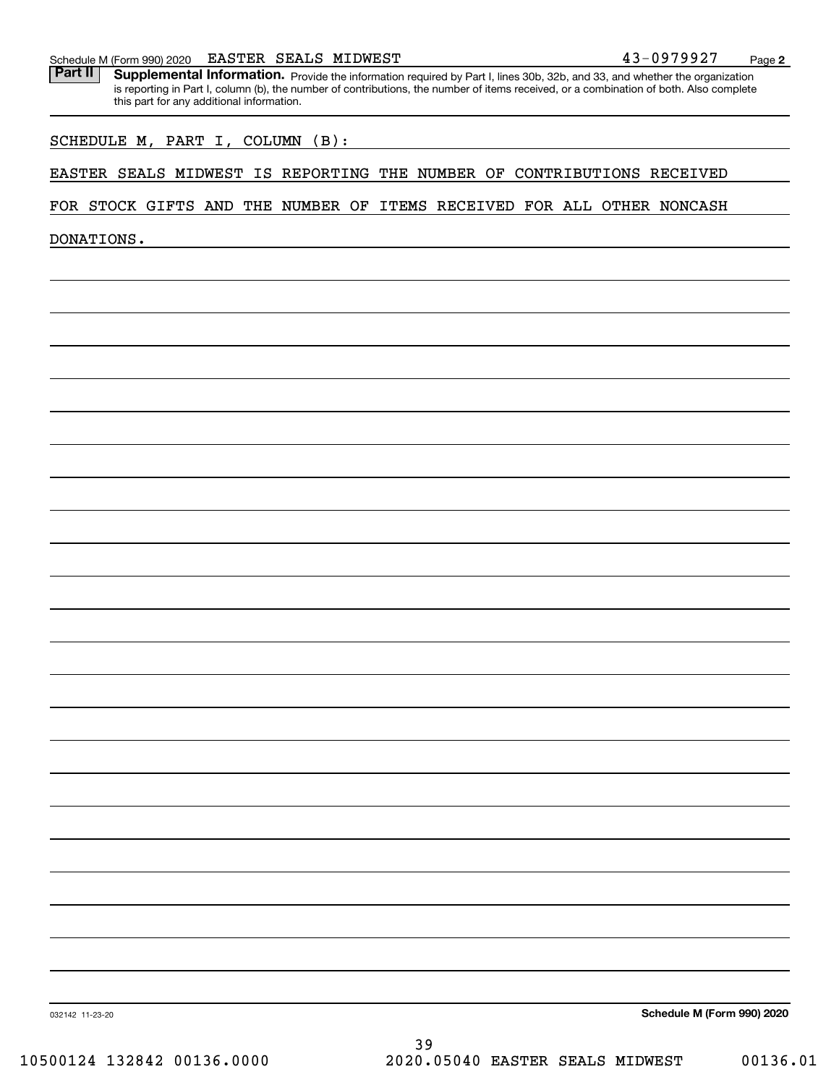#### Schedule M (Form 990) 2020 **EASTER SEALS MIDWEST** 4 3-0 9 7 9 9 2 7 <sub>Page</sub>

Part II | Supplemental Information. Provide the information required by Part I, lines 30b, 32b, and 33, and whether the organization is reporting in Part I, column (b), the number of contributions, the number of items received, or a combination of both. Also complete this part for any additional information.

#### SCHEDULE M, PART I, COLUMN (B):

#### EASTER SEALS MIDWEST IS REPORTING THE NUMBER OF CONTRIBUTIONS RECEIVED

#### FOR STOCK GIFTS AND THE NUMBER OF ITEMS RECEIVED FOR ALL OTHER NONCASH

DONATIONS.

**Schedule M (Form 990) 2020**

032142 11-23-20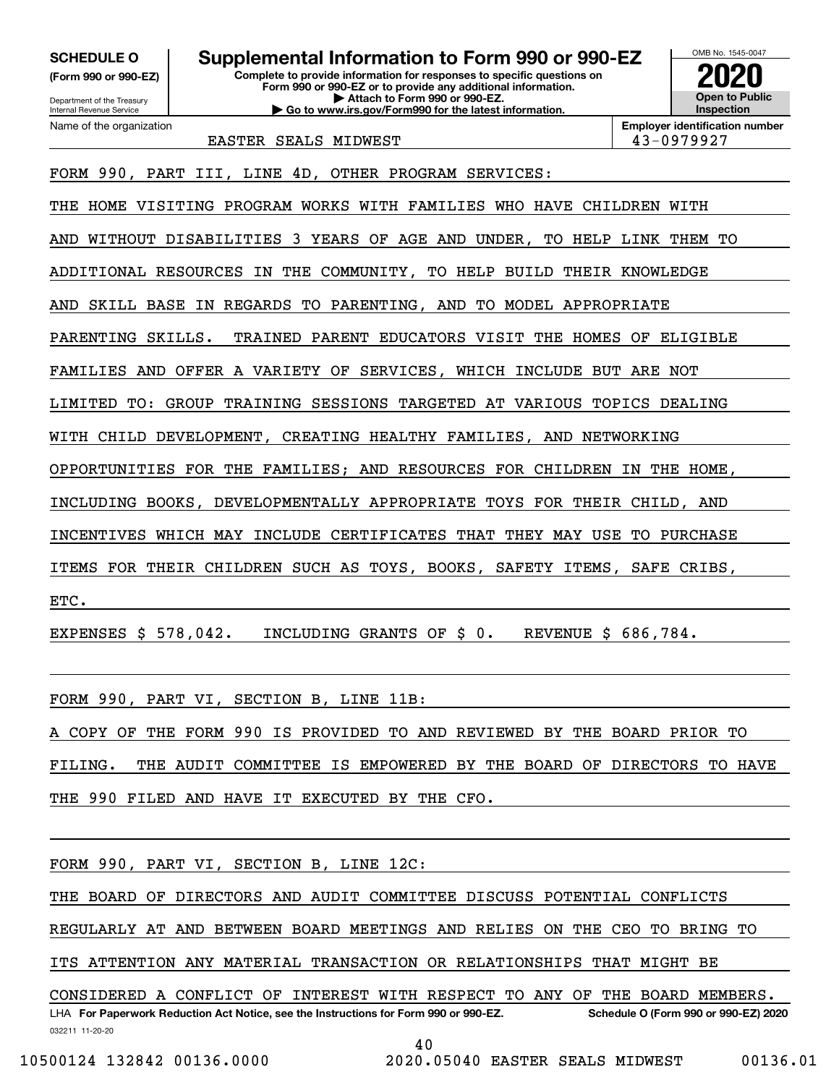**(Form 990 or 990-EZ)**

Department of the Treasury Internal Revenue Service Name of the organization

**Complete to provide information for responses to specific questions on Form 990 or 990-EZ or to provide any additional information. | Attach to Form 990 or 990-EZ. | Go to www.irs.gov/Form990 for the latest information. SCHEDULE O Supplemental Information to Form 990 or 990-EZ**



**Employer identification number**

EASTER SEALS MIDWEST 43-0979927

FORM 990, PART III, LINE 4D, OTHER PROGRAM SERVICES:

THE HOME VISITING PROGRAM WORKS WITH FAMILIES WHO HAVE CHILDREN WITH

AND WITHOUT DISABILITIES 3 YEARS OF AGE AND UNDER, TO HELP LINK THEM TO

ADDITIONAL RESOURCES IN THE COMMUNITY, TO HELP BUILD THEIR KNOWLEDGE

AND SKILL BASE IN REGARDS TO PARENTING, AND TO MODEL APPROPRIATE

PARENTING SKILLS. TRAINED PARENT EDUCATORS VISIT THE HOMES OF ELIGIBLE

FAMILIES AND OFFER A VARIETY OF SERVICES, WHICH INCLUDE BUT ARE NOT

LIMITED TO: GROUP TRAINING SESSIONS TARGETED AT VARIOUS TOPICS DEALING

WITH CHILD DEVELOPMENT, CREATING HEALTHY FAMILIES, AND NETWORKING

OPPORTUNITIES FOR THE FAMILIES; AND RESOURCES FOR CHILDREN IN THE HOME,

INCLUDING BOOKS, DEVELOPMENTALLY APPROPRIATE TOYS FOR THEIR CHILD, AND

INCENTIVES WHICH MAY INCLUDE CERTIFICATES THAT THEY MAY USE TO PURCHASE

ITEMS FOR THEIR CHILDREN SUCH AS TOYS, BOOKS, SAFETY ITEMS, SAFE CRIBS,

ETC.

EXPENSES \$ 578,042. INCLUDING GRANTS OF \$ 0. REVENUE \$ 686,784.

FORM 990, PART VI, SECTION B, LINE 11B:

A COPY OF THE FORM 990 IS PROVIDED TO AND REVIEWED BY THE BOARD PRIOR TO

FILING. THE AUDIT COMMITTEE IS EMPOWERED BY THE BOARD OF DIRECTORS TO HAVE

THE 990 FILED AND HAVE IT EXECUTED BY THE CFO.

FORM 990, PART VI, SECTION B, LINE 12C:

THE BOARD OF DIRECTORS AND AUDIT COMMITTEE DISCUSS POTENTIAL CONFLICTS

REGULARLY AT AND BETWEEN BOARD MEETINGS AND RELIES ON THE CEO TO BRING TO

ITS ATTENTION ANY MATERIAL TRANSACTION OR RELATIONSHIPS THAT MIGHT BE

032211 11-20-20 LHA For Paperwork Reduction Act Notice, see the Instructions for Form 990 or 990-EZ. Schedule O (Form 990 or 990-EZ) 2020 CONSIDERED A CONFLICT OF INTEREST WITH RESPECT TO ANY OF THE BOARD MEMBERS.

40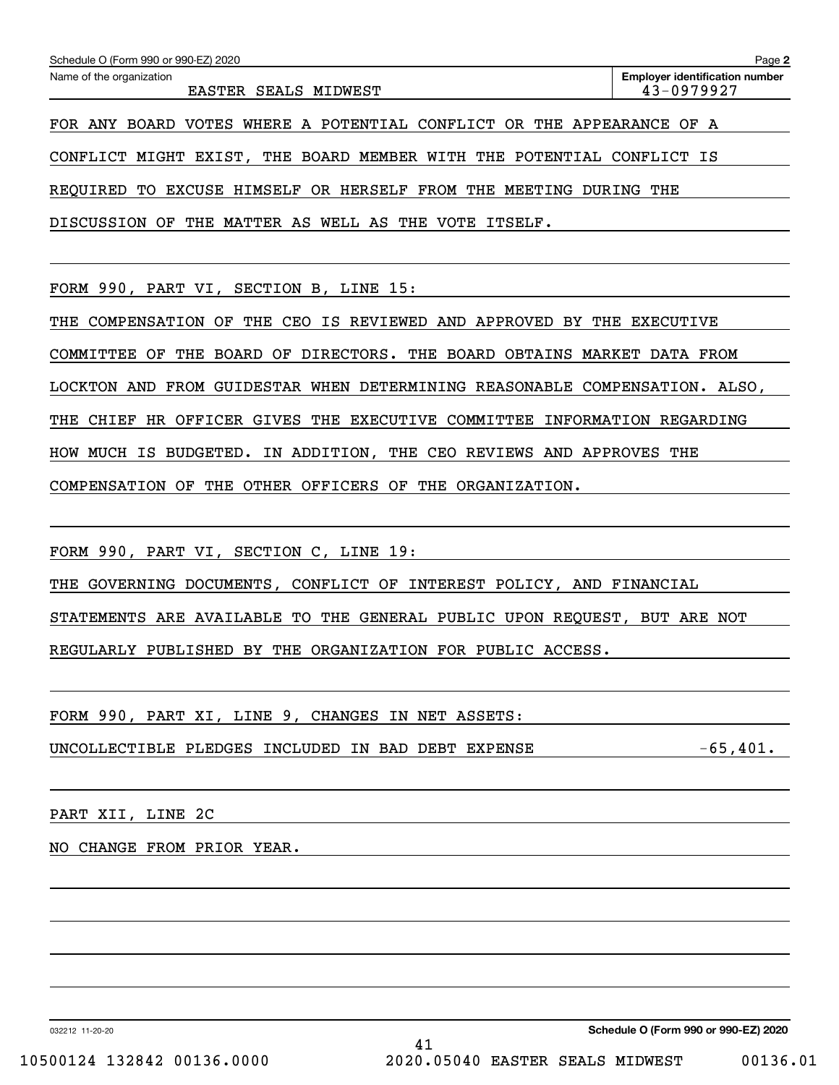| Schedule O (Form 990 or 990-EZ) 2020                                                  | Page 2                                              |
|---------------------------------------------------------------------------------------|-----------------------------------------------------|
| Name of the organization<br>EASTER SEALS MIDWEST                                      | <b>Employer identification number</b><br>43-0979927 |
| FOR ANY BOARD VOTES WHERE A POTENTIAL CONFLICT OR THE APPEARANCE OF A                 |                                                     |
| CONFLICT MIGHT EXIST, THE BOARD MEMBER WITH THE POTENTIAL CONFLICT IS                 |                                                     |
| REOUIRED TO EXCUSE HIMSELF OR HERSELF FROM THE MEETING DURING THE                     |                                                     |
| THE<br>MATTER AS WELL AS THE VOTE ITSELF.<br>DISCUSSION OF                            |                                                     |
|                                                                                       |                                                     |
| FORM 990, PART VI, SECTION B, LINE 15:                                                |                                                     |
| THE CEO IS REVIEWED AND APPROVED BY THE EXECUTIVE<br>COMPENSATION OF<br>THE           |                                                     |
| COMMITTEE OF THE BOARD OF DIRECTORS. THE BOARD OBTAINS MARKET DATA FROM               |                                                     |
| LOCKTON AND FROM GUIDESTAR WHEN DETERMINING REASONABLE COMPENSATION. ALSO,            |                                                     |
| HR OFFICER GIVES THE EXECUTIVE COMMITTEE INFORMATION REGARDING<br>THE<br><b>CHIEF</b> |                                                     |
| HOW MUCH IS BUDGETED. IN ADDITION, THE CEO REVIEWS AND APPROVES THE                   |                                                     |
| THE OTHER OFFICERS OF THE ORGANIZATION.<br>COMPENSATION OF                            |                                                     |
|                                                                                       |                                                     |
| FORM 990, PART VI, SECTION C, LINE 19:                                                |                                                     |

THE GOVERNING DOCUMENTS, CONFLICT OF INTEREST POLICY, AND FINANCIAL

STATEMENTS ARE AVAILABLE TO THE GENERAL PUBLIC UPON REQUEST, BUT ARE NOT

REGULARLY PUBLISHED BY THE ORGANIZATION FOR PUBLIC ACCESS.

FORM 990, PART XI, LINE 9, CHANGES IN NET ASSETS: UNCOLLECTIBLE PLEDGES INCLUDED IN BAD DEBT EXPENSE  $-65,401$ .

PART XII, LINE 2C

NO CHANGE FROM PRIOR YEAR.

032212 11-20-20